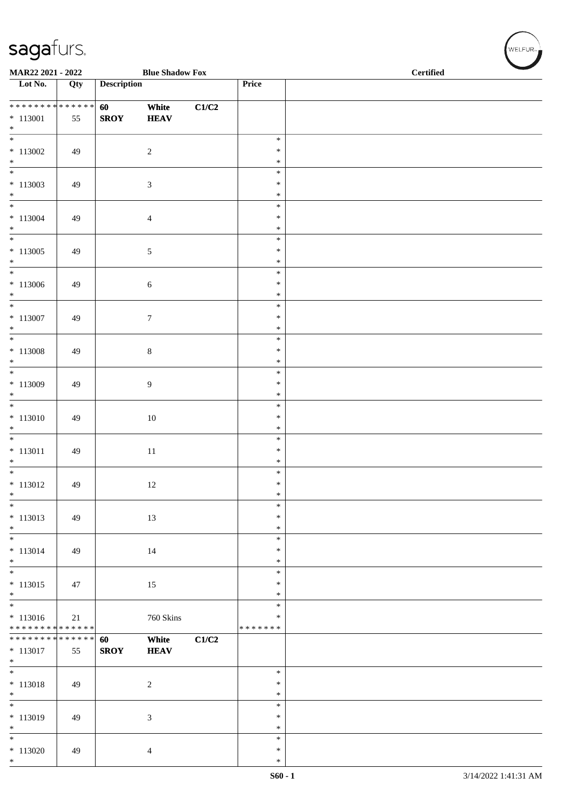| MAR22 2021 - 2022                                  |     |                    | <b>Blue Shadow Fox</b> |       |                                   | <b>Certified</b> |  |  |
|----------------------------------------------------|-----|--------------------|------------------------|-------|-----------------------------------|------------------|--|--|
| Lot No.                                            | Qty | <b>Description</b> |                        |       | Price                             |                  |  |  |
| ******** <mark>******</mark><br>$* 113001$<br>$*$  | 55  | 60<br><b>SROY</b>  | White<br><b>HEAV</b>   | C1/C2 |                                   |                  |  |  |
| $*113002$<br>$*$                                   | 49  |                    | $\sqrt{2}$             |       | $\ast$<br>$\ast$<br>$\ast$        |                  |  |  |
| $\overline{\phantom{0}}$<br>$* 113003$<br>$*$      | 49  |                    | $\mathfrak{Z}$         |       | $\ast$<br>$\ast$<br>$\ast$        |                  |  |  |
| $*$<br>$* 113004$<br>$*$                           | 49  |                    | 4                      |       | $\ast$<br>$\ast$<br>$\ast$        |                  |  |  |
| $\overline{\phantom{0}}$<br>$* 113005$<br>$*$      | 49  |                    | 5                      |       | $\ast$<br>$\ast$<br>$\ast$        |                  |  |  |
| $*113006$<br>$*$                                   | 49  |                    | $\sqrt{6}$             |       | $\ast$<br>$\ast$<br>$\ast$        |                  |  |  |
| $\overline{\phantom{0}}$<br>$* 113007$<br>$*$      | 49  |                    | $\tau$                 |       | $\ast$<br>$\ast$<br>$\ast$        |                  |  |  |
| $\overline{\ast}$<br>$* 113008$<br>$*$             | 49  |                    | $\,8\,$                |       | $\ast$<br>$\ast$<br>$\ast$        |                  |  |  |
| $\overline{\phantom{0}}$<br>$* 113009$<br>$*$      | 49  |                    | 9                      |       | $\ast$<br>$\ast$<br>$\ast$        |                  |  |  |
| $\overline{\ast}$<br>$* 113010$<br>$*$             | 49  |                    | 10                     |       | $\ast$<br>$\ast$<br>$\ast$        |                  |  |  |
| $\overline{\phantom{0}}$<br>$* 113011$<br>$\ast$   | 49  |                    | 11                     |       | $\ast$<br>$\ast$<br>$\ast$        |                  |  |  |
| $* 113012$<br>$\ast$                               | 49  |                    | 12                     |       | $\ast$<br>$\ast$<br>$\ast$        |                  |  |  |
| $\ast$<br>$* 113013$<br>$*$                        | 49  |                    | 13                     |       | $\ast$<br>$\ast$<br>$\ast$        |                  |  |  |
| $\ast$<br>$* 113014$<br>$*$                        | 49  |                    | 14                     |       | $\ast$<br>$\ast$<br>$\ast$        |                  |  |  |
| $\overline{\ast}$<br>$* 113015$<br>$*$             | 47  |                    | 15                     |       | $\ast$<br>$\ast$<br>$\ast$        |                  |  |  |
| $*$<br>$* 113016$<br>* * * * * * * * * * * * * *   | 21  |                    | 760 Skins              |       | $\ast$<br>$\ast$<br>* * * * * * * |                  |  |  |
| * * * * * * * * * * * * * * *<br>$* 113017$<br>$*$ | 55  | 60<br><b>SROY</b>  | White<br><b>HEAV</b>   | C1/C2 |                                   |                  |  |  |
| $\overline{\mathbf{r}}$<br>$* 113018$<br>$*$       | 49  |                    | $\sqrt{2}$             |       | $\ast$<br>$\ast$<br>$\ast$        |                  |  |  |
| $\overline{\phantom{0}}$<br>* 113019<br>$*$        | 49  |                    | 3                      |       | $\ast$<br>$\ast$<br>$\ast$        |                  |  |  |
| $\overline{\ast}$<br>$*113020$<br>$*$              | 49  |                    | $\overline{4}$         |       | $\ast$<br>$\ast$<br>$\ast$        |                  |  |  |

 $(w$ ELFUR<sub>m</sub>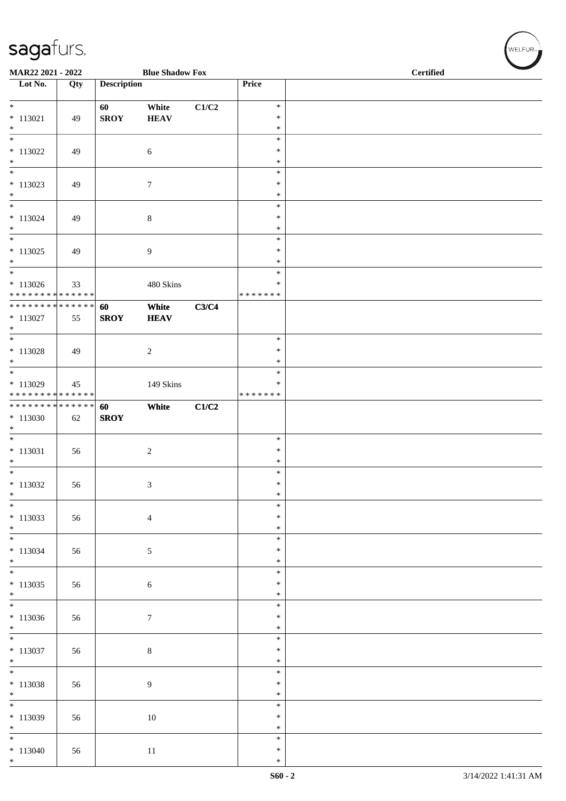| MAR22 2021 - 2022                                                          |     |                    | <b>Blue Shadow Fox</b> |       | <b>Certified</b>                     |  |  |  |
|----------------------------------------------------------------------------|-----|--------------------|------------------------|-------|--------------------------------------|--|--|--|
| Lot No.                                                                    | Qty | <b>Description</b> |                        |       | Price                                |  |  |  |
| $* 113021$<br>$*$                                                          | 49  | 60<br><b>SROY</b>  | White<br><b>HEAV</b>   | C1/C2 | $\ast$<br>$\ast$<br>$\ast$           |  |  |  |
| $*$<br>$*$ 113022<br>$*$                                                   | 49  |                    | $\sqrt{6}$             |       | $\ast$<br>$\ast$<br>$\ast$           |  |  |  |
| $*$<br>$* 113023$<br>$\ast$<br>$*$                                         | 49  |                    | $\boldsymbol{7}$       |       | $\ast$<br>$\ast$<br>$\ast$<br>$\ast$ |  |  |  |
| $* 113024$<br>$*$                                                          | 49  |                    | 8                      |       | $\ast$<br>$\ast$<br>$\ast$           |  |  |  |
| $*$ 113025<br>$\ast$<br>$\overline{\ast}$                                  | 49  |                    | 9                      |       | $\ast$<br>$\ast$<br>$\ast$           |  |  |  |
| $* 113026$<br>* * * * * * * * * * * * * *<br>* * * * * * * * * * * * * * * | 33  |                    | 480 Skins              |       | ∗<br>* * * * * * *                   |  |  |  |
| $* 113027$<br>$*$<br>$\overline{\ast}$                                     | 55  | 60<br><b>SROY</b>  | White<br><b>HEAV</b>   | C3/C4 | $\ast$                               |  |  |  |
| $* 113028$<br>$*$                                                          | 49  |                    | $\sqrt{2}$             |       | $\ast$<br>$\ast$                     |  |  |  |
| $*$<br>$* 113029$<br>* * * * * * * * * * * * * *                           | 45  |                    | 149 Skins              |       | $\ast$<br>$\ast$<br>* * * * * * *    |  |  |  |
| ******** <mark>******</mark><br>$*113030$<br>$\ast$                        | 62  | 60<br><b>SROY</b>  | White                  | C1/C2 |                                      |  |  |  |
| $*$<br>$* 113031$<br>$\ast$                                                | 56  |                    | $\sqrt{2}$             |       | $\ast$<br>$\ast$<br>$\ast$           |  |  |  |
| $* 113032$<br>$\ast$<br>$\frac{1}{1}$                                      | 56  |                    | 3                      |       | $\ast$<br>$\ast$<br>$\ast$           |  |  |  |
| $* 113033$<br>$*$<br>$\overline{\phantom{0}}$                              | 56  |                    | $\overline{4}$         |       | $\ast$<br>$\ast$<br>$\ast$           |  |  |  |
| $* 113034$<br>$*$<br>$*$                                                   | 56  |                    | $\sqrt{5}$             |       | $\ast$<br>$\ast$<br>$\ast$           |  |  |  |
| $* 113035$<br>$*$<br>$\overline{\phantom{0}}$                              | 56  |                    | $\sqrt{6}$             |       | $\ast$<br>$\ast$<br>$\ast$           |  |  |  |
| $* 113036$<br>$*$                                                          | 56  |                    | $\tau$                 |       | $\ast$<br>$\ast$<br>$\ast$           |  |  |  |
| $\overline{\phantom{0}}$<br>$* 113037$<br>$*$                              | 56  |                    | $\,8\,$                |       | $\ast$<br>$\ast$<br>$\ast$           |  |  |  |
| $* 113038$<br>$*$                                                          | 56  |                    | 9                      |       | $\ast$<br>$\ast$<br>$\ast$           |  |  |  |
| $\overline{\phantom{0}}$<br>$* 113039$<br>$*$                              | 56  |                    | 10                     |       | $\ast$<br>$\ast$<br>$\ast$           |  |  |  |
| $\overline{\phantom{0}}$<br>$* 113040$<br>$*$                              | 56  |                    | $11\,$                 |       | $\ast$<br>$\ast$<br>$\ast$           |  |  |  |

WELFUR<sub>\*</sub>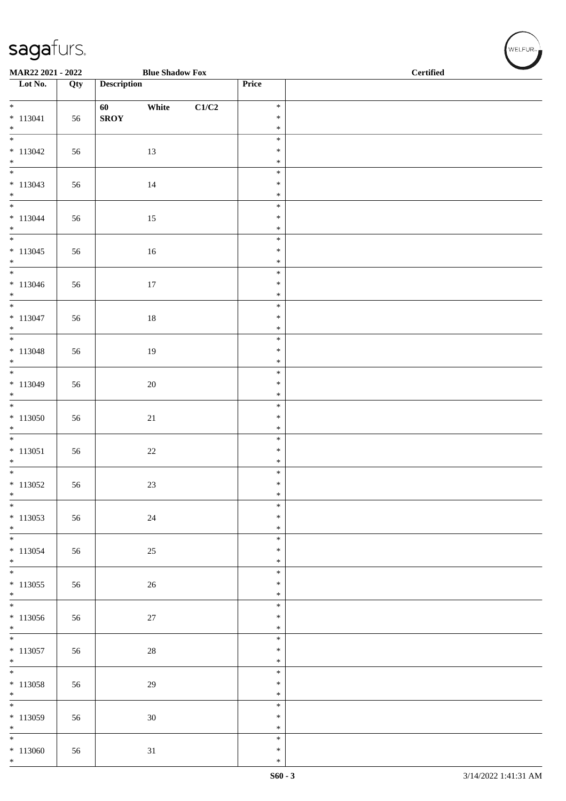| <b>Blue Shadow Fox</b><br>MAR22 2021 - 2022 |     |                    |        |       |                  | <b>Certified</b> |  |  |  |  |
|---------------------------------------------|-----|--------------------|--------|-------|------------------|------------------|--|--|--|--|
| $\overline{\phantom{1}}$ Lot No.            | Qty | <b>Description</b> |        |       | Price            |                  |  |  |  |  |
| $\overline{\ast}$                           |     | 60                 | White  | C1/C2 | $\ast$           |                  |  |  |  |  |
| $* 113041$                                  | 56  | <b>SROY</b>        |        |       | $\ast$           |                  |  |  |  |  |
| $\ast$<br>$\frac{1}{1}$                     |     |                    |        |       | $\ast$<br>$\ast$ |                  |  |  |  |  |
| $* 113042$                                  | 56  |                    | 13     |       | $\ast$           |                  |  |  |  |  |
| $*$                                         |     |                    |        |       | $\ast$<br>$\ast$ |                  |  |  |  |  |
| $* 113043$                                  | 56  |                    | 14     |       | $\ast$           |                  |  |  |  |  |
| $\ast$<br>$\overline{\phantom{0}}$          |     |                    |        |       | $\ast$           |                  |  |  |  |  |
| $* 113044$                                  | 56  |                    | 15     |       | $\ast$<br>$\ast$ |                  |  |  |  |  |
| $*$<br>$\overline{\phantom{0}}$             |     |                    |        |       | $\ast$           |                  |  |  |  |  |
| $* 113045$                                  | 56  |                    | $16\,$ |       | $\ast$<br>$\ast$ |                  |  |  |  |  |
| $*$                                         |     |                    |        |       | $\ast$           |                  |  |  |  |  |
| $\overline{\ast}$<br>$* 113046$             | 56  |                    | $17\,$ |       | $\ast$<br>$\ast$ |                  |  |  |  |  |
| $*$                                         |     |                    |        |       | $\ast$           |                  |  |  |  |  |
| $*$<br>$* 113047$                           | 56  |                    | $18\,$ |       | $\ast$<br>$\ast$ |                  |  |  |  |  |
| $\ast$                                      |     |                    |        |       | $\ast$           |                  |  |  |  |  |
| $\overline{\phantom{0}}$                    |     |                    |        |       | $\ast$           |                  |  |  |  |  |
| $* 113048$<br>$*$                           | 56  |                    | $19\,$ |       | $\ast$<br>$\ast$ |                  |  |  |  |  |
|                                             |     |                    |        |       | $\ast$           |                  |  |  |  |  |
| $* 113049$<br>$\ast$                        | 56  |                    | $20\,$ |       | $\ast$<br>$\ast$ |                  |  |  |  |  |
| $\overline{\phantom{0}}$                    |     |                    |        |       | $\ast$           |                  |  |  |  |  |
| $*113050$<br>$\ast$                         | 56  |                    | $21\,$ |       | $\ast$<br>$\ast$ |                  |  |  |  |  |
| $\overline{\phantom{0}}$                    |     |                    |        |       | $\ast$           |                  |  |  |  |  |
| $* 113051$<br>$\ast$                        | 56  |                    | $22\,$ |       | $\ast$<br>$\ast$ |                  |  |  |  |  |
| $*$                                         |     |                    |        |       | $\ast$           |                  |  |  |  |  |
| $* 113052$<br>$\ast$                        | 56  |                    | $23\,$ |       | $\ast$<br>$\ast$ |                  |  |  |  |  |
| $*$                                         |     |                    |        |       | $\ast$           |                  |  |  |  |  |
| $* 113053$                                  | 56  |                    | $24\,$ |       | $\ast$           |                  |  |  |  |  |
| $*$<br>$\overline{\phantom{0}}$             |     |                    |        |       | $\ast$<br>$\ast$ |                  |  |  |  |  |
| $* 113054$                                  | 56  |                    | $25\,$ |       | $\ast$           |                  |  |  |  |  |
| $*$                                         |     |                    |        |       | $\ast$<br>$\ast$ |                  |  |  |  |  |
| $* 113055$                                  | 56  |                    | $26\,$ |       | $\ast$           |                  |  |  |  |  |
| $*$<br>$\overline{\phantom{0}}$             |     |                    |        |       | $\ast$<br>$\ast$ |                  |  |  |  |  |
| $* 113056$                                  | 56  |                    | $27\,$ |       | $\ast$           |                  |  |  |  |  |
| $*$<br>$\overline{\phantom{0}}$             |     |                    |        |       | $\ast$<br>$\ast$ |                  |  |  |  |  |
| $* 113057$                                  | 56  |                    | $28\,$ |       | $\ast$           |                  |  |  |  |  |
| $*$<br>$\overline{\phantom{0}}$             |     |                    |        |       | $\ast$<br>$\ast$ |                  |  |  |  |  |
| $*113058$                                   | 56  |                    | 29     |       | $\ast$           |                  |  |  |  |  |
| $*$<br>$\overline{\phantom{0}}$             |     |                    |        |       | $\ast$<br>$\ast$ |                  |  |  |  |  |
| $* 113059$                                  | 56  |                    | 30     |       | $\ast$           |                  |  |  |  |  |
| $\ast$<br>$\overline{\phantom{0}}$          |     |                    |        |       | $\ast$           |                  |  |  |  |  |
| $*113060$                                   | 56  |                    | 31     |       | $\ast$<br>$\ast$ |                  |  |  |  |  |
| $*$                                         |     |                    |        |       | $\ast$           |                  |  |  |  |  |

WELFUR<sub><sup>N</sup></sub>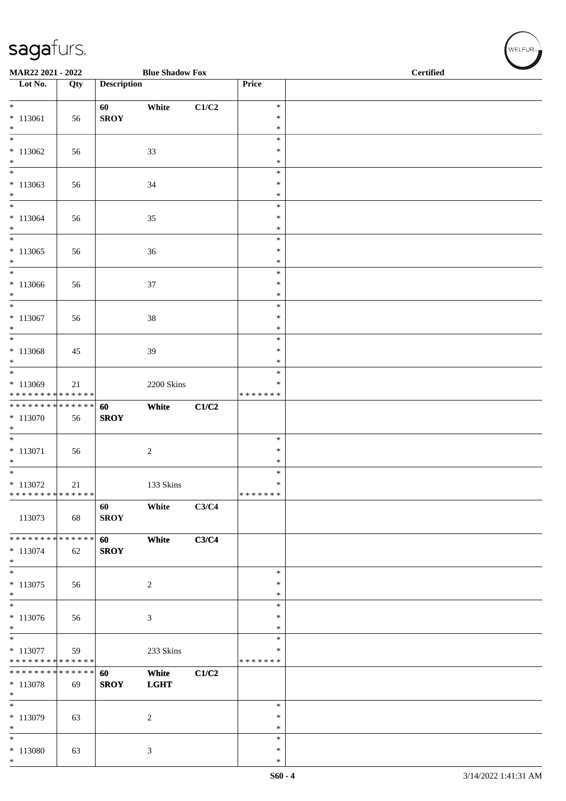| MAR22 2021 - 2022<br><b>Blue Shadow Fox</b>                           |                   |                    |                      |       |                                   | <b>Certified</b> |
|-----------------------------------------------------------------------|-------------------|--------------------|----------------------|-------|-----------------------------------|------------------|
| $\overline{\phantom{1}}$ Lot No.                                      | $\overline{Q}$ ty | <b>Description</b> |                      |       | Price                             |                  |
| $\overline{\phantom{0}}$<br>$* 113061$<br>$*$                         | 56                | 60<br><b>SROY</b>  | White                | C1/C2 | $\ast$<br>$\ast$<br>$\ast$        |                  |
| $\ast$<br>$*113062$<br>$*$                                            | 56                |                    | 33                   |       | $\ast$<br>$\ast$<br>$\ast$        |                  |
| $\ast$<br>$* 113063$<br>$*$                                           | 56                |                    | 34                   |       | $\ast$<br>$\ast$<br>$\ast$        |                  |
| $*$<br>$*113064$<br>$\ast$                                            | 56                |                    | 35                   |       | $\ast$<br>$\ast$<br>$\ast$        |                  |
| $\overline{\phantom{0}}$<br>$*113065$<br>$*$                          | 56                |                    | 36                   |       | $\ast$<br>$\ast$<br>$\ast$        |                  |
| $*$<br>$*113066$<br>$*$<br>$\overline{\ast}$                          | 56                |                    | $37\,$               |       | $\ast$<br>$\ast$<br>$\ast$        |                  |
| $* 113067$<br>$\ast$<br>$\ast$                                        | 56                |                    | $38\,$               |       | $\ast$<br>$\ast$<br>$\ast$        |                  |
| $* 113068$<br>$*$<br>$*$                                              | 45                |                    | 39                   |       | $\ast$<br>$\ast$<br>$\ast$        |                  |
| $* 113069$<br>* * * * * * * * * * * * * *                             | 21                |                    | 2200 Skins           |       | $\ast$<br>$\ast$<br>* * * * * * * |                  |
| ******** <mark>******</mark><br>$*113070$<br>$\ast$                   | 56                | 60<br><b>SROY</b>  | White                | C1/C2 |                                   |                  |
| $* 113071$<br>$*$<br>$\overline{\ast}$                                | 56                |                    | $\overline{c}$       |       | $\ast$<br>$\ast$<br>$\ast$        |                  |
| $* 113072$<br>******** <mark>******</mark>                            | 21                |                    | 133 Skins            |       | $\ast$<br>$\ast$<br>*******       |                  |
| 113073                                                                | 68                | 60<br><b>SROY</b>  | White                | C3/C4 |                                   |                  |
| * * * * * * * * * * * * * *<br>$* 113074$<br>$*$                      | 62                | 60<br><b>SROY</b>  | White                | C3/C4 |                                   |                  |
| $\ast$<br>$* 113075$<br>$*$                                           | 56                |                    | $\overline{c}$       |       | $\ast$<br>$\ast$<br>$\ast$        |                  |
| $\overline{\ast}$<br>$*113076$<br>$\ast$                              | 56                |                    | $\mathfrak{Z}$       |       | $\ast$<br>$\ast$<br>$\ast$        |                  |
| $\overline{\phantom{0}}$<br>$* 113077$<br>* * * * * * * * * * * * * * | 59                |                    | 233 Skins            |       | $\ast$<br>∗<br>* * * * * * *      |                  |
| * * * * * * * * * * * * * *<br>$* 113078$<br>$*$                      | 69                | 60<br><b>SROY</b>  | White<br><b>LGHT</b> | C1/C2 |                                   |                  |
| $\overline{\phantom{0}}$<br>$*113079$<br>$\ast$                       | 63                |                    | $\boldsymbol{2}$     |       | $\ast$<br>$\ast$<br>$\ast$        |                  |
| $\ast$<br>$* 113080$<br>$*$                                           | 63                |                    | $\mathfrak{Z}$       |       | $\ast$<br>$\ast$<br>$\ast$        |                  |

 $(\sqrt{\text{WELFUR}_{n}})$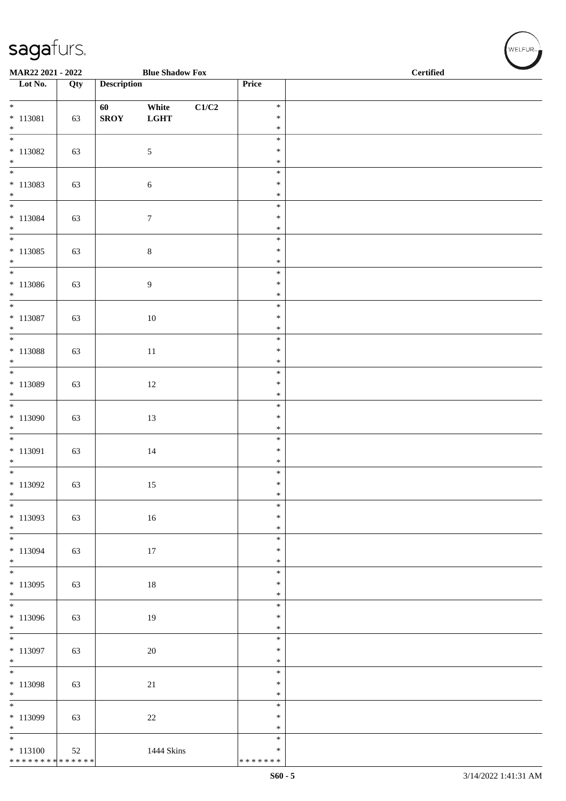|                                                                 | MAR22 2021 - 2022<br><b>Blue Shadow Fox</b> |                    |                      |                           |                                   | <b>Certified</b> |
|-----------------------------------------------------------------|---------------------------------------------|--------------------|----------------------|---------------------------|-----------------------------------|------------------|
| $\overline{\phantom{1}}$ Lot No.                                | Qty                                         | <b>Description</b> |                      |                           | Price                             |                  |
| $\overline{\phantom{0}}$<br>$* 113081$                          | 63                                          | 60<br><b>SROY</b>  | White<br><b>LGHT</b> | $\mathbf{C1}/\mathbf{C2}$ | $\ast$<br>$\ast$                  |                  |
| $\ast$<br>$\overline{\ast}$<br>$* 113082$                       | 63                                          |                    | $\sqrt{5}$           |                           | $\ast$<br>$\ast$<br>$\ast$        |                  |
| $*$ $*$                                                         |                                             |                    |                      |                           | $\ast$                            |                  |
| $* 113083$<br>$\ast$                                            | 63                                          |                    | $\sqrt{6}$           |                           | $\ast$<br>$\ast$<br>$\ast$        |                  |
| $\overline{\phantom{a}^*}$<br>$* 113084$<br>$\ast$              | 63                                          |                    | $7\phantom{.0}$      |                           | $\ast$<br>$\ast$<br>$\ast$        |                  |
| $\overline{\phantom{a}^*}$<br>$*113085$<br>$\ast$               | 63                                          |                    | $\,8\,$              |                           | $\ast$<br>$\ast$<br>$\ast$        |                  |
| $\overline{\phantom{0}}$<br>$* 113086$                          | 63                                          |                    | $\boldsymbol{9}$     |                           | $\ast$<br>$\ast$                  |                  |
| $\ast$<br>$\overline{\phantom{a}^*}$<br>$* 113087$              | 63                                          |                    | $10\,$               |                           | $\ast$<br>$\ast$<br>$\ast$        |                  |
| $\ast$<br>$\overline{\phantom{0}}$<br>$*$ 113088                | 63                                          |                    | $11\,$               |                           | $\ast$<br>$\ast$<br>$\ast$        |                  |
| $\ast$<br>$\overline{\phantom{0}}$<br>$* 113089$                | 63                                          |                    | $12\,$               |                           | $\ast$<br>$\ast$<br>$\ast$        |                  |
| $\ast$<br>$\overline{\phantom{a}^*}$                            |                                             |                    |                      |                           | $\ast$<br>$\ast$                  |                  |
| $*113090$<br>$\ast$<br>$\overline{\phantom{0}}$                 | 63                                          |                    | 13                   |                           | $\ast$<br>$\ast$                  |                  |
| $* 113091$<br>$\ast$                                            | 63                                          |                    | 14                   |                           | $\ast$<br>$\ast$<br>$\ast$        |                  |
| $\overline{\phantom{0}}$<br>$*113092$<br>$\ast$                 | 63                                          |                    | 15                   |                           | $\ast$<br>$\ast$<br>$\ast$        |                  |
| $\overline{\phantom{a}^*}$<br>$*113093$                         | 63                                          |                    | $16\,$               |                           | $\ast$<br>$\ast$<br>$\ast$        |                  |
| $*$ $*$<br>$* 113094$                                           | 63                                          |                    | 17                   |                           | $\ast$<br>$\ast$<br>$\ast$        |                  |
| $*$<br>$*113095$<br>$*$                                         | 63                                          |                    | 18                   |                           | $\ast$<br>$\ast$<br>$\ast$        |                  |
| $\overline{\phantom{0}}$<br>$*113096$                           | 63                                          |                    | 19                   |                           | $\ast$<br>$\ast$<br>$\ast$        |                  |
| $*$ $*$<br>$* 113097$<br>$\ast$                                 | 63                                          |                    | 20                   |                           | $\ast$<br>$\ast$<br>$\ast$        |                  |
| $\overline{\phantom{a}^*}$<br>* 113098<br>$*$                   | 63                                          |                    | $21\,$               |                           | $\ast$<br>$\ast$<br>$\ast$        |                  |
| $\overline{\phantom{a}^*}$<br>$* 113099$<br>$\ast$              | 63                                          |                    | 22                   |                           | $\ast$<br>$\ast$<br>$\ast$        |                  |
| $\overline{\ast}$<br>$* 113100$<br>******** <mark>******</mark> | 52                                          |                    | 1444 Skins           |                           | $\ast$<br>$\ast$<br>* * * * * * * |                  |
|                                                                 |                                             |                    |                      |                           |                                   |                  |

 $\left(\bigvee_{w \in \text{LFUR}_{\text{reg}}}$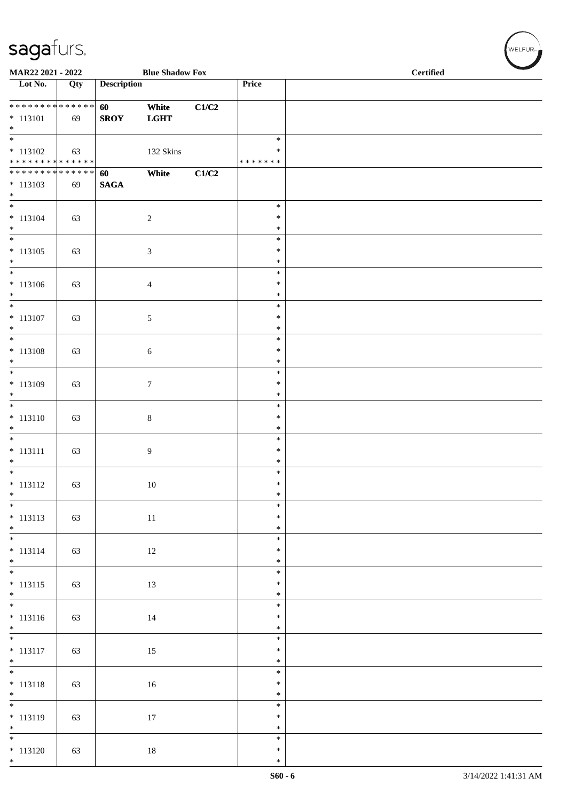| MAR22 2021 - 2022                                                       |     |                       | <b>Blue Shadow Fox</b> |       |                                   | <b>Certified</b> |  |
|-------------------------------------------------------------------------|-----|-----------------------|------------------------|-------|-----------------------------------|------------------|--|
| $\overline{\phantom{1}}$ Lot No.                                        | Qty | <b>Description</b>    |                        |       | Price                             |                  |  |
| $* 113101$<br>$\ast$                                                    | 69  | 60<br><b>SROY</b>     | White<br><b>LGHT</b>   | C1/C2 |                                   |                  |  |
| $\overline{\phantom{a}^*}$<br>$* 113102$<br>* * * * * * * * * * * * * * | 63  |                       | 132 Skins              |       | $\ast$<br>$\ast$<br>* * * * * * * |                  |  |
| **************<br>$* 113103$<br>$*$                                     | 69  | 60<br>$\mathbf{SAGA}$ | White                  | C1/C2 |                                   |                  |  |
| $\overline{\phantom{0}}$<br>$* 113104$<br>$\ast$                        | 63  |                       | $\sqrt{2}$             |       | $\ast$<br>$\ast$<br>$\ast$        |                  |  |
| $_{\ast}$<br>$* 113105$<br>$\ast$                                       | 63  |                       | $\mathfrak{Z}$         |       | $\ast$<br>$\ast$<br>$\ast$        |                  |  |
| $\ast$<br>$* 113106$<br>$\ast$<br>$\frac{1}{*}$                         | 63  |                       | $\overline{4}$         |       | $\ast$<br>$\ast$<br>$\ast$        |                  |  |
| $* 113107$<br>$*$<br>$\overline{\phantom{0}}$                           | 63  |                       | $\sqrt{5}$             |       | $\ast$<br>$\ast$<br>$\ast$        |                  |  |
| $* 113108$<br>$*$                                                       | 63  |                       | $\sqrt{6}$             |       | $\ast$<br>$\ast$<br>$\ast$        |                  |  |
| $\ast$<br>$* 113109$<br>$*$<br>$\overline{\phantom{0}}$                 | 63  |                       | $\boldsymbol{7}$       |       | $\ast$<br>$\ast$<br>$\ast$        |                  |  |
| $* 113110$<br>$\ast$<br>$\overline{\phantom{0}}$                        | 63  |                       | $\,8\,$                |       | $\ast$<br>$\ast$<br>$\ast$        |                  |  |
| $* 113111$<br>$\ast$                                                    | 63  |                       | $\overline{9}$         |       | $\ast$<br>$\ast$<br>$\ast$        |                  |  |
| $\overline{\ast}$<br>$* 113112$<br>$\ast$<br>$\overline{\phantom{0}}$   | 63  |                       | 10                     |       | $\ast$<br>$\ast$<br>$\ast$        |                  |  |
| $* 113113$<br>$*$                                                       | 63  |                       | $11\,$                 |       | $\ast$<br>$\ast$<br>$\ast$        |                  |  |
| $* 113114$<br>$*$                                                       | 63  |                       | $12\,$                 |       | $\ast$<br>$\ast$<br>$\ast$        |                  |  |
| $* 113115$<br>$\begin{array}{c} * \\ * \\ * \end{array}$                | 63  |                       | 13                     |       | $\ast$<br>$\ast$<br>$\ast$        |                  |  |
| $* 113116$<br>$*$                                                       | 63  |                       | 14                     |       | $\ast$<br>$\ast$<br>$\ast$        |                  |  |
| $* 113117$<br>$*$ $*$                                                   | 63  |                       | 15                     |       | $\ast$<br>$\ast$<br>$\ast$        |                  |  |
| $* 113118$<br>$*$                                                       | 63  |                       | $16\,$                 |       | $\ast$<br>$\ast$<br>$\ast$        |                  |  |
| $\overline{\phantom{0}}$<br>$* 113119$<br>$*$                           | 63  |                       | $17\,$                 |       | $\ast$<br>$\ast$<br>$\ast$        |                  |  |
| $\overline{\phantom{0}}$<br>$* 113120$<br>$*$                           | 63  |                       | $18\,$                 |       | $\ast$<br>$\ast$<br>$\ast$        |                  |  |

 $(w$ elfur $\overline{\phantom{a}}$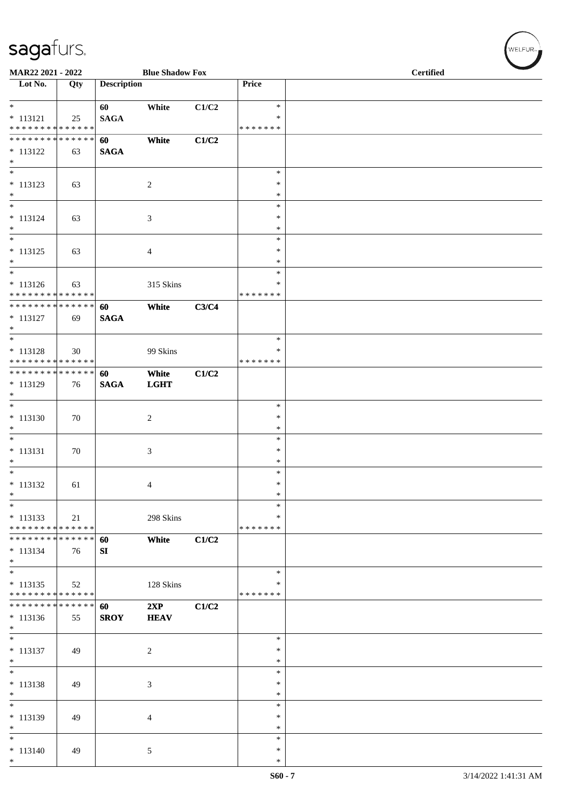| MAR22 2021 - 2022                              |     |                    | <b>Blue Shadow Fox</b> |       |                    | <b>Certified</b> |
|------------------------------------------------|-----|--------------------|------------------------|-------|--------------------|------------------|
| Lot No.                                        | Qty | <b>Description</b> |                        |       | Price              |                  |
| $*$<br>$* 113121$                              | 25  | 60<br><b>SAGA</b>  | White                  | C1/C2 | $\ast$<br>$\ast$   |                  |
| * * * * * * * * * * * * * *                    |     |                    |                        |       | * * * * * * *      |                  |
| **************                                 |     | 60                 | White                  | C1/C2 |                    |                  |
| $* 113122$<br>$\ast$                           | 63  | <b>SAGA</b>        |                        |       |                    |                  |
| $\ast$<br>$* 113123$                           | 63  |                    | $\overline{c}$         |       | $\ast$<br>$\ast$   |                  |
| $\ast$<br>$\ast$                               |     |                    |                        |       | *<br>$\ast$        |                  |
| $* 113124$                                     | 63  |                    | 3                      |       | $\ast$             |                  |
| $\ast$                                         |     |                    |                        |       | $\ast$             |                  |
| $\ast$<br>$* 113125$                           |     |                    |                        |       | $\ast$<br>∗        |                  |
| $\ast$                                         | 63  |                    | $\overline{4}$         |       | $\ast$             |                  |
| $\overline{\phantom{a}^*}$                     |     |                    |                        |       | $\ast$             |                  |
| $* 113126$<br>* * * * * * * * * * * * * * *    | 63  |                    | 315 Skins              |       | ∗<br>* * * * * * * |                  |
| **************                                 |     | 60                 | White                  | C3/C4 |                    |                  |
| $* 113127$<br>$\ast$                           | 69  | <b>SAGA</b>        |                        |       |                    |                  |
| $\ast$                                         |     |                    |                        |       | $\ast$             |                  |
| $* 113128$                                     | 30  |                    | 99 Skins               |       | ∗                  |                  |
| ******** <mark>******</mark><br>************** |     | 60                 |                        |       | * * * * * * *      |                  |
| $* 113129$                                     | 76  | <b>SAGA</b>        | White<br><b>LGHT</b>   | C1/C2 |                    |                  |
| $\ast$                                         |     |                    |                        |       |                    |                  |
| $\ast$<br>$* 113130$                           |     |                    | $\overline{2}$         |       | $\ast$<br>$\ast$   |                  |
| $\ast$                                         | 70  |                    |                        |       | $\ast$             |                  |
| $\overline{\phantom{a}^*}$                     |     |                    |                        |       | $\ast$             |                  |
| $* 113131$                                     | 70  |                    | 3                      |       | ∗                  |                  |
| $\ast$<br>$*$                                  |     |                    |                        |       | $\ast$<br>$\ast$   |                  |
| $* 113132$                                     | 61  |                    | 4                      |       | $\ast$             |                  |
| $\ast$                                         |     |                    |                        |       | $\ast$             |                  |
| $\ast$                                         |     |                    |                        |       | $\ast$             |                  |
| $* 113133$<br>* * * * * * * * * * * * * *      | 21  |                    | 298 Skins              |       | ∗<br>* * * * * * * |                  |
| * * * * * * * * * * * * * *                    |     | 60                 | White                  | C1/C2 |                    |                  |
| $* 113134$<br>$*$                              | 76  | SI                 |                        |       |                    |                  |
| $\ast$                                         |     |                    |                        |       | $\ast$             |                  |
| $* 113135$<br>* * * * * * * * * * * * * *      | 52  |                    | 128 Skins              |       | ∗<br>* * * * * * * |                  |
| * * * * * * * * * * * * * *                    |     | 60                 | 2XP                    | C1/C2 |                    |                  |
| $* 113136$<br>$\ast$                           | 55  | <b>SROY</b>        | <b>HEAV</b>            |       |                    |                  |
| $\overline{\phantom{0}}$                       |     |                    |                        |       | $\ast$             |                  |
| $* 113137$<br>$\ast$                           | 49  |                    | 2                      |       | *<br>∗             |                  |
| $\overline{\ast}$                              |     |                    |                        |       | $\ast$             |                  |
| $* 113138$                                     | 49  |                    | 3                      |       | $\ast$             |                  |
| $\ast$<br>$\ast$                               |     |                    |                        |       | *<br>$\ast$        |                  |
| $* 113139$                                     | 49  |                    | $\overline{4}$         |       | $\ast$             |                  |
| $\ast$                                         |     |                    |                        |       | $\ast$             |                  |
| $\ast$<br>$* 113140$                           | 49  |                    | $\mathfrak{S}$         |       | $\ast$<br>*        |                  |
| $\ast$                                         |     |                    |                        |       | $\ast$             |                  |

 $(\sqrt{\text{WELFUR}_{n}})$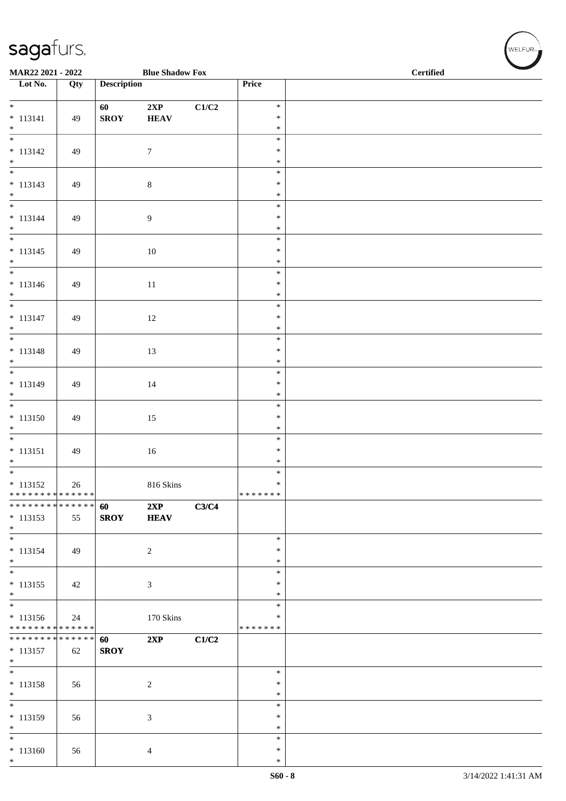| MAR22 2021 - 2022<br><b>Blue Shadow Fox</b>                 |     |                    |                  |                           |                  | <b>Certified</b> |
|-------------------------------------------------------------|-----|--------------------|------------------|---------------------------|------------------|------------------|
| $\overline{\phantom{1}}$ Lot No.                            | Qty | <b>Description</b> |                  |                           | Price            |                  |
|                                                             |     | 60                 | 2XP              | $\mathbf{C1}/\mathbf{C2}$ | $\ast$           |                  |
| $* 113141$                                                  | 49  | <b>SROY</b>        | <b>HEAV</b>      |                           | $\ast$           |                  |
| $*$<br>$\overline{\phantom{0}}$                             |     |                    |                  |                           | $\ast$<br>$\ast$ |                  |
| $* 113142$                                                  | 49  |                    | $\boldsymbol{7}$ |                           | $\ast$           |                  |
| $*$<br>$\frac{1}{*}$                                        |     |                    |                  |                           | $\ast$<br>$\ast$ |                  |
| $* 113143$                                                  | 49  |                    | $8\,$            |                           | $\ast$           |                  |
| $*$<br>$\overline{\phantom{0}}$                             |     |                    |                  |                           | $\ast$           |                  |
| $* 113144$                                                  | 49  |                    | $\overline{9}$   |                           | $\ast$<br>$\ast$ |                  |
| $\ast$<br>$\frac{1}{*}$                                     |     |                    |                  |                           | $\ast$           |                  |
| $* 113145$                                                  | 49  |                    | 10               |                           | $\ast$<br>$\ast$ |                  |
| $*$                                                         |     |                    |                  |                           | $\ast$           |                  |
| $\overline{\phantom{0}}$<br>$* 113146$                      | 49  |                    |                  |                           | $\ast$<br>$\ast$ |                  |
| $*$                                                         |     |                    | $11\,$           |                           | $\ast$           |                  |
| $\overline{\phantom{0}}$                                    |     |                    |                  |                           | $\ast$           |                  |
| $* 113147$<br>$*$                                           | 49  |                    | $12\,$           |                           | $\ast$<br>$\ast$ |                  |
| $\overline{\phantom{0}}$                                    |     |                    |                  |                           | $\ast$           |                  |
| $* 113148$<br>$*$                                           | 49  |                    | 13               |                           | $\ast$<br>$\ast$ |                  |
| $\overline{\phantom{0}}$                                    |     |                    |                  |                           | $\ast$           |                  |
| $* 113149$<br>$*$                                           | 49  |                    | 14               |                           | $\ast$<br>$\ast$ |                  |
| $\overline{\phantom{0}}$                                    |     |                    |                  |                           | $\ast$           |                  |
| $* 113150$                                                  | 49  |                    | 15               |                           | $\ast$           |                  |
| $*$ $*$                                                     |     |                    |                  |                           | $\ast$<br>$\ast$ |                  |
| $* 113151$                                                  | 49  |                    | $16\,$           |                           | $\ast$           |                  |
| $\ast$<br>$\overline{\ast}$                                 |     |                    |                  |                           | $\ast$<br>$\ast$ |                  |
| $* 113152$                                                  | 26  |                    | 816 Skins        |                           | $\ast$           |                  |
| ******** <mark>******</mark><br>* * * * * * * * * * * * * * |     | 60                 | 2XP              | C3/C4                     | *******          |                  |
| $* 113153$                                                  | 55  | <b>SROY</b>        | <b>HEAV</b>      |                           |                  |                  |
| $*$<br>$\ast$                                               |     |                    |                  |                           |                  |                  |
| $* 113154$                                                  | 49  |                    | $\sqrt{2}$       |                           | $\ast$<br>$\ast$ |                  |
| $*$                                                         |     |                    |                  |                           | $\ast$           |                  |
| $*$<br>$* 113155$                                           | 42  |                    | $\mathfrak{Z}$   |                           | $\ast$<br>$\ast$ |                  |
| $*$                                                         |     |                    |                  |                           | *                |                  |
| $\overline{\phantom{0}}$<br>$* 113156$                      |     |                    |                  |                           | $\ast$<br>∗      |                  |
| * * * * * * * * * * * * * *                                 | 24  |                    | 170 Skins        |                           | * * * * * * *    |                  |
| * * * * * * * * * * * * * * *                               |     | 60                 | 2XP              | C1/C2                     |                  |                  |
| $* 113157$<br>$*$                                           | 62  | <b>SROY</b>        |                  |                           |                  |                  |
| $\overline{\phantom{0}}$                                    |     |                    |                  |                           | $\ast$           |                  |
| $* 113158$<br>$*$                                           | 56  |                    | $\sqrt{2}$       |                           | $\ast$<br>*      |                  |
| $\overline{\phantom{0}}$                                    |     |                    |                  |                           | $\ast$           |                  |
| $* 113159$<br>$*$                                           | 56  |                    | $\mathfrak{Z}$   |                           | $\ast$<br>$\ast$ |                  |
| $\overline{\ast}$                                           |     |                    |                  |                           | $\ast$           |                  |
| $* 113160$                                                  | 56  |                    | $\overline{4}$   |                           | $\ast$           |                  |
| $*$                                                         |     |                    |                  |                           | $\ast$           |                  |

 $(w$ ELFUR-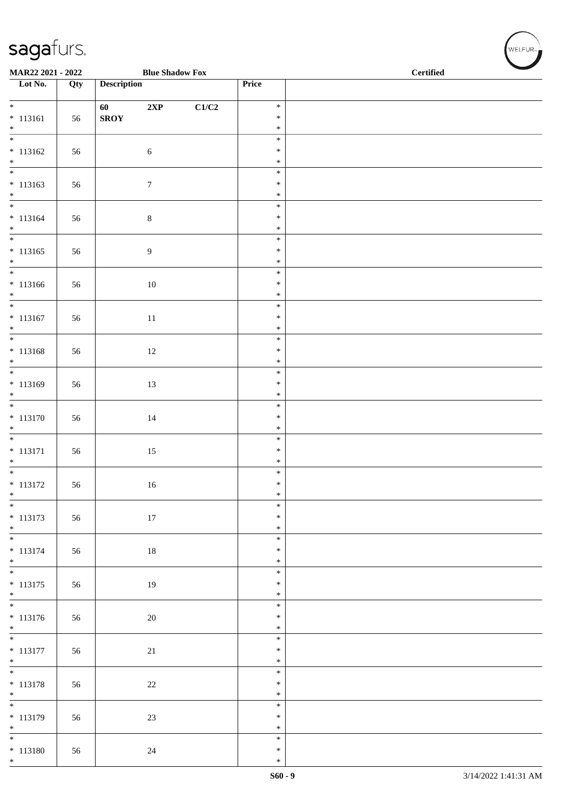| MAR22 2021 - 2022                      |     |                    | <b>Blue Shadow Fox</b> |       |                  | <b>Certified</b> |
|----------------------------------------|-----|--------------------|------------------------|-------|------------------|------------------|
| $\overline{\phantom{1}}$ Lot No.       | Qty | <b>Description</b> |                        |       | Price            |                  |
| $*$                                    |     | 60                 | $2{\bf XP}$            | C1/C2 | $\ast$           |                  |
| $* 113161$<br>$*$                      | 56  | <b>SROY</b>        |                        |       | $\ast$<br>$\ast$ |                  |
| $\overline{\phantom{0}}$               |     |                    |                        |       | $\ast$           |                  |
| $* 113162$                             | 56  |                    | $\sqrt{6}$             |       | $\ast$<br>$\ast$ |                  |
| $*$                                    |     |                    |                        |       | $\ast$           |                  |
| $* 113163$<br>$*$                      | 56  |                    | $\boldsymbol{7}$       |       | $\ast$<br>$\ast$ |                  |
| $\overline{\phantom{0}}$               |     |                    |                        |       | $\ast$           |                  |
| $* 113164$<br>$*$                      | 56  |                    | $8\,$                  |       | $\ast$<br>$\ast$ |                  |
| $\overline{\phantom{0}}$               |     |                    |                        |       | $\ast$           |                  |
| $* 113165$<br>$*$                      | 56  |                    | 9                      |       | $\ast$<br>$\ast$ |                  |
| $\overline{\phantom{0}}$               |     |                    |                        |       | $\ast$           |                  |
| $* 113166$<br>$*$                      | 56  |                    | $10\,$                 |       | $\ast$<br>$\ast$ |                  |
| $\overline{\ast}$                      |     |                    |                        |       | $\ast$           |                  |
| $* 113167$<br>$*$                      | 56  |                    | 11                     |       | $\ast$<br>$\ast$ |                  |
| $\overline{\phantom{0}}$               |     |                    |                        |       | $\ast$<br>$\ast$ |                  |
| $* 113168$<br>$*$ $*$                  | 56  |                    | 12                     |       | $\ast$           |                  |
| $* 113169$                             | 56  |                    |                        |       | $\ast$<br>$\ast$ |                  |
| $\ast$                                 |     |                    | 13                     |       | $\ast$           |                  |
| $* 113170$                             | 56  |                    | 14                     |       | $\ast$<br>$\ast$ |                  |
| $*$                                    |     |                    |                        |       | $\ast$           |                  |
| $\overline{\phantom{0}}$<br>$* 113171$ | 56  |                    | 15                     |       | $\ast$<br>$\ast$ |                  |
| $*$                                    |     |                    |                        |       | $\ast$           |                  |
| $* 113172$                             | 56  |                    | 16                     |       | $\ast$<br>$\ast$ |                  |
| $*$<br>$\overline{\ast}$               |     |                    |                        |       | $\ast$           |                  |
| $* 113173$                             | 56  |                    | $17\,$                 |       | $\ast$<br>$\ast$ |                  |
| $*$<br>$\overline{\phantom{0}}$        |     |                    |                        |       | $\ast$<br>$\ast$ |                  |
| * 113174                               | 56  |                    | $18\,$                 |       | $\ast$           |                  |
| $*$<br>$\overline{\mathbf{r}}$         |     |                    |                        |       | $\ast$<br>$\ast$ |                  |
| $* 113175$                             | 56  |                    | 19                     |       | $\ast$           |                  |
| $*$                                    |     |                    |                        |       | $\ast$<br>$\ast$ |                  |
| $* 113176$                             | 56  |                    | $20\,$                 |       | $\ast$           |                  |
| $*$<br>$\overline{\ast}$               |     |                    |                        |       | $\ast$<br>$\ast$ |                  |
| $* 113177$                             | 56  |                    | 21                     |       | $\ast$           |                  |
| $*$                                    |     |                    |                        |       | $\ast$<br>$\ast$ |                  |
| $* 113178$                             | 56  |                    | $22\,$                 |       | $\ast$           |                  |
| $*$<br>$\overline{\phantom{0}}$        |     |                    |                        |       | $\ast$<br>$\ast$ |                  |
| $* 113179$<br>$*$                      | 56  |                    | $23\,$                 |       | $\ast$<br>$\ast$ |                  |
| $*$                                    |     |                    |                        |       | $\ast$           |                  |
| $* 113180$<br>$*$                      | 56  |                    | 24                     |       | $\ast$<br>$\ast$ |                  |
|                                        |     |                    |                        |       |                  |                  |

WELFUR<sub>TE</sub>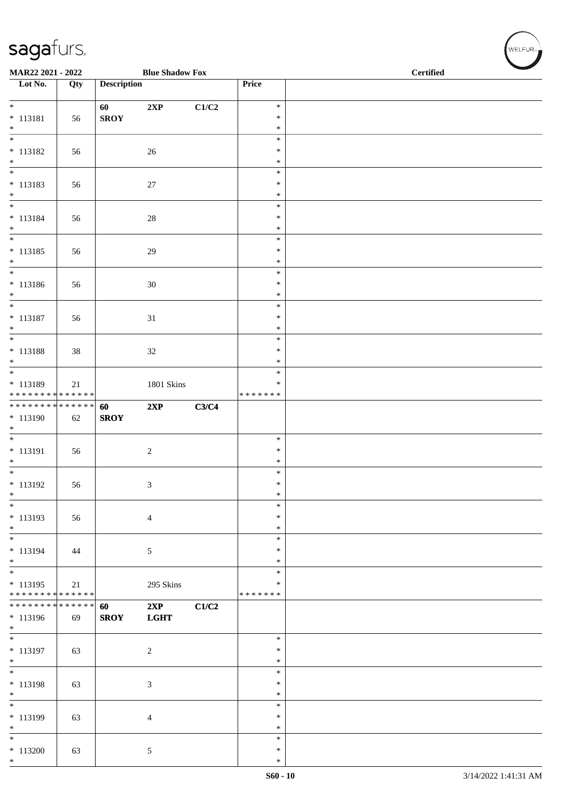| MAR22 2021 - 2022                         |     |                    | <b>Blue Shadow Fox</b> |       |                    | <b>Certified</b> |
|-------------------------------------------|-----|--------------------|------------------------|-------|--------------------|------------------|
| $\overline{\phantom{1}}$ Lot No.          | Qty | <b>Description</b> |                        |       | Price              |                  |
| $*$                                       |     | 60                 | 2XP                    | C1/C2 | $\ast$             |                  |
| $* 113181$                                | 56  | <b>SROY</b>        |                        |       | $\ast$             |                  |
| $*$                                       |     |                    |                        |       | $\ast$             |                  |
| $\overline{\phantom{a}^*}$                |     |                    |                        |       | $\ast$             |                  |
| $* 113182$                                | 56  |                    | 26                     |       | $\ast$             |                  |
| $*$<br>$\overline{\phantom{0}}$           |     |                    |                        |       | $\ast$<br>$\ast$   |                  |
| $* 113183$                                | 56  |                    | 27                     |       | $\ast$             |                  |
| $\ast$                                    |     |                    |                        |       | $\ast$             |                  |
| $\overline{\phantom{0}}$                  |     |                    |                        |       | $\ast$             |                  |
| $* 113184$                                | 56  |                    | $28\,$                 |       | $\ast$             |                  |
| $*$<br>$\frac{1}{*}$                      |     |                    |                        |       | $\ast$<br>$\ast$   |                  |
| $* 113185$                                | 56  |                    | $29\,$                 |       | $\ast$             |                  |
| $*$                                       |     |                    |                        |       | $\ast$             |                  |
| $\overline{\phantom{0}}$                  |     |                    |                        |       | $\ast$             |                  |
| $* 113186$                                | 56  |                    | 30                     |       | $\ast$             |                  |
| $*$<br>$\overline{\phantom{0}}$           |     |                    |                        |       | $\ast$             |                  |
| $* 113187$                                | 56  |                    | 31                     |       | $\ast$<br>$\ast$   |                  |
| $*$                                       |     |                    |                        |       | $\ast$             |                  |
| $\overline{\phantom{0}}$                  |     |                    |                        |       | $\ast$             |                  |
| $* 113188$                                | 38  |                    | $32\,$                 |       | $\ast$             |                  |
| $*$                                       |     |                    |                        |       | $\ast$             |                  |
| * 113189                                  |     |                    |                        |       | $\ast$<br>$\ast$   |                  |
| * * * * * * * * * * * * * *               | 21  |                    | 1801 Skins             |       | * * * * * * *      |                  |
| ******** <mark>******</mark>              |     | 60                 | 2XP                    | C3/C4 |                    |                  |
| $* 113190$                                | 62  | <b>SROY</b>        |                        |       |                    |                  |
| $\ast$                                    |     |                    |                        |       |                    |                  |
|                                           |     |                    |                        |       | $\ast$<br>$\ast$   |                  |
| $* 113191$<br>$*$                         | 56  |                    | $\sqrt{2}$             |       | $\ast$             |                  |
|                                           |     |                    |                        |       | $\ast$             |                  |
| $* 113192$                                | 56  |                    | $\mathfrak{Z}$         |       | $\ast$             |                  |
| $\ast$                                    |     |                    |                        |       | $\ast$             |                  |
| $*$                                       |     |                    |                        |       | $\ast$             |                  |
| $* 113193$<br>$*$                         | 56  |                    | $\overline{4}$         |       | ∗<br>$\ast$        |                  |
| $\overline{\phantom{0}}$                  |     |                    |                        |       | $\ast$             |                  |
| * 113194                                  | 44  |                    | $\sqrt{5}$             |       | $\ast$             |                  |
| $*$                                       |     |                    |                        |       | $\ast$             |                  |
| $\overline{\phantom{a}^*}$                |     |                    |                        |       | ∗                  |                  |
| $* 113195$<br>* * * * * * * * * * * * * * | 21  |                    | 295 Skins              |       | ∗<br>* * * * * * * |                  |
| * * * * * * * * * * * * * *               |     | 60                 | 2XP                    | C1/C2 |                    |                  |
| * 113196                                  | 69  | <b>SROY</b>        | <b>LGHT</b>            |       |                    |                  |
| $\ast$                                    |     |                    |                        |       |                    |                  |
| $\overline{\ast}$                         |     |                    |                        |       | $\ast$             |                  |
| * 113197                                  | 63  |                    | $\sqrt{2}$             |       | $\ast$             |                  |
| $*$<br>$\overline{\phantom{0}}$           |     |                    |                        |       | $\ast$<br>$\ast$   |                  |
| $* 113198$                                | 63  |                    | $\mathfrak{Z}$         |       | $\ast$             |                  |
| $\ast$                                    |     |                    |                        |       | $\ast$             |                  |
| $\overline{\ast}$                         |     |                    |                        |       | $\ast$             |                  |
| * 113199                                  | 63  |                    | $\overline{4}$         |       | $\ast$             |                  |
| $\ast$<br>$\overline{\ast}$               |     |                    |                        |       | $\ast$             |                  |
| $*113200$                                 | 63  |                    | 5                      |       | $\ast$<br>$\ast$   |                  |
| $*$                                       |     |                    |                        |       | $\ast$             |                  |

WELFUR<sub><sup>N</sup></sub>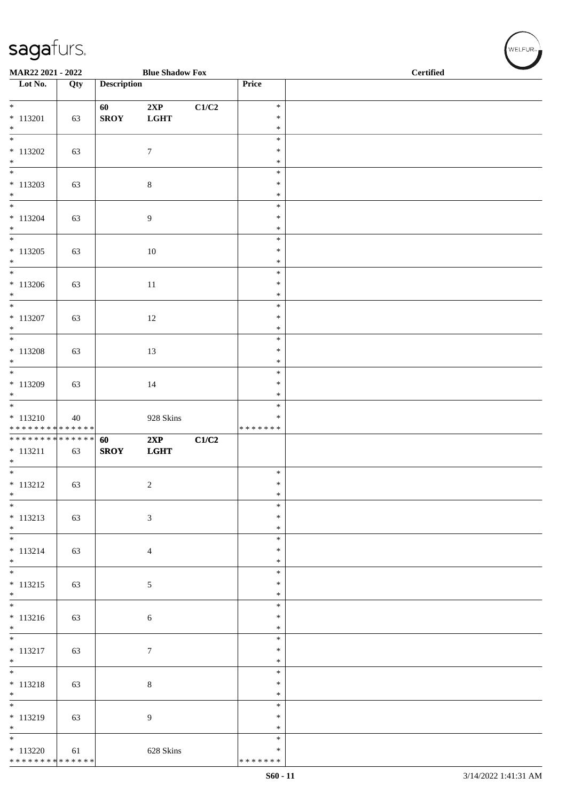| MAR22 2021 - 2022                                           |     |                    | <b>Blue Shadow Fox</b> |       |                                      | <b>Certified</b> |  |  |  |
|-------------------------------------------------------------|-----|--------------------|------------------------|-------|--------------------------------------|------------------|--|--|--|
| $\overline{\phantom{1}}$ Lot No.                            | Qty | <b>Description</b> |                        |       | Price                                |                  |  |  |  |
| $\overline{\phantom{0}}$<br>$* 113201$                      | 63  | 60<br><b>SROY</b>  | 2XP<br>$_{\rm LGHT}$   | C1/C2 | $\ast$<br>$\ast$                     |                  |  |  |  |
| $\ast$<br>$\overline{\phantom{a}^*}$<br>$*113202$<br>$\ast$ | 63  |                    | $\boldsymbol{7}$       |       | $\ast$<br>$\ast$<br>$\ast$<br>$\ast$ |                  |  |  |  |
| $*$<br>$*113203$<br>$\ast$                                  | 63  |                    | $\,8\,$                |       | $\ast$<br>$\ast$<br>$\ast$           |                  |  |  |  |
| $\frac{1}{*}$<br>$* 113204$<br>$\ast$                       | 63  |                    | 9                      |       | $\ast$<br>$\ast$<br>$\ast$           |                  |  |  |  |
| $_{\ast}$<br>$* 113205$<br>$\ast$<br>$\ast$                 | 63  |                    | 10                     |       | $\ast$<br>$\ast$<br>$\ast$           |                  |  |  |  |
| $*113206$<br>$\ast$<br>$\frac{1}{*}$                        | 63  |                    | 11                     |       | $\ast$<br>$\ast$<br>$\ast$<br>$\ast$ |                  |  |  |  |
| $* 113207$<br>$\ast$<br>$\overline{\phantom{0}}$            | 63  |                    | 12                     |       | $\ast$<br>$\ast$<br>$\ast$           |                  |  |  |  |
| $* 113208$<br>$*$<br>$*$                                    | 63  |                    | 13                     |       | $\ast$<br>$\ast$<br>$\ast$           |                  |  |  |  |
| $* 113209$<br>$\ast$<br>$\overline{\phantom{a}^*}$          | 63  |                    | 14                     |       | $\ast$<br>$\ast$<br>$\ast$           |                  |  |  |  |
| $* 113210$<br>* * * * * * * * * * * * * *                   | 40  |                    | 928 Skins              |       | $\ast$<br>* * * * * * *              |                  |  |  |  |
| * * * * * * * * * * * * * *<br>$* 113211$<br>$\ast$         | 63  | 60<br><b>SROY</b>  | 2XP<br>LGHT            | C1/C2 |                                      |                  |  |  |  |
| $* 113212$<br>$\ast$<br>$\frac{1}{*}$                       | 63  |                    | $\sqrt{2}$             |       | $\ast$<br>$\ast$<br>$\ast$           |                  |  |  |  |
| $* 113213$<br>$*$<br>$\overline{\phantom{0}}$               | 63  |                    | $\mathfrak{Z}$         |       | $\ast$<br>$\ast$<br>$\ast$<br>$\ast$ |                  |  |  |  |
| $* 113214$<br>$*$<br>$\overline{\ast}$                      | 63  |                    | $\overline{4}$         |       | $\ast$<br>$\ast$<br>$\ast$           |                  |  |  |  |
| $* 113215$<br>$*$<br>$\overline{\phantom{0}}$               | 63  |                    | $\sqrt{5}$             |       | $\ast$<br>$\ast$<br>$\ast$           |                  |  |  |  |
| $* 113216$<br>$*$<br>$\overline{\phantom{0}}$               | 63  |                    | 6                      |       | $\ast$<br>$\ast$<br>$\ast$           |                  |  |  |  |
| $* 113217$<br>$\ast$<br>$\overline{\phantom{0}}$            | 63  |                    | $\tau$                 |       | $\ast$<br>$\ast$<br>$\ast$           |                  |  |  |  |
| $* 113218$<br>$\ast$<br>$\overline{\phantom{0}}$            | 63  |                    | $\,8\,$                |       | $\ast$<br>$\ast$<br>$\ast$           |                  |  |  |  |
| $* 113219$<br>$*$<br>$\overline{\phantom{0}}$               | 63  |                    | $\overline{9}$         |       | $\ast$<br>$\ast$<br>$\ast$           |                  |  |  |  |
| $*113220$<br>******** <mark>******</mark>                   | 61  |                    | 628 Skins              |       | $\ast$<br>* * * * * * *              |                  |  |  |  |

 $w$ ELFUR-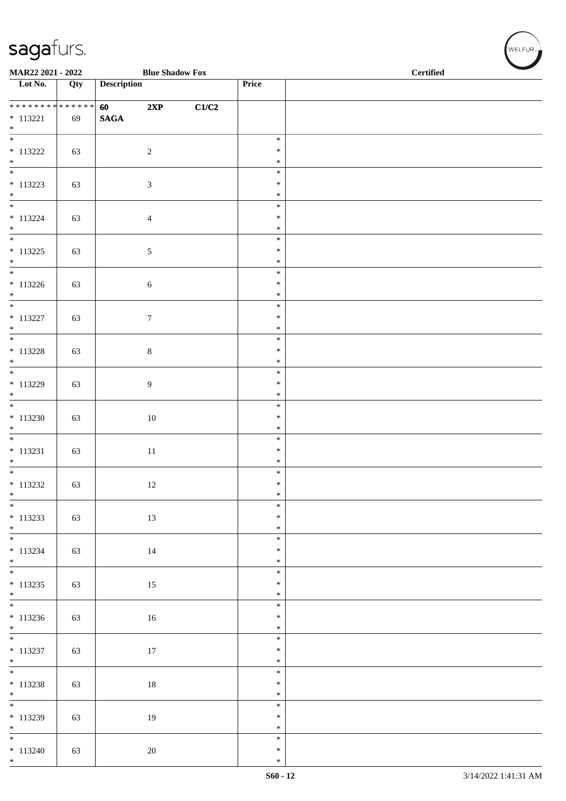\*

| MAR22 2021 - 2022                      |     |                    | <b>Blue Shadow Fox</b> |       |                  | <b>Certified</b> |
|----------------------------------------|-----|--------------------|------------------------|-------|------------------|------------------|
| $\overline{\phantom{1}}$ Lot No.       | Qty | <b>Description</b> |                        |       | Price            |                  |
| **************                         |     | 60                 | 2XP                    | C1/C2 |                  |                  |
| $* 113221$<br>$*$                      | 69  | $\mathbf{SAGA}$    |                        |       |                  |                  |
| $\overline{\ast}$                      |     |                    |                        |       | $\ast$           |                  |
| $* 113222$<br>$*$                      | 63  |                    | $\overline{2}$         |       | $\ast$<br>$\ast$ |                  |
| $\overline{\phantom{0}}$<br>$* 113223$ | 63  |                    | $\mathfrak{Z}$         |       | $\ast$<br>$\ast$ |                  |
| $*$                                    |     |                    |                        |       | $\ast$           |                  |
| $* 113224$                             | 63  |                    | $\overline{4}$         |       | $\ast$<br>$\ast$ |                  |
| $\ast$<br>$\overline{\ast}$            |     |                    |                        |       | $\ast$<br>$\ast$ |                  |
| $* 113225$                             | 63  |                    | $5\phantom{.0}$        |       | $\ast$           |                  |
| $*$<br>$\overline{\phantom{0}}$        |     |                    |                        |       | $\ast$<br>$\ast$ |                  |
| $* 113226$                             | 63  |                    | $\sqrt{6}$             |       | $\ast$           |                  |
| $*$<br>$\overline{\ }$                 |     |                    |                        |       | $\ast$<br>$\ast$ |                  |
| $* 113227$<br>$*$                      | 63  |                    | $\boldsymbol{7}$       |       | $\ast$<br>$\ast$ |                  |
| $\overline{\phantom{0}}$               |     |                    |                        |       | $\ast$           |                  |
| $* 113228$<br>$*$                      | 63  |                    | $8\,$                  |       | $\ast$<br>$\ast$ |                  |
| $\overline{\phantom{0}}$<br>$* 113229$ |     |                    |                        |       | $\ast$<br>$\ast$ |                  |
| $\ast$                                 | 63  |                    | 9                      |       | $\ast$           |                  |
| $\overline{\ }$<br>$* 113230$          | 63  |                    | 10                     |       | $\ast$<br>$\ast$ |                  |
| $\ast$<br>$\overline{\phantom{0}}$     |     |                    |                        |       | $\ast$<br>$\ast$ |                  |
| $* 113231$                             | 63  |                    | $11\,$                 |       | $\ast$           |                  |
| $\ast$                                 |     |                    |                        |       | $\ast$<br>$\ast$ |                  |
| $* 113232$                             | 63  |                    | 12                     |       | $\ast$           |                  |
| $\ast$<br>$\frac{1}{*}$                |     |                    |                        |       | $\ast$<br>$\ast$ |                  |
| $* 113233$<br>$*$                      | 63  |                    | 13                     |       | $\ast$<br>$\ast$ |                  |
| $*$                                    |     |                    |                        |       | $\ast$           |                  |
| $* 113234$<br>$*$                      | 63  |                    | $14\,$                 |       | $\ast$<br>$\ast$ |                  |
| $* 113235$                             | 63  |                    | 15                     |       | $\ast$<br>$\ast$ |                  |
| $*$                                    |     |                    |                        |       | $\ast$           |                  |
| $* 113236$                             | 63  |                    | $16\,$                 |       | $\ast$<br>$\ast$ |                  |
|                                        |     |                    |                        |       | $\ast$<br>$\ast$ |                  |
| $* 113237$                             | 63  |                    | 17                     |       | $\ast$           |                  |
| $*$<br>$\overline{\phantom{0}}$        |     |                    |                        |       | $\ast$<br>$\ast$ |                  |
| $* 113238$<br>$*$                      | 63  |                    | $18\,$                 |       | $\ast$<br>$\ast$ |                  |
| $\overline{\phantom{0}}$               |     |                    |                        |       | $\ast$           |                  |
| $* 113239$<br>$*$                      | 63  |                    | 19                     |       | $\ast$<br>$\ast$ |                  |
| $\overline{\phantom{0}}$               |     |                    |                        |       | $\ast$           |                  |
| $* 113240$<br>$*$                      | 63  |                    | $20\,$                 |       | $\ast$<br>$\ast$ |                  |

 $(w$ ELFUR<sub><sup>n</sub></sub></sub></sup>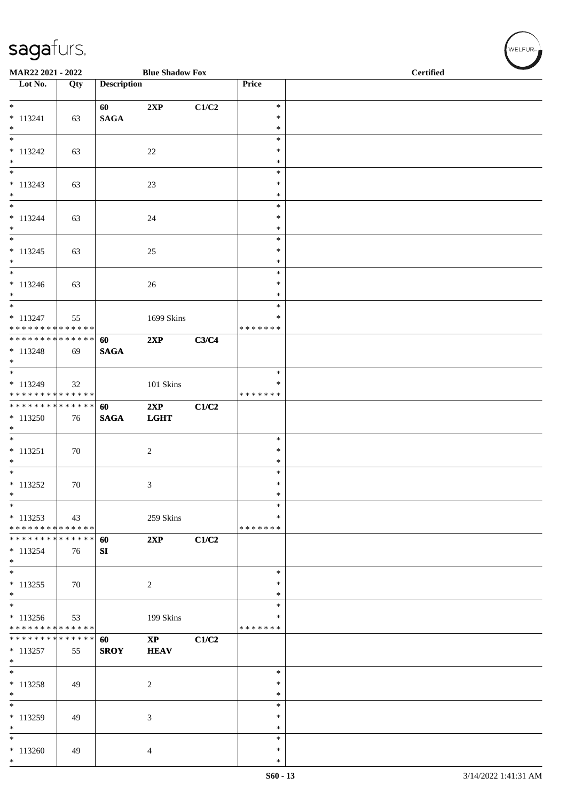| MAR22 2021 - 2022<br><b>Blue Shadow Fox</b>                 |     |                    |                        |       |                    | <b>Certified</b> |
|-------------------------------------------------------------|-----|--------------------|------------------------|-------|--------------------|------------------|
| $\overline{\phantom{1}}$ Lot No.                            | Qty | <b>Description</b> |                        |       | Price              |                  |
|                                                             |     | 60                 | 2XP                    | C1/C2 | $\ast$             |                  |
| $* 113241$                                                  | 63  | <b>SAGA</b>        |                        |       | $\ast$             |                  |
| $*$<br>$\ast$                                               |     |                    |                        |       | $\ast$<br>$\ast$   |                  |
| $* 113242$                                                  | 63  |                    | $22\,$                 |       | $\ast$             |                  |
| $*$<br>$\ast$                                               |     |                    |                        |       | $\ast$<br>$\ast$   |                  |
| $* 113243$                                                  | 63  |                    | 23                     |       | $\ast$             |                  |
| $*$                                                         |     |                    |                        |       | ∗                  |                  |
| $*$<br>$* 113244$                                           | 63  |                    | 24                     |       | $\ast$<br>$\ast$   |                  |
| $*$                                                         |     |                    |                        |       | $\ast$             |                  |
| $\overline{\phantom{0}}$                                    |     |                    |                        |       | $\ast$             |                  |
| $* 113245$<br>$*$                                           | 63  |                    | 25                     |       | $\ast$<br>$\ast$   |                  |
| $\overline{\ast}$                                           |     |                    |                        |       | $\ast$             |                  |
| $* 113246$                                                  | 63  |                    | 26                     |       | $\ast$             |                  |
| $*$<br>$\overline{\phantom{0}}$                             |     |                    |                        |       | $\ast$<br>$\ast$   |                  |
| $* 113247$                                                  | 55  |                    | 1699 Skins             |       | $\ast$             |                  |
| * * * * * * * * * * * * * *<br>******** <mark>******</mark> |     |                    |                        |       | * * * * * * *      |                  |
| $* 113248$                                                  | 69  | 60<br><b>SAGA</b>  | 2XP                    | C3/C4 |                    |                  |
| $*$                                                         |     |                    |                        |       |                    |                  |
| $*$                                                         |     |                    |                        |       | $\ast$             |                  |
| $*113249$<br>* * * * * * * * * * * * * *                    | 32  |                    | 101 Skins              |       | ∗<br>* * * * * * * |                  |
| ******** <mark>******</mark>                                |     | 60                 | 2XP                    | C1/C2 |                    |                  |
| $*113250$                                                   | 76  | <b>SAGA</b>        | <b>LGHT</b>            |       |                    |                  |
| $\ast$<br>$\overline{\phantom{0}}$                          |     |                    |                        |       | $\ast$             |                  |
| $* 113251$                                                  | 70  |                    | $\overline{2}$         |       | $\ast$             |                  |
| $*$                                                         |     |                    |                        |       | $\ast$             |                  |
|                                                             |     |                    |                        |       | $\ast$<br>$\ast$   |                  |
| $* 113252$<br>$\ast$                                        | 70  |                    | $\mathfrak{Z}$         |       | $\ast$             |                  |
| $\ast$                                                      |     |                    |                        |       | ∗                  |                  |
| $*113253$<br>* * * * * * * * * * * * * *                    | 43  |                    | 259 Skins              |       | ∗<br>* * * * * * * |                  |
| **************                                              |     | 60                 | 2XP                    | C1/C2 |                    |                  |
| $*113254$                                                   | 76  | SI                 |                        |       |                    |                  |
| $*$<br>$*$                                                  |     |                    |                        |       | $\ast$             |                  |
| $* 113255$                                                  | 70  |                    | $\overline{c}$         |       | $\ast$             |                  |
| $*$                                                         |     |                    |                        |       | ∗                  |                  |
| $*$<br>$* 113256$                                           |     |                    |                        |       | ∗<br>∗             |                  |
| * * * * * * * * * * * * * *                                 | 53  |                    | 199 Skins              |       | * * * * * * *      |                  |
| * * * * * * * * * * * * * * *                               |     | 60                 | $\mathbf{X}\mathbf{P}$ | C1/C2 |                    |                  |
| $* 113257$<br>$*$                                           | 55  | <b>SROY</b>        | <b>HEAV</b>            |       |                    |                  |
| $*$                                                         |     |                    |                        |       | $\ast$             |                  |
| $* 113258$                                                  | 49  |                    | 2                      |       | $\ast$             |                  |
| $*$<br>$\ast$                                               |     |                    |                        |       | ∗                  |                  |
| $* 113259$                                                  | 49  |                    | 3                      |       | $\ast$<br>$\ast$   |                  |
| $\ast$                                                      |     |                    |                        |       | $\ast$             |                  |
| $\ast$                                                      |     |                    |                        |       | $\ast$             |                  |
| $*113260$<br>$*$                                            | 49  |                    | 4                      |       | ∗<br>$\ast$        |                  |

WELFUR<sub><sup>N</sub></sub></sub></sup>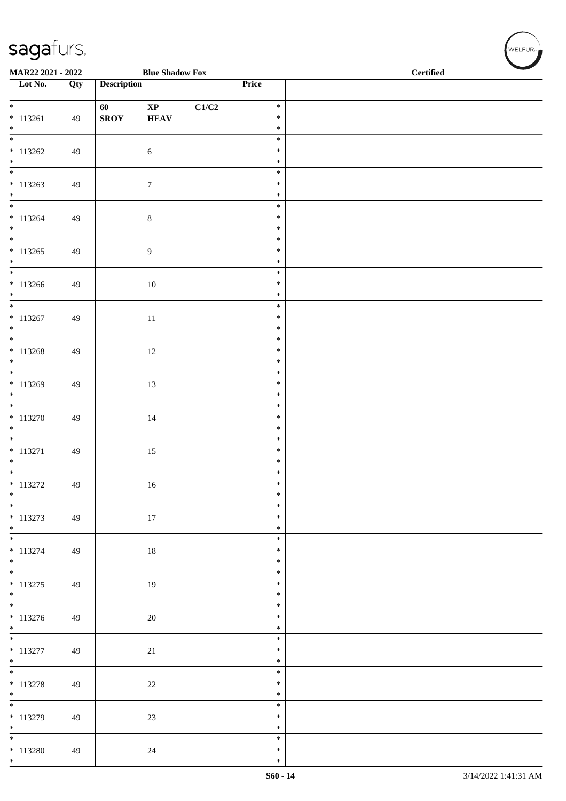| MAR22 2021 - 2022                     |     |                    | <b>Blue Shadow Fox</b> |       |                  | <b>Certified</b> |  |  |  |
|---------------------------------------|-----|--------------------|------------------------|-------|------------------|------------------|--|--|--|
| $\overline{\phantom{1}}$ Lot No.      | Qty | <b>Description</b> |                        |       | Price            |                  |  |  |  |
| $*$                                   |     | 60                 | $\mathbf{X}\mathbf{P}$ | C1/C2 | $\ast$           |                  |  |  |  |
| $* 113261$<br>$*$                     | 49  | <b>SROY</b>        | <b>HEAV</b>            |       | $\ast$<br>$\ast$ |                  |  |  |  |
| $\overline{\phantom{0}}$              |     |                    |                        |       | $\ast$           |                  |  |  |  |
| $* 113262$<br>$*$                     | 49  |                    | $\sqrt{6}$             |       | $\ast$<br>$\ast$ |                  |  |  |  |
| $\overline{\phantom{0}}$              |     |                    |                        |       | $\ast$           |                  |  |  |  |
| $* 113263$<br>$*$                     | 49  |                    | $\boldsymbol{7}$       |       | $\ast$<br>$\ast$ |                  |  |  |  |
| $\overline{\phantom{0}}$              |     |                    |                        |       | $\ast$<br>$\ast$ |                  |  |  |  |
| $* 113264$<br>$*$                     | 49  |                    | $8\,$                  |       | $\ast$           |                  |  |  |  |
| $* 113265$                            | 49  |                    | $\boldsymbol{9}$       |       | $\ast$<br>$\ast$ |                  |  |  |  |
| $*$                                   |     |                    |                        |       | $\ast$           |                  |  |  |  |
| $\overline{\phantom{0}}$<br>$*113266$ | 49  |                    | 10                     |       | $\ast$<br>$\ast$ |                  |  |  |  |
| $*$<br>$*$                            |     |                    |                        |       | $\ast$<br>$\ast$ |                  |  |  |  |
| $* 113267$                            | 49  |                    | $11\,$                 |       | $\ast$           |                  |  |  |  |
| $*$                                   |     |                    |                        |       | $\ast$<br>$\ast$ |                  |  |  |  |
| $* 113268$                            | 49  |                    | 12                     |       | $\ast$           |                  |  |  |  |
| $*$                                   |     |                    |                        |       | $\ast$<br>$\ast$ |                  |  |  |  |
| $* 113269$                            | 49  |                    | 13                     |       | $\ast$           |                  |  |  |  |
| $*$<br>$*$                            |     |                    |                        |       | $\ast$<br>$\ast$ |                  |  |  |  |
| $* 113270$<br>$\ast$                  | 49  |                    | 14                     |       | $\ast$<br>$\ast$ |                  |  |  |  |
|                                       |     |                    |                        |       | $\ast$           |                  |  |  |  |
| $* 113271$<br>$*$                     | 49  |                    | $15\,$                 |       | $\ast$<br>$\ast$ |                  |  |  |  |
| $* 113272$                            | 49  |                    |                        |       | $\ast$<br>$\ast$ |                  |  |  |  |
| $\ast$                                |     |                    | 16                     |       | $\ast$           |                  |  |  |  |
| $*$<br>$* 113273$                     | 49  |                    | 17                     |       | $\ast$<br>$\ast$ |                  |  |  |  |
| $*$<br>$\overline{\phantom{0}}$       |     |                    |                        |       | $\ast$           |                  |  |  |  |
| $* 113274$                            | 49  |                    | 18                     |       | $\ast$<br>$\ast$ |                  |  |  |  |
| $*$<br>$\overline{\ast}$              |     |                    |                        |       | $\ast$<br>$\ast$ |                  |  |  |  |
| $* 113275$                            | 49  |                    | 19                     |       | $\ast$           |                  |  |  |  |
| $*$                                   |     |                    |                        |       | $\ast$<br>$\ast$ |                  |  |  |  |
| $* 113276$                            | 49  |                    | 20                     |       | $\ast$           |                  |  |  |  |
| $*$                                   |     |                    |                        |       | $\ast$<br>$\ast$ |                  |  |  |  |
| $* 113277$<br>$*$                     | 49  |                    | $21\,$                 |       | $\ast$<br>$\ast$ |                  |  |  |  |
|                                       |     |                    |                        |       | $\ast$           |                  |  |  |  |
| $* 113278$<br>$*$                     | 49  |                    | $22\,$                 |       | $\ast$<br>$\ast$ |                  |  |  |  |
|                                       |     |                    |                        |       | $\ast$           |                  |  |  |  |
| $* 113279$<br>$*$                     | 49  |                    | $23\,$                 |       | $\ast$<br>$\ast$ |                  |  |  |  |
| $\overline{\ast}$<br>$* 113280$       | 49  |                    | 24                     |       | $\ast$<br>$\ast$ |                  |  |  |  |
| $*$                                   |     |                    |                        |       | $\ast$           |                  |  |  |  |

WELFUR<sub><sup>N</sub></sub></sub></sup>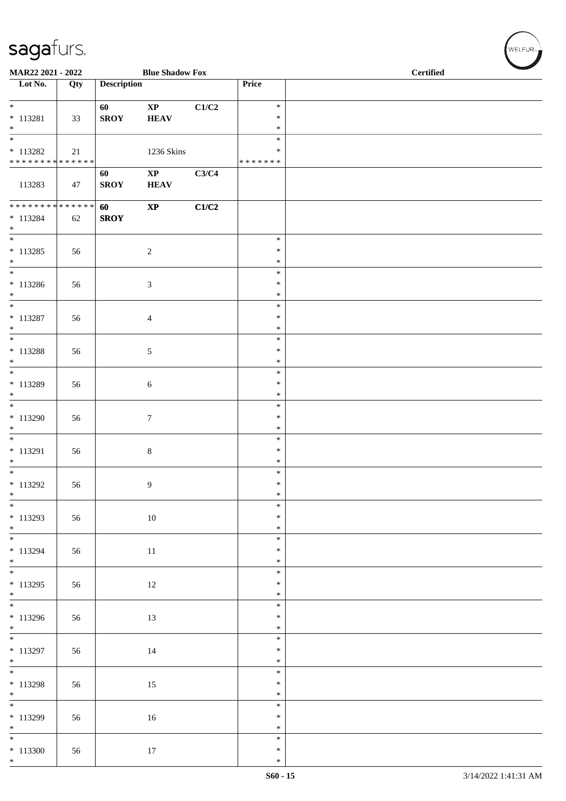| MAR22 2021 - 2022                                                             |     |                    | <b>Blue Shadow Fox</b>                |       |                             | <b>Certified</b> |  |  |
|-------------------------------------------------------------------------------|-----|--------------------|---------------------------------------|-------|-----------------------------|------------------|--|--|
| Lot No.                                                                       | Qty | <b>Description</b> |                                       |       | Price                       |                  |  |  |
| $\overline{\ast}$<br>* 113281<br>$*$                                          | 33  | 60<br><b>SROY</b>  | $\mathbf{X}\mathbf{P}$<br><b>HEAV</b> | C1/C2 | $\ast$<br>$\ast$<br>$\ast$  |                  |  |  |
| $\overline{\ast}$<br>$* 113282$<br>* * * * * * * * <mark>* * * * * * *</mark> | 21  |                    | 1236 Skins                            |       | $\ast$<br>$\ast$<br>******* |                  |  |  |
| 113283                                                                        | 47  | 60<br><b>SROY</b>  | $\mathbf{XP}$<br><b>HEAV</b>          | C3/C4 |                             |                  |  |  |
| ******** <mark>******</mark><br>$* 113284$<br>$*$                             | 62  | 60<br><b>SROY</b>  | $\bold{XP}$                           | C1/C2 |                             |                  |  |  |
| $* 113285$<br>$*$                                                             | 56  |                    | $\overline{2}$                        |       | $\ast$<br>$\ast$<br>$\ast$  |                  |  |  |
| $* 113286$<br>$\ast$                                                          | 56  |                    | $\mathfrak{Z}$                        |       | $\ast$<br>$\ast$<br>$\ast$  |                  |  |  |
| $* 113287$<br>$*$                                                             | 56  |                    | $\overline{4}$                        |       | $\ast$<br>$\ast$<br>$\ast$  |                  |  |  |
| * 113288<br>$*$                                                               | 56  |                    | $\mathfrak{S}$                        |       | $\ast$<br>$\ast$<br>$\ast$  |                  |  |  |
| * 113289<br>$*$                                                               | 56  |                    | $\sqrt{6}$                            |       | $\ast$<br>$\ast$<br>$\ast$  |                  |  |  |
| $*113290$<br>$*$                                                              | 56  |                    | $\tau$                                |       | $\ast$<br>$\ast$<br>$\ast$  |                  |  |  |
| $* 113291$<br>$*$                                                             | 56  |                    | $\,8\,$                               |       | $\ast$<br>$\ast$<br>$\ast$  |                  |  |  |
| * 113292<br>$*$                                                               | 56  |                    | 9                                     |       | $\ast$<br>$\ast$<br>$\ast$  |                  |  |  |
| $* 113293$<br>$*$                                                             | 56  |                    | $10\,$                                |       | $\ast$<br>$\ast$<br>$\ast$  |                  |  |  |
| $* 113294$<br>$*$                                                             | 56  |                    | 11                                    |       | $\ast$<br>$\ast$<br>$\ast$  |                  |  |  |
| $\overline{\ast}$<br>$* 113295$<br>$*$                                        | 56  |                    | 12                                    |       | $\ast$<br>$\ast$<br>$\ast$  |                  |  |  |
| $\overline{\ast}$<br>$*113296$<br>$*$                                         | 56  |                    | 13                                    |       | $\ast$<br>$\ast$<br>$\ast$  |                  |  |  |
| $* 113297$<br>$*$                                                             | 56  |                    | 14                                    |       | $\ast$<br>$\ast$<br>$\ast$  |                  |  |  |
| $* 113298$<br>$*$                                                             | 56  |                    | 15                                    |       | $\ast$<br>$\ast$<br>$\ast$  |                  |  |  |
| $*113299$<br>$*$                                                              | 56  |                    | 16                                    |       | $\ast$<br>$\ast$<br>$\ast$  |                  |  |  |
| $*113300$<br>$*$                                                              | 56  |                    | 17                                    |       | $\ast$<br>$\ast$<br>$\ast$  |                  |  |  |

 $(\sqrt{\text{WELFUR}_{n}})$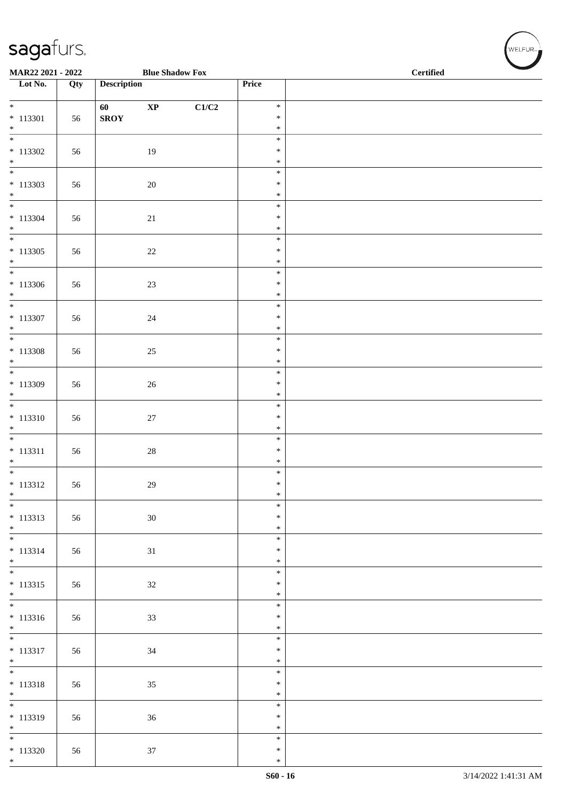| MAR22 2021 - 2022                      |     |                    | <b>Blue Shadow Fox</b> |       |                  | <b>Certified</b> |  |  |  |
|----------------------------------------|-----|--------------------|------------------------|-------|------------------|------------------|--|--|--|
| $\overline{\phantom{1}}$ Lot No.       | Qty | <b>Description</b> |                        |       | Price            |                  |  |  |  |
| $*$                                    |     | 60                 | $\mathbf{X}\mathbf{P}$ | C1/C2 | $\ast$           |                  |  |  |  |
| $* 113301$                             | 56  | <b>SROY</b>        |                        |       | $\ast$           |                  |  |  |  |
| $\ast$<br>$\overline{\phantom{0}}$     |     |                    |                        |       | $\ast$<br>$\ast$ |                  |  |  |  |
| $* 113302$<br>$*$                      | 56  |                    | 19                     |       | $\ast$<br>$\ast$ |                  |  |  |  |
|                                        |     |                    |                        |       | $\ast$           |                  |  |  |  |
| $* 113303$<br>$\ast$                   | 56  |                    | 20                     |       | $\ast$<br>$\ast$ |                  |  |  |  |
| $\overline{\phantom{0}}$               |     |                    |                        |       | $\ast$           |                  |  |  |  |
| $* 113304$<br>$*$                      | 56  |                    | 21                     |       | $\ast$<br>$\ast$ |                  |  |  |  |
| $\overline{\phantom{0}}$               |     |                    |                        |       | $\ast$           |                  |  |  |  |
| $* 113305$<br>$*$                      | 56  |                    | $22\,$                 |       | $\ast$<br>$\ast$ |                  |  |  |  |
| $\overline{\ast}$                      |     |                    |                        |       | $\ast$           |                  |  |  |  |
| $* 113306$<br>$*$                      | 56  |                    | $23\,$                 |       | $\ast$<br>$\ast$ |                  |  |  |  |
| $\overline{\ }$                        |     |                    |                        |       | $\ast$<br>$\ast$ |                  |  |  |  |
| $* 113307$<br>$\ast$                   | 56  |                    | $24\,$                 |       | $\ast$           |                  |  |  |  |
| $\overline{\phantom{0}}$<br>$* 113308$ | 56  |                    | $25\,$                 |       | $\ast$<br>$\ast$ |                  |  |  |  |
| $*$                                    |     |                    |                        |       | $\ast$           |                  |  |  |  |
| $* 113309$                             | 56  |                    | $26\,$                 |       | $\ast$<br>$\ast$ |                  |  |  |  |
| $\ast$<br>$\overline{\phantom{0}}$     |     |                    |                        |       | $\ast$           |                  |  |  |  |
| $* 113310$                             | 56  |                    | $27\,$                 |       | $\ast$<br>$\ast$ |                  |  |  |  |
| $\ast$<br>$\overline{\phantom{0}}$     |     |                    |                        |       | $\ast$<br>$\ast$ |                  |  |  |  |
| $* 113311$                             | 56  |                    | $28\,$                 |       | $\ast$           |                  |  |  |  |
| $\ast$<br>$*$                          |     |                    |                        |       | $\ast$<br>$\ast$ |                  |  |  |  |
| $* 113312$                             | 56  |                    | 29                     |       | $\ast$           |                  |  |  |  |
| $\ast$<br>$\frac{1}{*}$                |     |                    |                        |       | $\ast$<br>$\ast$ |                  |  |  |  |
| $* 113313$                             | 56  |                    | $30\,$                 |       | $\ast$           |                  |  |  |  |
| $*$<br>$\overline{\phantom{0}}$        |     |                    |                        |       | $\ast$<br>$\ast$ |                  |  |  |  |
| $* 113314$<br>$*$                      | 56  |                    | $31\,$                 |       | $\ast$<br>$\ast$ |                  |  |  |  |
|                                        |     |                    |                        |       | $\ast$           |                  |  |  |  |
| $* 113315$<br>$*$                      | 56  |                    | $32\,$                 |       | $\ast$<br>$\ast$ |                  |  |  |  |
|                                        |     |                    |                        |       | $\ast$           |                  |  |  |  |
| $* 113316$<br>$*$                      | 56  |                    | 33                     |       | $\ast$<br>$\ast$ |                  |  |  |  |
| $* 113317$                             | 56  |                    | 34                     |       | $\ast$<br>$\ast$ |                  |  |  |  |
| $*$                                    |     |                    |                        |       | $\ast$           |                  |  |  |  |
| $* 113318$                             | 56  |                    | 35                     |       | $\ast$<br>$\ast$ |                  |  |  |  |
| $*$<br>$\overline{\phantom{0}}$        |     |                    |                        |       | $\ast$           |                  |  |  |  |
| $* 113319$                             | 56  |                    | 36                     |       | $\ast$<br>$\ast$ |                  |  |  |  |
| $*$<br>$\overline{\phantom{0}}$        |     |                    |                        |       | $\ast$<br>$\ast$ |                  |  |  |  |
| $* 113320$                             | 56  |                    | $37\,$                 |       | $\ast$           |                  |  |  |  |
| $*$                                    |     |                    |                        |       | $\ast$           |                  |  |  |  |

WELFUR<sub><sup>N</sup></sub>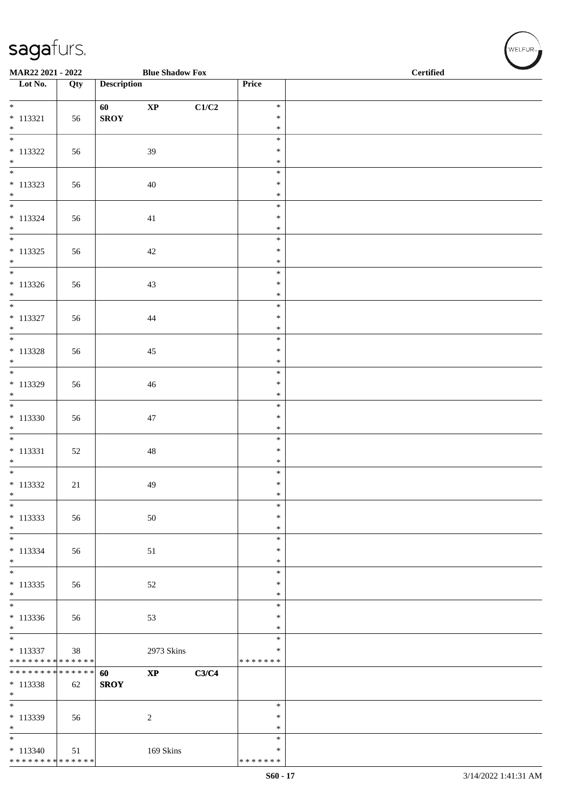| MAR22 2021 - 2022                          |     | <b>Blue Shadow Fox</b> |       |                         | <b>Certified</b> |  |  |
|--------------------------------------------|-----|------------------------|-------|-------------------------|------------------|--|--|
| Lot No.                                    | Qty | <b>Description</b>     |       | Price                   |                  |  |  |
| $\overline{\ast}$                          |     | $\bold{XP}$<br>60      | C1/C2 | $\ast$                  |                  |  |  |
| $* 113321$<br>$\ast$                       | 56  | <b>SROY</b>            |       | $\ast$<br>$\ast$        |                  |  |  |
| $_{\ast}$                                  |     |                        |       | $\ast$                  |                  |  |  |
| $* 113322$<br>$\ast$                       | 56  | 39                     |       | $\ast$<br>$\ast$        |                  |  |  |
| $\overline{\phantom{0}}$<br>$* 113323$     | 56  | 40                     |       | $\ast$<br>$\ast$        |                  |  |  |
| $\ast$<br>$\frac{1}{1}$                    |     |                        |       | $\ast$<br>$\ast$        |                  |  |  |
| $* 113324$<br>$\ast$                       | 56  | 41                     |       | $\ast$<br>$\ast$        |                  |  |  |
| $\overline{\phantom{0}}$<br>$* 113325$     | 56  | 42                     |       | $\ast$<br>$\ast$        |                  |  |  |
| $*$                                        |     |                        |       | $\ast$                  |                  |  |  |
| $*$<br>$* 113326$                          | 56  | $43\,$                 |       | $\ast$<br>$\ast$        |                  |  |  |
| $\ast$<br>$\frac{1}{*}$                    |     |                        |       | $\ast$                  |                  |  |  |
| $* 113327$                                 | 56  | 44                     |       | $\ast$<br>$\ast$        |                  |  |  |
| $\ast$<br>$\overline{\phantom{a}^*}$       |     |                        |       | $\ast$<br>$\ast$        |                  |  |  |
| $* 113328$<br>$\ast$                       | 56  | 45                     |       | $\ast$<br>$\ast$        |                  |  |  |
| $\overline{\phantom{0}}$                   |     |                        |       | $\ast$                  |                  |  |  |
| * 113329<br>$\ast$                         | 56  | 46                     |       | $\ast$<br>$\ast$        |                  |  |  |
| $\overline{\phantom{0}}$<br>$*113330$      | 56  | 47                     |       | $\ast$<br>$\ast$        |                  |  |  |
| $\ast$                                     |     |                        |       | $\ast$                  |                  |  |  |
| $\overline{\phantom{a}^*}$<br>$* 113331$   | 52  | $48\,$                 |       | $\ast$<br>$\ast$        |                  |  |  |
| $\ast$                                     |     |                        |       | $\ast$                  |                  |  |  |
| $\ast$<br>$* 113332$                       | 21  | 49                     |       | $\ast$<br>$\ast$        |                  |  |  |
| $\ast$<br>$\overline{\phantom{a}^*}$       |     |                        |       | $\ast$                  |                  |  |  |
| $* 113333$                                 | 56  | 50                     |       | $\ast$<br>∗             |                  |  |  |
| $\ast$<br>$\overline{\phantom{a}^*}$       |     |                        |       | $\ast$                  |                  |  |  |
| $* 113334$                                 | 56  | 51                     |       | $\ast$<br>$\ast$        |                  |  |  |
| $\ast$<br>$\overline{\phantom{a}^*}$       |     |                        |       | $\ast$<br>$\ast$        |                  |  |  |
| $* 113335$<br>$\ast$                       | 56  | 52                     |       | $\ast$<br>$\ast$        |                  |  |  |
| $\frac{1}{*}$                              |     |                        |       | $\ast$                  |                  |  |  |
| $* 113336$<br>$\ast$                       | 56  | 53                     |       | $\ast$<br>$\ast$        |                  |  |  |
| $\overline{\phantom{0}}$                   |     |                        |       | $\ast$                  |                  |  |  |
| $* 113337$<br>******** <mark>******</mark> | 38  | 2973 Skins             |       | $\ast$<br>* * * * * * * |                  |  |  |
| ******** <mark>******</mark>               |     | $\bold{XP}$<br>60      | C3/C4 |                         |                  |  |  |
| $* 113338$<br>$\ast$                       | 62  | <b>SROY</b>            |       |                         |                  |  |  |
| $\overline{\phantom{a}^*}$                 |     |                        |       | $\ast$<br>$\ast$        |                  |  |  |
| $*113339$<br>$\ast$                        | 56  | $\sqrt{2}$             |       | *                       |                  |  |  |
| $_{\ast}^{-}$<br>$* 113340$                |     |                        |       | $\ast$<br>∗             |                  |  |  |
| ******** <mark>******</mark>               | 51  | 169 Skins              |       | * * * * * * *           |                  |  |  |

WELFUR<sub>72</sub>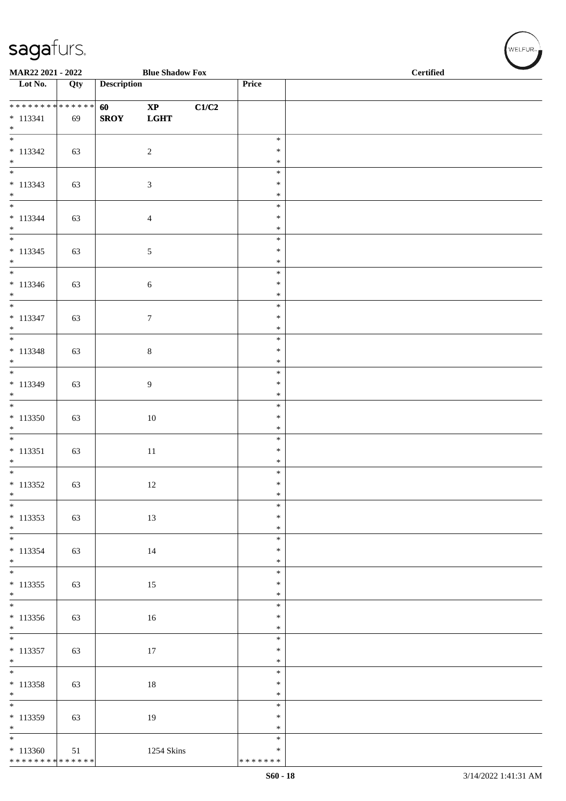| MAR22 2021 - 2022                                              |     |                    | <b>Blue Shadow Fox</b>                  |       |                                      | <b>Certified</b> |
|----------------------------------------------------------------|-----|--------------------|-----------------------------------------|-------|--------------------------------------|------------------|
| Lot No.                                                        | Qty | <b>Description</b> |                                         |       | Price                                |                  |
| **************<br>$* 113341$<br>$*$                            | 69  | 60<br><b>SROY</b>  | $\mathbf{X}\mathbf{P}$<br>$_{\rm LGHT}$ | C1/C2 |                                      |                  |
| $\overline{\phantom{0}}$<br>$* 113342$<br>$\ast$               | 63  |                    | $\sqrt{2}$                              |       | $\ast$<br>$\ast$<br>$\ast$           |                  |
| $\overline{\phantom{0}}$<br>$* 113343$<br>$*$<br>$\frac{1}{*}$ | 63  |                    | $\mathfrak{Z}$                          |       | $\ast$<br>$\ast$<br>$\ast$           |                  |
| $* 113344$<br>$\ast$<br>$\overline{\phantom{0}}$               | 63  |                    | $\overline{4}$                          |       | $\ast$<br>$\ast$<br>$\ast$           |                  |
| $* 113345$<br>$\ast$<br>$\overline{\phantom{0}}$               | 63  |                    | $\sqrt{5}$                              |       | $\ast$<br>$\ast$<br>$\ast$<br>$\ast$ |                  |
| $* 113346$<br>$*$<br>$\frac{1}{*}$                             | 63  |                    | $6\,$                                   |       | $\ast$<br>$\ast$<br>$\ast$           |                  |
| $* 113347$<br>$*$<br>$\overline{\phantom{0}}$                  | 63  |                    | $\boldsymbol{7}$                        |       | $\ast$<br>$\ast$<br>$\ast$           |                  |
| $* 113348$<br>$*$<br>$*$                                       | 63  |                    | $\,8\,$                                 |       | $\ast$<br>$\ast$<br>$\ast$           |                  |
| $* 113349$<br>$*$<br>$\overline{\phantom{0}}$                  | 63  |                    | $\overline{9}$                          |       | $\ast$<br>$\ast$<br>$\ast$           |                  |
| $*113350$<br>$\ast$<br>$\overline{\phantom{0}}$                | 63  |                    | 10                                      |       | $\ast$<br>$\ast$<br>$\ast$           |                  |
| $* 113351$<br>$\ast$                                           | 63  |                    | $11\,$                                  |       | $\ast$<br>$\ast$<br>$\ast$           |                  |
| $* 113352$<br>$\ast$<br>$\frac{1}{1}$                          | 63  |                    | 12                                      |       | $\ast$<br>$\ast$<br>$\ast$           |                  |
| $* 113353$<br>$*$<br>$\overline{\phantom{0}}$                  | 63  |                    | 13                                      |       | $\ast$<br>$\ast$<br>$\ast$           |                  |
| $* 113354$<br>$*$<br>$\overline{\phantom{0}}$                  | 63  |                    | $14\,$                                  |       | $\ast$<br>$\ast$<br>$\ast$           |                  |
| $* 113355$<br>$*$<br>$\overline{\phantom{0}}$                  | 63  |                    | 15                                      |       | $\ast$<br>$\ast$<br>$\ast$           |                  |
| $*113356$<br>$*$<br>$\overline{\phantom{0}}$                   | 63  |                    | 16                                      |       | $\ast$<br>$\ast$<br>$\ast$           |                  |
| $* 113357$<br>$\ast$                                           | 63  |                    | 17                                      |       | $\ast$<br>$\ast$<br>$\ast$           |                  |
| $* 113358$<br>$\ast$<br>$\overline{\phantom{0}}$               | 63  |                    | 18                                      |       | $\ast$<br>$\ast$<br>$\ast$           |                  |
| $* 113359$<br>$*$<br>$\overline{\phantom{0}}$                  | 63  |                    | 19                                      |       | $\ast$<br>$\ast$<br>$\ast$           |                  |
| $*113360$<br>******** <mark>******</mark>                      | 51  |                    | 1254 Skins                              |       | $\ast$<br>* * * * * * *              |                  |

 $w$ ELFUR<sub>m</sub>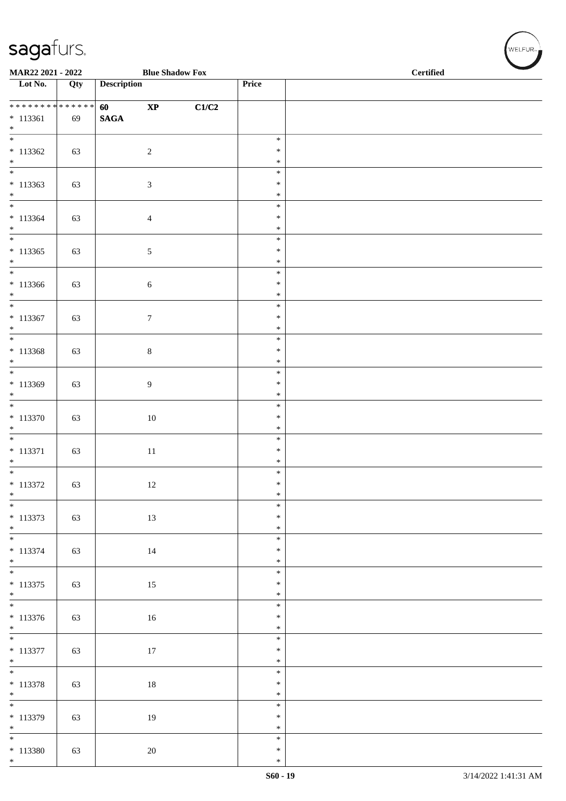| MAR22 2021 - 2022                             |     |                    | <b>Blue Shadow Fox</b> |       |                  | <b>Certified</b> |  |  |  |
|-----------------------------------------------|-----|--------------------|------------------------|-------|------------------|------------------|--|--|--|
| $\overline{\phantom{1}}$ Lot No.              | Qty | <b>Description</b> |                        |       | Price            |                  |  |  |  |
| * * * * * * * * * * * * * * *                 |     | 60                 | $\bold{XP}$            | C1/C2 |                  |                  |  |  |  |
| $* 113361$<br>$*$                             | 69  | $\mathbf{SAGA}$    |                        |       |                  |                  |  |  |  |
| $\overline{\phantom{0}}$<br>$*113362$         | 63  |                    | $\sqrt{2}$             |       | $\ast$<br>$\ast$ |                  |  |  |  |
| $*$<br>$\overline{\phantom{0}}$               |     |                    |                        |       | $\ast$<br>$\ast$ |                  |  |  |  |
| $* 113363$<br>$*$                             | 63  |                    | 3                      |       | $\ast$<br>$\ast$ |                  |  |  |  |
| $\overline{\ast}$<br>$* 113364$               |     |                    |                        |       | $\ast$<br>$\ast$ |                  |  |  |  |
| $\ast$<br>$\overline{\phantom{0}}$            | 63  |                    | $\overline{4}$         |       | $\ast$           |                  |  |  |  |
| $* 113365$                                    | 63  |                    | 5                      |       | $\ast$<br>$\ast$ |                  |  |  |  |
| $*$                                           |     |                    |                        |       | $\ast$<br>$\ast$ |                  |  |  |  |
| $*113366$<br>$*$                              | 63  |                    | $\sqrt{6}$             |       | $\ast$<br>$\ast$ |                  |  |  |  |
| $*$<br>$* 113367$                             | 63  |                    | $\boldsymbol{7}$       |       | $\ast$<br>$\ast$ |                  |  |  |  |
| $*$<br>$\overline{\phantom{0}}$               |     |                    |                        |       | $\ast$<br>$\ast$ |                  |  |  |  |
| $* 113368$<br>$*$                             | 63  |                    | $\,8\,$                |       | $\ast$<br>$\ast$ |                  |  |  |  |
| $\overline{\phantom{0}}$                      |     |                    |                        |       | $\ast$<br>$\ast$ |                  |  |  |  |
| $* 113369$<br>$*$<br>$\overline{\phantom{0}}$ | 63  |                    | 9                      |       | $\ast$           |                  |  |  |  |
| $* 113370$                                    | 63  |                    | $10\,$                 |       | $\ast$<br>$\ast$ |                  |  |  |  |
| $\ast$                                        |     |                    |                        |       | $\ast$<br>$\ast$ |                  |  |  |  |
| $* 113371$<br>$*$                             | 63  |                    | 11                     |       | $\ast$<br>$\ast$ |                  |  |  |  |
| $* 113372$                                    | 63  |                    | 12                     |       | $\ast$<br>$\ast$ |                  |  |  |  |
| $\ast$<br>$\overline{\ast}$                   |     |                    |                        |       | $\ast$<br>$\ast$ |                  |  |  |  |
| $* 113373$<br>$*$                             | 63  |                    | $13\,$                 |       | $\ast$<br>$\ast$ |                  |  |  |  |
| $\overline{\phantom{0}}$                      |     |                    |                        |       | $\ast$<br>$\ast$ |                  |  |  |  |
| * 113374<br>$*$                               | 63  |                    | $14\,$                 |       | $\ast$           |                  |  |  |  |
| $* 113375$                                    | 63  |                    | 15                     |       | $\ast$<br>$\ast$ |                  |  |  |  |
| $*$<br>$\overline{\phantom{0}}$               |     |                    |                        |       | $\ast$<br>$\ast$ |                  |  |  |  |
| $* 113376$<br>$*$                             | 63  |                    | $16\,$                 |       | $\ast$<br>$\ast$ |                  |  |  |  |
| $\overline{\phantom{0}}$<br>$* 113377$        | 63  |                    | 17                     |       | $\ast$<br>$\ast$ |                  |  |  |  |
| $*$                                           |     |                    |                        |       | $\ast$<br>$\ast$ |                  |  |  |  |
| $* 113378$<br>$*$                             | 63  |                    | $18\,$                 |       | $\ast$<br>$\ast$ |                  |  |  |  |
| $\overline{\phantom{0}}$                      |     |                    |                        |       | $\ast$<br>$\ast$ |                  |  |  |  |
| $* 113379$<br>$*$<br>$\overline{\phantom{0}}$ | 63  |                    | 19                     |       | $\ast$           |                  |  |  |  |
| $* 113380$                                    | 63  |                    | $20\,$                 |       | $\ast$<br>$\ast$ |                  |  |  |  |
| $*$                                           |     |                    |                        |       | $\ast$           |                  |  |  |  |

 $(w$ ELFUR-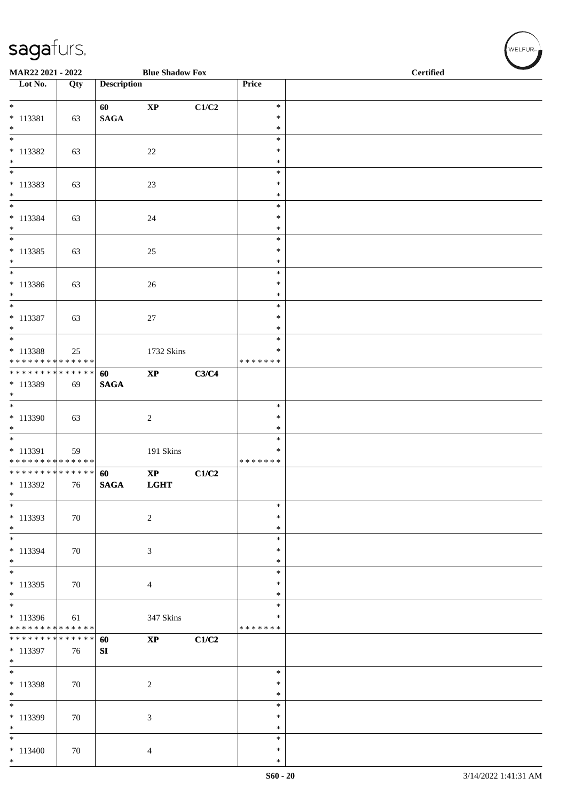| MAR22 2021 - 2022                    |        |                    | <b>Blue Shadow Fox</b>      |       |                  | $\overline{\phantom{0}}$<br><b>Certified</b> |  |  |  |
|--------------------------------------|--------|--------------------|-----------------------------|-------|------------------|----------------------------------------------|--|--|--|
| $\overline{\phantom{1}}$ Lot No.     | Qty    | <b>Description</b> |                             |       | Price            |                                              |  |  |  |
| $*$                                  |        | 60                 | $\bold{XP}$                 | C1/C2 | $\ast$           |                                              |  |  |  |
| $* 113381$                           | 63     | <b>SAGA</b>        |                             |       | $\ast$           |                                              |  |  |  |
| $*$                                  |        |                    |                             |       | $\ast$           |                                              |  |  |  |
| $\ast$                               |        |                    |                             |       | $\ast$<br>$\ast$ |                                              |  |  |  |
| $* 113382$<br>$\ast$                 | 63     |                    | $22\,$                      |       | $\ast$           |                                              |  |  |  |
| $\overline{\phantom{0}}$             |        |                    |                             |       | $\ast$           |                                              |  |  |  |
| $* 113383$                           | 63     |                    | 23                          |       | $\ast$           |                                              |  |  |  |
| $*$<br>$\overline{\phantom{a}^*}$    |        |                    |                             |       | $\ast$<br>$\ast$ |                                              |  |  |  |
| $* 113384$                           | 63     |                    | 24                          |       | $\ast$           |                                              |  |  |  |
| $\ast$                               |        |                    |                             |       | $\ast$           |                                              |  |  |  |
| $\ast$                               |        |                    |                             |       | $\ast$           |                                              |  |  |  |
| $* 113385$<br>$*$                    | 63     |                    | 25                          |       | $\ast$<br>$\ast$ |                                              |  |  |  |
| $\overline{\phantom{1}}$             |        |                    |                             |       | $\ast$           |                                              |  |  |  |
| $* 113386$                           | 63     |                    | 26                          |       | $\ast$           |                                              |  |  |  |
| $*$                                  |        |                    |                             |       | $\ast$           |                                              |  |  |  |
| $\overline{\phantom{0}}$             |        |                    |                             |       | $\ast$           |                                              |  |  |  |
| $* 113387$<br>$*$                    | 63     |                    | $27\,$                      |       | $\ast$<br>$\ast$ |                                              |  |  |  |
| $*$                                  |        |                    |                             |       | $\ast$           |                                              |  |  |  |
| $* 113388$                           | 25     |                    | 1732 Skins                  |       | $\ast$           |                                              |  |  |  |
| * * * * * * * * * * * * * *          |        |                    |                             |       | * * * * * * *    |                                              |  |  |  |
| ******** <mark>******</mark>         |        | 60                 | $\bold{XP}$                 | C3/C4 |                  |                                              |  |  |  |
| * 113389<br>$*$                      | 69     | <b>SAGA</b>        |                             |       |                  |                                              |  |  |  |
| $\overline{\phantom{0}}$             |        |                    |                             |       | $\ast$           |                                              |  |  |  |
| * 113390                             | 63     |                    | $\sqrt{2}$                  |       | $\ast$           |                                              |  |  |  |
| $\ast$<br>$\ast$                     |        |                    |                             |       | $\ast$           |                                              |  |  |  |
| $* 113391$                           | 59     |                    | 191 Skins                   |       | $\ast$<br>$\ast$ |                                              |  |  |  |
| * * * * * * * * * * * * * *          |        |                    |                             |       | * * * * * * *    |                                              |  |  |  |
| ******** <mark>******</mark>         |        | 60                 | $\mathbf{X}\mathbf{P}$      | C1/C2 |                  |                                              |  |  |  |
| * 113392                             | 76     | <b>SAGA</b>        | <b>LGHT</b>                 |       |                  |                                              |  |  |  |
| $\ast$<br>$\overline{\phantom{a}^*}$ |        |                    |                             |       | $\ast$           |                                              |  |  |  |
| $* 113393$                           | 70     |                    | $\sqrt{2}$                  |       | $\ast$           |                                              |  |  |  |
| $*$                                  |        |                    |                             |       | $\ast$           |                                              |  |  |  |
| $*$                                  |        |                    |                             |       | $\ast$           |                                              |  |  |  |
| $* 113394$<br>$*$                    | 70     |                    | $\mathfrak{Z}$              |       | $\ast$<br>$\ast$ |                                              |  |  |  |
| $\overline{\phantom{0}}$             |        |                    |                             |       | $\ast$           |                                              |  |  |  |
| $* 113395$                           | 70     |                    | $\overline{4}$              |       | ∗                |                                              |  |  |  |
| $*$<br>$\overline{\phantom{0}}$      |        |                    |                             |       | $\ast$           |                                              |  |  |  |
| * 113396                             |        |                    |                             |       | $\ast$<br>∗      |                                              |  |  |  |
| * * * * * * * * * * * * * *          | 61     |                    | 347 Skins                   |       | * * * * * * *    |                                              |  |  |  |
| * * * * * * * * * * * * * *          |        | 60                 | $\mathbf{X}\mathbf{P}$      | C1/C2 |                  |                                              |  |  |  |
| * 113397                             | 76     | SI                 |                             |       |                  |                                              |  |  |  |
| $\ast$<br>$\overline{\phantom{0}}$   |        |                    |                             |       | $\ast$           |                                              |  |  |  |
| * 113398                             | 70     |                    | $\boldsymbol{2}$            |       | ∗                |                                              |  |  |  |
| $\ast$                               |        |                    |                             |       | ∗                |                                              |  |  |  |
| $\overline{\phantom{0}}$             |        |                    |                             |       | $\ast$           |                                              |  |  |  |
| * 113399                             | $70\,$ |                    | $\ensuremath{\mathfrak{Z}}$ |       | $\ast$           |                                              |  |  |  |
| $\ast$<br>$\ast$                     |        |                    |                             |       | $\ast$<br>$\ast$ |                                              |  |  |  |
| $* 113400$                           | 70     |                    | 4                           |       | $\ast$           |                                              |  |  |  |
| $*$                                  |        |                    |                             |       | $\ast$           |                                              |  |  |  |

WELFUR<sub><sup>N</sup></sub>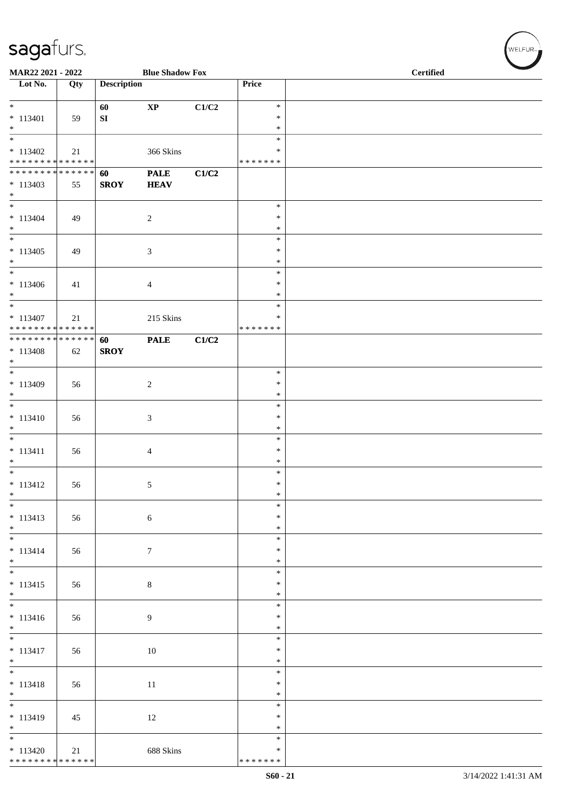| MAR22 2021 - 2022                                                      |     |                        | <b>Blue Shadow Fox</b>      |       |                                   | <b>Certified</b> |  |  |  |
|------------------------------------------------------------------------|-----|------------------------|-----------------------------|-------|-----------------------------------|------------------|--|--|--|
| $\overline{\phantom{1}}$ Lot No.                                       | Qty | <b>Description</b>     |                             |       | Price                             |                  |  |  |  |
| $\ast$<br>$* 113401$<br>$\ast$                                         | 59  | 60<br>${\bf S}{\bf I}$ | $\bold{XP}$                 | C1/C2 | $\ast$<br>$\ast$<br>$\ast$        |                  |  |  |  |
| $\overline{\phantom{a}}$<br>$* 113402$<br>******** <mark>******</mark> | 21  |                        | 366 Skins                   |       | $\ast$<br>$\ast$<br>* * * * * * * |                  |  |  |  |
| **************<br>$* 113403$<br>$\ast$                                 | 55  | 60<br><b>SROY</b>      | <b>PALE</b><br><b>HEAV</b>  | C1/C2 |                                   |                  |  |  |  |
| $\overline{\ast}$<br>$* 113404$<br>$\ast$                              | 49  |                        | $\overline{c}$              |       | $\ast$<br>$\ast$<br>$\ast$        |                  |  |  |  |
| $_{\ast}^{-}$<br>$* 113405$<br>$\ast$                                  | 49  |                        | $\ensuremath{\mathfrak{Z}}$ |       | $\ast$<br>$\ast$<br>$\ast$        |                  |  |  |  |
| $_{\ast}^{-}$<br>$* 113406$<br>$*$                                     | 41  |                        | $\overline{4}$              |       | $\ast$<br>$\ast$<br>$\ast$        |                  |  |  |  |
| $\overline{\ast}$<br>$* 113407$<br>* * * * * * * * * * * * * *         | 21  |                        | 215 Skins                   |       | $\ast$<br>$\ast$<br>* * * * * * * |                  |  |  |  |
| **************<br>$* 113408$<br>$\ast$<br>$\overline{\phantom{0}}$     | 62  | 60<br><b>SROY</b>      | <b>PALE</b>                 | C1/C2 |                                   |                  |  |  |  |
| $* 113409$<br>$\ast$                                                   | 56  |                        | $\sqrt{2}$                  |       | $\ast$<br>$\ast$<br>$\ast$        |                  |  |  |  |
| $\overline{\phantom{a}^*}$<br>$* 113410$<br>$\ast$                     | 56  |                        | 3                           |       | $\ast$<br>$\ast$<br>$\ast$        |                  |  |  |  |
| $\ast$<br>$* 113411$<br>$\ast$                                         | 56  |                        | $\overline{4}$              |       | $\ast$<br>$\ast$<br>$\ast$        |                  |  |  |  |
| $\overline{\phantom{a}^*}$<br>$* 113412$<br>$\ast$                     | 56  |                        | $\sqrt{5}$                  |       | $\ast$<br>$\ast$<br>$\ast$        |                  |  |  |  |
| $\overline{\phantom{0}}$<br>$* 113413$<br>$*$                          | 56  |                        | $\sqrt{6}$                  |       | $\ast$<br>$\ast$<br>$\ast$        |                  |  |  |  |
| $\ast$<br>$* 113414$<br>$*$                                            | 56  |                        | $\boldsymbol{7}$            |       | $\ast$<br>$\ast$<br>$\ast$        |                  |  |  |  |
| $\overline{\phantom{a}^*}$<br>$* 113415$<br>$\ast$                     | 56  |                        | $\,8\,$                     |       | $\ast$<br>$\ast$<br>$\ast$        |                  |  |  |  |
| $\overline{\phantom{a}^*}$<br>$* 113416$<br>$\ast$                     | 56  |                        | $\overline{9}$              |       | $\ast$<br>$\ast$<br>$\ast$        |                  |  |  |  |
| $\overline{\phantom{0}}$<br>$* 113417$<br>$\ast$                       | 56  |                        | $10\,$                      |       | $\ast$<br>$\ast$<br>$\ast$        |                  |  |  |  |
| $\frac{1}{*}$<br>$* 113418$<br>$\ast$                                  | 56  |                        | 11                          |       | $\ast$<br>$\ast$<br>$\ast$        |                  |  |  |  |
| $\overline{\phantom{0}}$<br>$* 113419$<br>$\ast$                       | 45  |                        | $12\,$                      |       | $\ast$<br>$\ast$<br>$\ast$        |                  |  |  |  |
| $\overline{\ast}$<br>$* 113420$<br>******** <mark>******</mark>        | 21  |                        | 688 Skins                   |       | $\ast$<br>$\ast$<br>* * * * * * * |                  |  |  |  |

 $w$ ELFUR-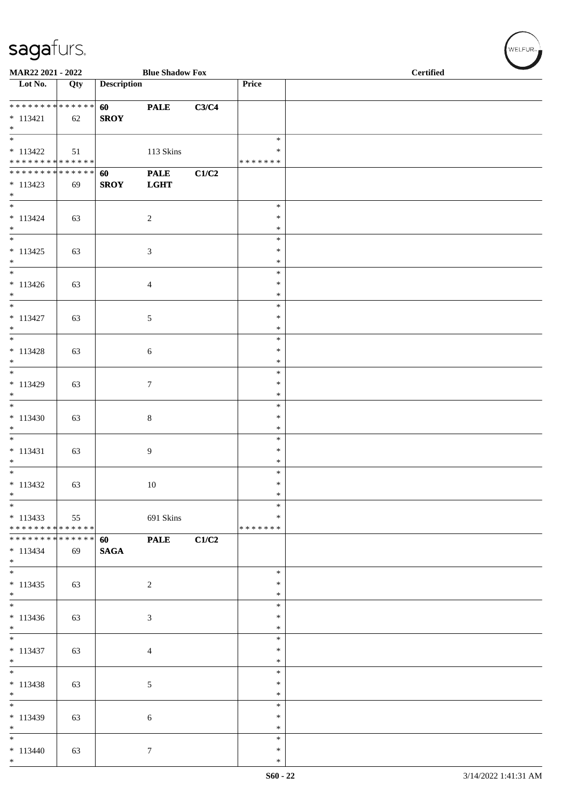| MAR22 2021 - 2022                                                     |     |                       | <b>Blue Shadow Fox</b>     |       |                                      | <b>Certified</b> |  |  |
|-----------------------------------------------------------------------|-----|-----------------------|----------------------------|-------|--------------------------------------|------------------|--|--|
| Lot No.                                                               | Qty | <b>Description</b>    |                            |       | Price                                |                  |  |  |
| **************<br>$* 113421$<br>$*$                                   | 62  | 60<br><b>SROY</b>     | <b>PALE</b>                | C3/C4 |                                      |                  |  |  |
| $\overline{\phantom{0}}$<br>$* 113422$<br>* * * * * * * * * * * * * * | 51  |                       | 113 Skins                  |       | $\ast$<br>$\ast$<br>* * * * * * *    |                  |  |  |
| * * * * * * * * * * * * * *<br>$* 113423$<br>$*$                      | 69  | 60<br><b>SROY</b>     | <b>PALE</b><br><b>LGHT</b> | C1/C2 |                                      |                  |  |  |
| $\overline{\ast}$<br>$* 113424$<br>$*$<br>$\overline{\ast}$           | 63  |                       | $\overline{2}$             |       | $\ast$<br>$\ast$<br>$\ast$           |                  |  |  |
| $* 113425$<br>$\ast$<br>$\overline{\phantom{0}}$                      | 63  |                       | 3                          |       | $\ast$<br>$\ast$<br>$\ast$           |                  |  |  |
| $* 113426$<br>$*$<br>$\overline{\phantom{0}}$                         | 63  |                       | $\overline{4}$             |       | $\ast$<br>$\ast$<br>$\ast$<br>$\ast$ |                  |  |  |
| $* 113427$<br>$*$<br>$\overline{\ast}$                                | 63  |                       | 5                          |       | $\ast$<br>$\ast$<br>$\ast$           |                  |  |  |
| $* 113428$<br>$*$<br>$*$                                              | 63  |                       | 6                          |       | $\ast$<br>$\ast$<br>$\ast$           |                  |  |  |
| $* 113429$<br>$*$<br>$\overline{\phantom{0}}$                         | 63  |                       | $\tau$                     |       | $\ast$<br>$\ast$<br>$\ast$           |                  |  |  |
| $* 113430$<br>$\ast$<br>$\overline{\phantom{0}}$                      | 63  |                       | 8                          |       | $\ast$<br>$\ast$<br>$\ast$           |                  |  |  |
| $* 113431$<br>$\ast$                                                  | 63  |                       | 9                          |       | $\ast$<br>$\ast$<br>$\ast$           |                  |  |  |
| $* 113432$<br>$\ast$<br>$\ast$                                        | 63  |                       | 10                         |       | $\ast$<br>$\ast$<br>*                |                  |  |  |
| $* 113433$<br>* * * * * * * * * * * * * *                             | 55  |                       | 691 Skins                  |       | ∗<br>*******                         |                  |  |  |
| * * * * * * * * * * * * * * *<br>$* 113434$<br>$*$<br>$*$             | 69  | 60<br>$\mathbf{SAGA}$ | <b>PALE</b>                | C1/C2 |                                      |                  |  |  |
| $* 113435$<br>$*$                                                     | 63  |                       | $\overline{c}$             |       | $\ast$<br>$\ast$<br>$\ast$           |                  |  |  |
| $* 113436$<br>$*$                                                     | 63  |                       | 3                          |       | $\ast$<br>$\ast$<br>$\ast$           |                  |  |  |
| $*$<br>$* 113437$<br>$*$                                              | 63  |                       | $\overline{4}$             |       | $\ast$<br>$\ast$<br>$\ast$           |                  |  |  |
| $* 113438$<br>$*$                                                     | 63  |                       | 5                          |       | $\ast$<br>$\ast$<br>$\ast$           |                  |  |  |
| $* 113439$<br>$*$<br>$\overline{\phantom{0}}$                         | 63  |                       | $\sqrt{6}$                 |       | $\ast$<br>$\ast$<br>$\ast$           |                  |  |  |
| $* 113440$<br>$*$                                                     | 63  |                       | $\boldsymbol{7}$           |       | $\ast$<br>$\ast$<br>$\ast$           |                  |  |  |

 $(w$ elfur $\overline{\phantom{a}}$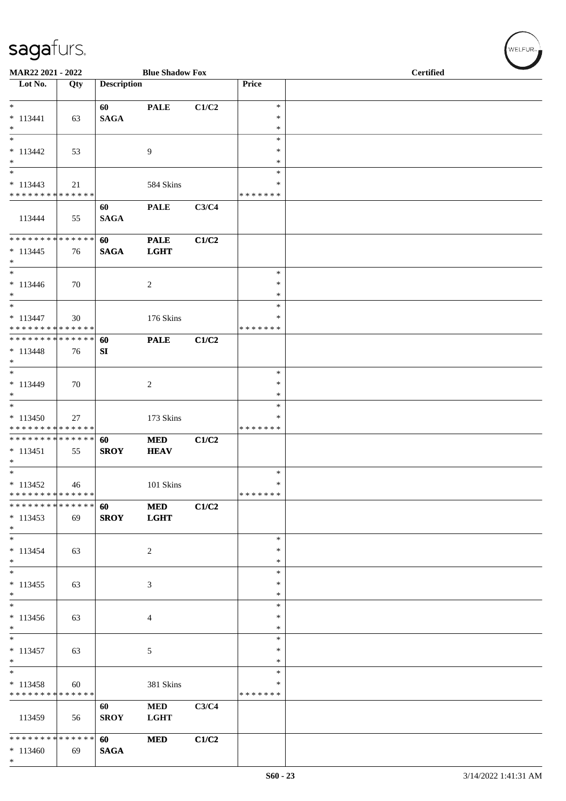| MAR22 2021 - 2022                                                               |                   |                    | <b>Blue Shadow Fox</b>     |       |                                   | <b>Certified</b> |  |  |  |
|---------------------------------------------------------------------------------|-------------------|--------------------|----------------------------|-------|-----------------------------------|------------------|--|--|--|
| Lot No.                                                                         | Qty               | <b>Description</b> |                            |       | Price                             |                  |  |  |  |
| $*$<br>$* 113441$<br>$\ast$                                                     | 63                | 60<br><b>SAGA</b>  | <b>PALE</b>                | C1/C2 | $\ast$<br>$\ast$<br>$\ast$        |                  |  |  |  |
| $\ast$<br>$* 113442$<br>$\ast$<br>$\frac{1}{1}$                                 | 53                |                    | $\overline{9}$             |       | $\ast$<br>$\ast$<br>$\ast$        |                  |  |  |  |
| $* 113443$<br>* * * * * * * * * * * * * *                                       | 21                |                    | 584 Skins                  |       | $\ast$<br>∗<br>* * * * * * *      |                  |  |  |  |
| 113444                                                                          | 55                | 60<br><b>SAGA</b>  | <b>PALE</b>                | C3/C4 |                                   |                  |  |  |  |
| **************<br>$* 113445$<br>$\ast$                                          | 76                | 60<br><b>SAGA</b>  | <b>PALE</b><br><b>LGHT</b> | C1/C2 |                                   |                  |  |  |  |
| $_{\ast}^{-}$<br>$* 113446$<br>$*$                                              | 70                |                    | $\overline{c}$             |       | $\ast$<br>$\ast$<br>$\ast$        |                  |  |  |  |
| $\ast$<br>$* 113447$<br>* * * * * * * * * * * * * *                             | 30                |                    | 176 Skins                  |       | $\ast$<br>$\ast$<br>* * * * * * * |                  |  |  |  |
| **************<br>$* 113448$<br>$*$                                             | 76                | 60<br>SI           | <b>PALE</b>                | C1/C2 |                                   |                  |  |  |  |
| $\overline{\phantom{a}^*}$<br>$* 113449$<br>$\ast$<br>$\overline{\ast}$         | 70                |                    | $\overline{2}$             |       | $\ast$<br>∗<br>$\ast$<br>$\ast$   |                  |  |  |  |
| $* 113450$<br>* * * * * * * * * * * * * *                                       | 27                |                    | 173 Skins                  |       | ∗<br>* * * * * * *                |                  |  |  |  |
| * * * * * * * * * * * * * *<br>$* 113451$<br>$\ast$<br>$\overline{\phantom{0}}$ | 55                | 60<br><b>SROY</b>  | <b>MED</b><br><b>HEAV</b>  | C1/C2 |                                   |                  |  |  |  |
| $* 113452$<br>* * * * * * * * * * * * * *                                       | 46                |                    | 101 Skins                  |       | $\ast$<br>$\ast$<br>*******       |                  |  |  |  |
| * * * *<br>* * * *<br>$* 113453$<br>$*$                                         | * * * * * *<br>69 | 60<br><b>SROY</b>  | $\bf MED$<br><b>LGHT</b>   | C1/C2 |                                   |                  |  |  |  |
| $\ast$<br>$* 113454$<br>$*$<br>$\frac{1}{*}$                                    | 63                |                    | $\sqrt{2}$                 |       | $\ast$<br>$\ast$<br>$\ast$        |                  |  |  |  |
| $* 113455$<br>$\ast$<br>$\overline{\phantom{a}^*}$                              | 63                |                    | $\mathfrak{Z}$             |       | $\ast$<br>∗<br>$\ast$<br>$\ast$   |                  |  |  |  |
| $* 113456$<br>$\ast$<br>$\ast$                                                  | 63                |                    | $\overline{4}$             |       | $\ast$<br>$\ast$<br>$\ast$        |                  |  |  |  |
| $* 113457$<br>$\ast$<br>$\overline{\phantom{a}^*}$                              | 63                |                    | $\sqrt{5}$                 |       | $\ast$<br>$\ast$<br>$\ast$        |                  |  |  |  |
| $* 113458$<br>* * * * * * * * * * * * * *                                       | 60                |                    | 381 Skins                  |       | ∗<br>* * * * * * *                |                  |  |  |  |
| 113459                                                                          | 56                | 60<br><b>SROY</b>  | $\bf MED$<br><b>LGHT</b>   | C3/C4 |                                   |                  |  |  |  |
| **************<br>$*113460$<br>$*$                                              | 69                | 60<br><b>SAGA</b>  | <b>MED</b>                 | C1/C2 |                                   |                  |  |  |  |

 $(w$ elfur $\overline{\phantom{a}}$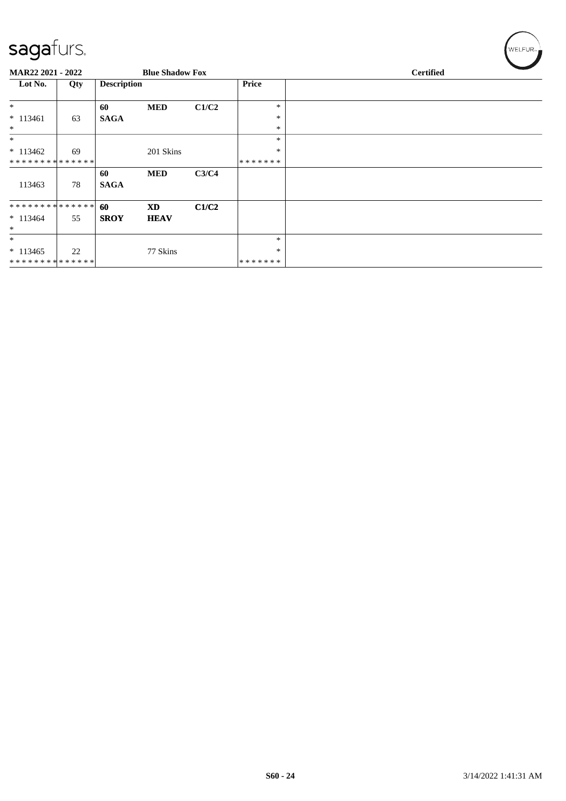| MAR22 2021 - 2022 |     |                    | <b>Blue Shadow Fox</b> |       |              | <b>Certified</b> |  |  |  |  |
|-------------------|-----|--------------------|------------------------|-------|--------------|------------------|--|--|--|--|
| Lot No.           | Qty | <b>Description</b> |                        |       | <b>Price</b> |                  |  |  |  |  |
| $\ast$            |     | 60                 | <b>MED</b>             | C1/C2 | $\ast$       |                  |  |  |  |  |
| $* 113461$        | 63  | <b>SAGA</b>        |                        |       | $\ast$       |                  |  |  |  |  |
| $\ast$            |     |                    |                        |       | $\ast$       |                  |  |  |  |  |
| $\ast$            |     |                    |                        |       | $\ast$       |                  |  |  |  |  |
| $* 113462$        | 69  |                    | 201 Skins              |       | $\ast$       |                  |  |  |  |  |
| **************    |     |                    |                        |       | *******      |                  |  |  |  |  |
|                   |     | 60                 | <b>MED</b>             | C3/C4 |              |                  |  |  |  |  |
| 113463            | 78  | <b>SAGA</b>        |                        |       |              |                  |  |  |  |  |
| **************    |     | 60                 | <b>XD</b>              | C1/C2 |              |                  |  |  |  |  |
| $*113464$         | 55  | <b>SROY</b>        | <b>HEAV</b>            |       |              |                  |  |  |  |  |
| $\ast$            |     |                    |                        |       |              |                  |  |  |  |  |
| $\ast$            |     |                    |                        |       | $\ast$       |                  |  |  |  |  |
| $* 113465$        | 22  |                    | 77 Skins               |       | $\ast$       |                  |  |  |  |  |
| **************    |     |                    |                        |       | *******      |                  |  |  |  |  |

 $w$ ELFUR<sub>m</sub>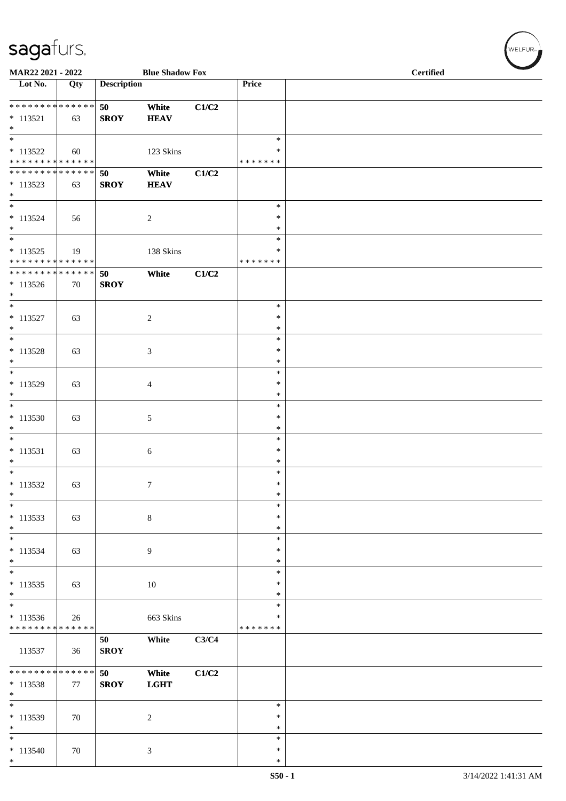| MAR22 2021 - 2022                                                       |     |                    | <b>Blue Shadow Fox</b> |       |                                      | <b>Certified</b> |
|-------------------------------------------------------------------------|-----|--------------------|------------------------|-------|--------------------------------------|------------------|
| Lot No.                                                                 | Qty | <b>Description</b> |                        |       | Price                                |                  |
| * * * * * * * * * * * * * *<br>$* 113521$<br>$\ast$                     | 63  | 50<br><b>SROY</b>  | White<br><b>HEAV</b>   | C1/C2 |                                      |                  |
| $\overline{\phantom{a}^*}$<br>$* 113522$<br>* * * * * * * * * * * * * * | 60  |                    | 123 Skins              |       | $\ast$<br>∗<br>* * * * * * *         |                  |
| **************<br>$* 113523$<br>$\ast$                                  | 63  | 50<br><b>SROY</b>  | White<br><b>HEAV</b>   | C1/C2 |                                      |                  |
| $\ast$<br>$* 113524$<br>$*$<br>$\overline{\phantom{0}}$                 | 56  |                    | $\overline{c}$         |       | $\ast$<br>$\ast$<br>$\ast$<br>$\ast$ |                  |
| $* 113525$<br>******** <mark>******</mark>                              | 19  |                    | 138 Skins              |       | $\ast$<br>* * * * * * *              |                  |
| **************<br>$* 113526$<br>$\ast$                                  | 70  | 50<br><b>SROY</b>  | White                  | C1/C2 |                                      |                  |
| $*$<br>$* 113527$<br>$\ast$<br>$_{\ast}^{-}$                            | 63  |                    | $\sqrt{2}$             |       | $\ast$<br>$\ast$<br>$\ast$           |                  |
| $* 113528$<br>$*$                                                       | 63  |                    | $\mathfrak{Z}$         |       | $\ast$<br>$\ast$<br>$\ast$           |                  |
| $_{\ast}^{-}$<br>$* 113529$<br>$\ast$                                   | 63  |                    | 4                      |       | $\ast$<br>$\ast$<br>$\ast$           |                  |
| $\ast$<br>$*113530$<br>$\ast$                                           | 63  |                    | $\sqrt{5}$             |       | $\ast$<br>$\ast$<br>$\ast$           |                  |
| $\ast$<br>$* 113531$<br>$*$                                             | 63  |                    | $\sqrt{6}$             |       | $\ast$<br>$\ast$<br>$\ast$           |                  |
| $\overline{\phantom{a}^*}$<br>$* 113532$<br>$\ast$                      | 63  |                    | $\overline{7}$         |       | $\ast$<br>$\ast$<br>$\ast$           |                  |
| $\overline{\phantom{a}^*}$<br>$* 113533$<br>$\ast$                      | 63  |                    | $\,8\,$                |       | $\ast$<br>$\ast$<br>$\ast$           |                  |
| $\overline{\phantom{a}^*}$<br>$* 113534$<br>$*$                         | 63  |                    | $\overline{9}$         |       | $\ast$<br>$\ast$<br>$\ast$           |                  |
| $_{\ast}$<br>$* 113535$<br>$*$                                          | 63  |                    | $10\,$                 |       | $\ast$<br>$\ast$<br>$\ast$           |                  |
| $\ast$<br>$* 113536$<br>* * * * * * * * * * * * * *                     | 26  |                    | 663 Skins              |       | $\ast$<br>∗<br>* * * * * * *         |                  |
| 113537                                                                  | 36  | 50<br><b>SROY</b>  | White                  | C3/C4 |                                      |                  |
| ******** <mark>******</mark><br>$* 113538$<br>$\ast$                    | 77  | 50<br><b>SROY</b>  | White<br><b>LGHT</b>   | C1/C2 |                                      |                  |
| $\overline{\phantom{0}}$<br>* 113539<br>$\ast$                          | 70  |                    | $\overline{2}$         |       | $\ast$<br>$\ast$<br>$\ast$           |                  |
| $\overline{\phantom{0}}$<br>$* 113540$<br>$*$                           | 70  |                    | $\mathfrak{Z}$         |       | $\ast$<br>$\ast$<br>$\ast$           |                  |

 $(w$ ELFUR<sub><sup>n</sub></sub></sub></sup>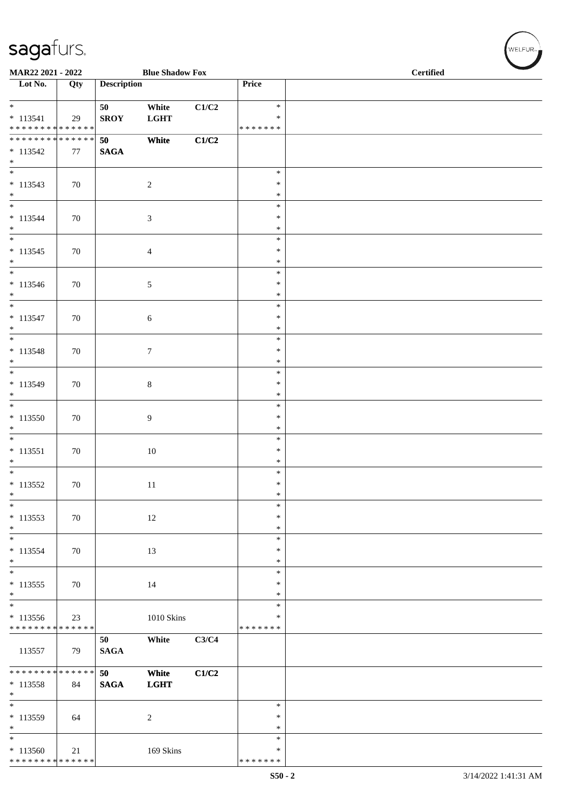| MAR22 2021 - 2022                                                              |        |                    | <b>Blue Shadow Fox</b> |       |                                      | <b>Certified</b> |  |  |  |
|--------------------------------------------------------------------------------|--------|--------------------|------------------------|-------|--------------------------------------|------------------|--|--|--|
| Lot No.                                                                        | Qty    | <b>Description</b> |                        |       | Price                                |                  |  |  |  |
| $\overline{\ }$<br>$* 113541$<br>* * * * * * * * * * * * * *                   | 29     | 50<br><b>SROY</b>  | White<br><b>LGHT</b>   | C1/C2 | $\ast$<br>$\ast$<br>* * * * * * *    |                  |  |  |  |
| ******** <mark>******</mark><br>$* 113542$<br>$\ast$                           | 77     | 50<br><b>SAGA</b>  | White                  | C1/C2 |                                      |                  |  |  |  |
| $\overline{\phantom{a}^*}$<br>$* 113543$<br>$*$                                | 70     |                    | $\sqrt{2}$             |       | $\ast$<br>$\ast$<br>$\ast$           |                  |  |  |  |
| $\overline{\ast}$<br>$* 113544$<br>$\ast$                                      | 70     |                    | $\mathfrak{Z}$         |       | $\ast$<br>$\ast$<br>$\ast$           |                  |  |  |  |
| $\overline{\phantom{0}}$<br>$* 113545$<br>$\ast$<br>$\overline{\phantom{a}^*}$ | 70     |                    | $\overline{4}$         |       | $\ast$<br>$\ast$<br>$\ast$           |                  |  |  |  |
| $* 113546$<br>$\ast$<br>$\overline{\phantom{0}}$                               | 70     |                    | 5                      |       | $\ast$<br>$\ast$<br>$\ast$           |                  |  |  |  |
| $* 113547$<br>$*$<br>$\overline{\ast}$                                         | 70     |                    | $\sqrt{6}$             |       | $\ast$<br>$\ast$<br>$\ast$           |                  |  |  |  |
| $* 113548$<br>$\ast$<br>$\overline{\ast}$                                      | 70     |                    | $\tau$                 |       | $\ast$<br>$\ast$<br>$\ast$           |                  |  |  |  |
| * 113549<br>$\ast$<br>$\overline{\phantom{0}}$                                 | 70     |                    | $\,8\,$                |       | $\ast$<br>$\ast$<br>$\ast$           |                  |  |  |  |
| $*113550$<br>$\ast$<br>$\ast$                                                  | 70     |                    | 9                      |       | $\ast$<br>$\ast$<br>$\ast$           |                  |  |  |  |
| $* 113551$<br>$\ast$<br>$\overline{\phantom{0}}$                               | 70     |                    | 10                     |       | $\ast$<br>$\ast$<br>$\ast$           |                  |  |  |  |
| $* 113552$<br>$\ast$<br>$\overline{\phantom{a}^*}$                             | $70\,$ |                    | 11                     |       | $\ast$<br>$\ast$<br>$\ast$<br>$\ast$ |                  |  |  |  |
| $* 113553$<br>$*$<br>$\ast$                                                    | 70     |                    | $12\,$                 |       | $\ast$<br>$\ast$<br>$\ast$           |                  |  |  |  |
| $* 113554$<br>$*$<br>$\overline{\phantom{0}}$                                  | 70     |                    | 13                     |       | $\ast$<br>$\ast$<br>$\ast$           |                  |  |  |  |
| $* 113555$<br>$\ast$<br>$\overline{\phantom{a}^*}$                             | 70     |                    | 14                     |       | $\ast$<br>$\ast$<br>$\ast$           |                  |  |  |  |
| $* 113556$<br>* * * * * * * * * * * * * *                                      | 23     |                    | $1010$ Skins           |       | ∗<br>* * * * * * *                   |                  |  |  |  |
| 113557                                                                         | 79     | 50<br><b>SAGA</b>  | White                  | C3/C4 |                                      |                  |  |  |  |
| * * * * * * * * * * * * * *<br>* 113558<br>$\ast$<br>$\overline{\phantom{0}}$  | 84     | 50<br><b>SAGA</b>  | White<br><b>LGHT</b>   | C1/C2 |                                      |                  |  |  |  |
| $* 113559$<br>$\ast$                                                           | 64     |                    | $\sqrt{2}$             |       | $\ast$<br>$\ast$<br>$\ast$           |                  |  |  |  |
| $\overline{\phantom{a}^*}$<br>$*113560$<br>******** <mark>******</mark>        | 21     |                    | 169 Skins              |       | $\ast$<br>$\ast$<br>* * * * * * *    |                  |  |  |  |

 $w$ ELFUR-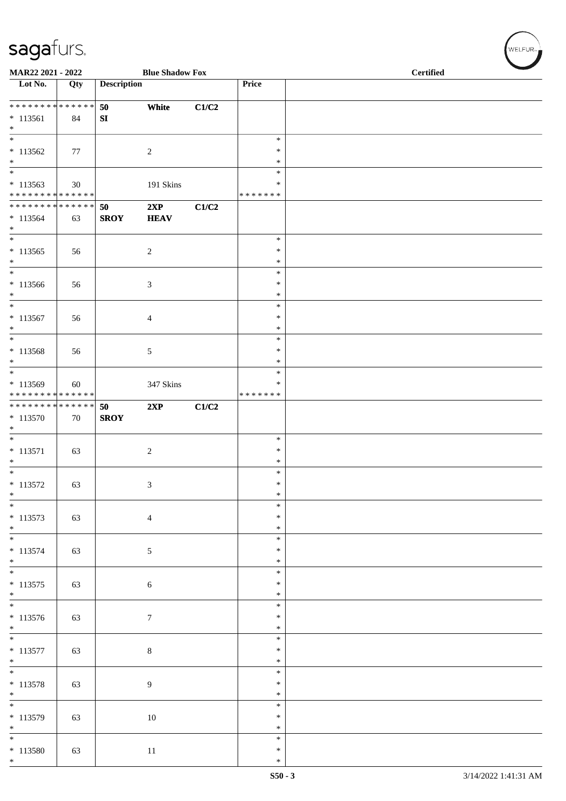| MAR22 2021 - 2022                                                    |     |                    | <b>Blue Shadow Fox</b> |       |                              | <b>Certified</b> |  |  |  |  |
|----------------------------------------------------------------------|-----|--------------------|------------------------|-------|------------------------------|------------------|--|--|--|--|
| Lot No.                                                              | Qty | <b>Description</b> |                        |       | Price                        |                  |  |  |  |  |
| * * * * * * * * * * * * * *<br>$* 113561$<br>$\ast$                  | 84  | 50<br>SI           | White                  | C1/C2 |                              |                  |  |  |  |  |
| $\overline{\ast}$<br>$* 113562$<br>$\ast$                            | 77  |                    | $\overline{c}$         |       | $\ast$<br>$\ast$<br>$\ast$   |                  |  |  |  |  |
| $\overline{\phantom{0}}$<br>$*113563$<br>* * * * * * * * * * * * * * | 30  |                    | 191 Skins              |       | $\ast$<br>∗<br>* * * * * * * |                  |  |  |  |  |
| ******** <mark>******</mark><br>$* 113564$<br>$*$                    | 63  | 50<br><b>SROY</b>  | 2XP<br><b>HEAV</b>     | C1/C2 |                              |                  |  |  |  |  |
| $\overline{\ast}$<br>$*113565$<br>$\ast$                             | 56  |                    | $\overline{c}$         |       | $\ast$<br>$\ast$<br>$\ast$   |                  |  |  |  |  |
| $\overline{\phantom{0}}$<br>$*113566$<br>$\ast$                      | 56  |                    | $\mathfrak{Z}$         |       | $\ast$<br>$\ast$<br>$\ast$   |                  |  |  |  |  |
| $\ast$<br>$* 113567$<br>$\ast$                                       | 56  |                    | $\overline{4}$         |       | $\ast$<br>$\ast$<br>$\ast$   |                  |  |  |  |  |
| $\ast$<br>$* 113568$<br>$\ast$                                       | 56  |                    | $\sqrt{5}$             |       | $\ast$<br>$\ast$<br>$\ast$   |                  |  |  |  |  |
| $_{\rm *}$<br>* 113569<br>* * * * * * * * * * * * * *                | 60  |                    | 347 Skins              |       | $\ast$<br>∗<br>* * * * * * * |                  |  |  |  |  |
| * * * * * * * * * * * * * * *<br>$* 113570$<br>$\ast$                | 70  | 50<br><b>SROY</b>  | 2XP                    | C1/C2 |                              |                  |  |  |  |  |
| $\ast$<br>$* 113571$<br>$\ast$                                       | 63  |                    | $\sqrt{2}$             |       | $\ast$<br>$\ast$<br>$\ast$   |                  |  |  |  |  |
| $\overline{\phantom{0}}$<br>$* 113572$<br>$\ast$                     | 63  |                    | $\mathfrak{Z}$         |       | $\ast$<br>$\ast$<br>$\ast$   |                  |  |  |  |  |
| $\overline{\phantom{a}^*}$<br>$* 113573$<br>$\ast$                   | 63  |                    | $\overline{4}$         |       | $\ast$<br>$\ast$<br>$\ast$   |                  |  |  |  |  |
| $\ast$<br>* 113574<br>$*$                                            | 63  |                    | $\mathfrak{S}$         |       | $\ast$<br>$\ast$<br>$\ast$   |                  |  |  |  |  |
| $\overline{\phantom{0}}$<br>$* 113575$<br>$*$                        | 63  |                    | $\sqrt{6}$             |       | $\ast$<br>$\ast$<br>$\ast$   |                  |  |  |  |  |
| $\overline{\phantom{0}}$<br>$* 113576$<br>$*$                        | 63  |                    | $\boldsymbol{7}$       |       | $\ast$<br>$\ast$<br>$\ast$   |                  |  |  |  |  |
| $\overline{\ast}$<br>$* 113577$<br>$*$                               | 63  |                    | $\,8\,$                |       | $\ast$<br>$\ast$<br>$\ast$   |                  |  |  |  |  |
| $* 113578$<br>$\ast$                                                 | 63  |                    | $\overline{9}$         |       | $\ast$<br>$\ast$<br>$\ast$   |                  |  |  |  |  |
| $\overline{\phantom{0}}$<br>$* 113579$<br>$\ast$                     | 63  |                    | $10\,$                 |       | $\ast$<br>$\ast$<br>$\ast$   |                  |  |  |  |  |
| $\overline{\ast}$<br>$* 113580$<br>$*$                               | 63  |                    | $11\,$                 |       | $\ast$<br>$\ast$<br>$\ast$   |                  |  |  |  |  |

 $(w$ ELFUR<sub><sup>n</sub></sub></sub></sup>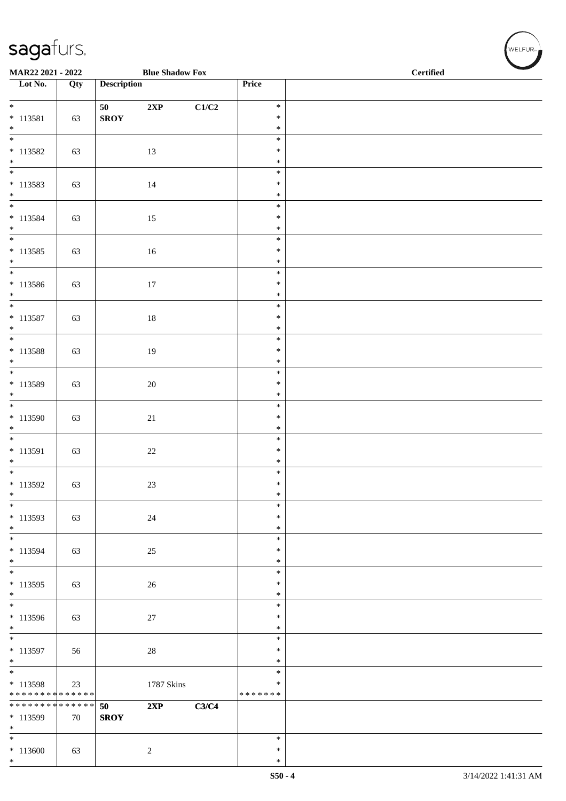| MAR22 2021 - 2022                       |     |                    | <b>Blue Shadow Fox</b> |       |                         | <b>Certified</b> |  |  |  |
|-----------------------------------------|-----|--------------------|------------------------|-------|-------------------------|------------------|--|--|--|
| $\overline{\phantom{1}}$ Lot No.        | Qty | <b>Description</b> |                        |       | Price                   |                  |  |  |  |
| $\overline{\mathbf{r}}$                 |     | 50                 | $2{\bf XP}$            | C1/C2 | $\ast$                  |                  |  |  |  |
| $* 113581$<br>$\ast$                    | 63  | <b>SROY</b>        |                        |       | $\ast$<br>$\ast$        |                  |  |  |  |
| $\frac{1}{1}$                           |     |                    |                        |       | $\ast$                  |                  |  |  |  |
| $* 113582$<br>$\ast$                    | 63  |                    | 13                     |       | $\ast$<br>$\ast$        |                  |  |  |  |
|                                         |     |                    |                        |       | $\ast$                  |                  |  |  |  |
| $* 113583$<br>$\ast$                    | 63  |                    | 14                     |       | $\ast$<br>$\ast$        |                  |  |  |  |
| $\overline{\phantom{0}}$                |     |                    |                        |       | $\ast$                  |                  |  |  |  |
| $* 113584$<br>$*$                       | 63  |                    | 15                     |       | $\ast$<br>$\ast$        |                  |  |  |  |
| $\overline{\phantom{0}}$                |     |                    |                        |       | $\ast$                  |                  |  |  |  |
| $* 113585$<br>$*$                       | 63  |                    | $16\,$                 |       | $\ast$<br>$\ast$        |                  |  |  |  |
| $*$<br>$* 113586$                       |     |                    |                        |       | $\ast$<br>$\ast$        |                  |  |  |  |
| $*$                                     | 63  |                    | $17\,$                 |       | $\ast$                  |                  |  |  |  |
| $\overline{\ }$                         |     |                    |                        |       | $\ast$<br>$\ast$        |                  |  |  |  |
| $* 113587$<br>$\ast$                    | 63  |                    | $18\,$                 |       | $\ast$                  |                  |  |  |  |
| $\overline{\phantom{0}}$                |     |                    |                        |       | $\ast$                  |                  |  |  |  |
| $* 113588$<br>$\ast$                    | 63  |                    | $19\,$                 |       | $\ast$<br>$\ast$        |                  |  |  |  |
|                                         |     |                    |                        |       | $\ast$                  |                  |  |  |  |
| $* 113589$<br>$\ast$                    | 63  |                    | $20\,$                 |       | $\ast$<br>$\ast$        |                  |  |  |  |
| $\overline{\phantom{0}}$                |     |                    |                        |       | $\ast$                  |                  |  |  |  |
| $* 113590$<br>$\ast$                    | 63  |                    | $21\,$                 |       | $\ast$<br>$\ast$        |                  |  |  |  |
| $\overline{\phantom{0}}$                |     |                    |                        |       | $\ast$                  |                  |  |  |  |
| $* 113591$<br>$\ast$                    | 63  |                    | $22\,$                 |       | $\ast$<br>$\ast$        |                  |  |  |  |
|                                         |     |                    |                        |       | $\ast$                  |                  |  |  |  |
| $* 113592$<br>$\ast$                    | 63  |                    | 23                     |       | $\ast$<br>$\ast$        |                  |  |  |  |
| $\ast$                                  |     |                    |                        |       | $\ast$                  |                  |  |  |  |
| * 113593<br>$\ast$                      | 63  |                    | $24\,$                 |       | $\ast$<br>$\ast$        |                  |  |  |  |
| $\overline{\phantom{0}}$                |     |                    |                        |       | $\ast$                  |                  |  |  |  |
| $* 113594$<br>$\ast$                    | 63  |                    | $25\,$                 |       | $\ast$<br>$\ast$        |                  |  |  |  |
| $\overline{\ast}$                       |     |                    |                        |       | $\ast$                  |                  |  |  |  |
| * 113595<br>$\ast$                      | 63  |                    | $26\,$                 |       | $\ast$<br>$\ast$        |                  |  |  |  |
| $\overline{\ast}$                       |     |                    |                        |       | $\ast$                  |                  |  |  |  |
| * 113596<br>$\ast$                      | 63  |                    | $27\,$                 |       | $\ast$<br>$\ast$        |                  |  |  |  |
| $\overline{\phantom{0}}$                |     |                    |                        |       | $\ast$                  |                  |  |  |  |
| $* 113597$<br>$*$                       | 56  |                    | $28\,$                 |       | ∗<br>$\ast$             |                  |  |  |  |
| $\overline{\ast}$                       |     |                    |                        |       | $\ast$                  |                  |  |  |  |
| * 113598<br>* * * * * * * * * * * * * * | 23  |                    | 1787 Skins             |       | $\ast$<br>* * * * * * * |                  |  |  |  |
| * * * * * * * * * * * * * *             |     | 50                 | 2XP                    | C3/C4 |                         |                  |  |  |  |
| $* 113599$<br>$\ast$                    | 70  | <b>SROY</b>        |                        |       |                         |                  |  |  |  |
| $\ast$                                  |     |                    |                        |       | $\ast$                  |                  |  |  |  |
| $*113600$<br>$*$                        | 63  |                    | $\sqrt{2}$             |       | $\ast$<br>$\ast$        |                  |  |  |  |
|                                         |     |                    |                        |       |                         |                  |  |  |  |

WELFUR<sub>"</sub>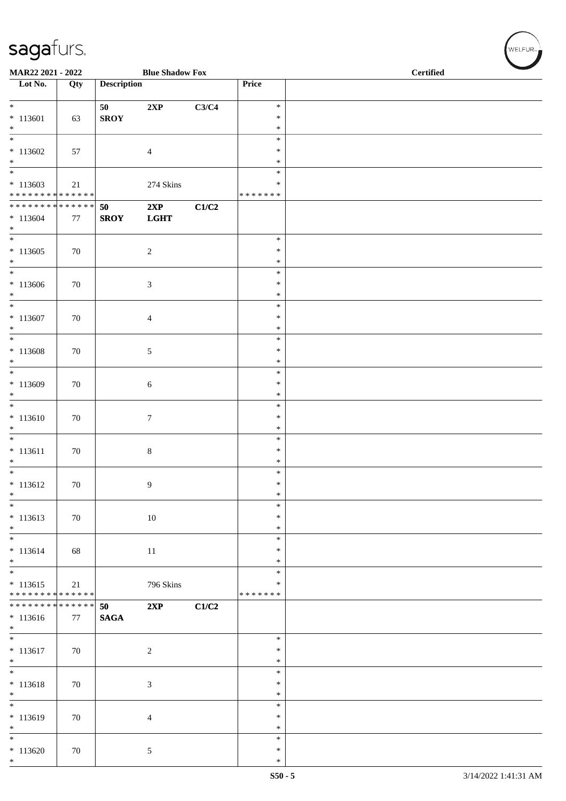| MAR22 2021 - 2022                                                                    |        |                    | <b>Blue Shadow Fox</b> |       |                                   | <b>Certified</b> |  |  |
|--------------------------------------------------------------------------------------|--------|--------------------|------------------------|-------|-----------------------------------|------------------|--|--|
| Lot No.                                                                              | Qty    | <b>Description</b> |                        |       | Price                             |                  |  |  |
| $*$<br>$* 113601$<br>$*$                                                             | 63     | 50<br><b>SROY</b>  | 2XP                    | C3/C4 | $\ast$<br>$\ast$<br>$\ast$        |                  |  |  |
| $\overline{\phantom{0}}$<br>$*113602$<br>$*$<br>$\overline{\ast}$                    | 57     |                    | $\overline{4}$         |       | $\ast$<br>$\ast$<br>$\ast$        |                  |  |  |
| $*113603$<br>* * * * * * * * * * * * * *<br>******** <mark>******</mark>             | 21     | 50                 | 274 Skins<br>2XP       | C1/C2 | $\ast$<br>$\ast$<br>* * * * * * * |                  |  |  |
| $* 113604$<br>$*$<br>$\overline{\ast}$                                               | 77     | <b>SROY</b>        | <b>LGHT</b>            |       | $\ast$                            |                  |  |  |
| $*113605$<br>$\ast$<br>$\overline{\phantom{0}}$                                      | 70     |                    | $\sqrt{2}$             |       | $\ast$<br>$\ast$<br>$\ast$        |                  |  |  |
| $*113606$<br>$\ast$<br>$*$                                                           | 70     |                    | 3                      |       | $\ast$<br>$\ast$<br>$\ast$        |                  |  |  |
| $* 113607$<br>$*$<br>$\overline{\phantom{0}}$                                        | $70\,$ |                    | 4                      |       | $\ast$<br>$\ast$<br>$\ast$        |                  |  |  |
| $* 113608$<br>$*$<br>$\overline{\phantom{0}}$                                        | 70     |                    | $\sqrt{5}$             |       | $\ast$<br>$\ast$<br>$\ast$        |                  |  |  |
| $*113609$<br>$*$<br>$\overline{\ast}$                                                | 70     |                    | 6                      |       | $\ast$<br>$\ast$                  |                  |  |  |
| $* 113610$<br>$*$<br>$\overline{\phantom{0}}$                                        | $70\,$ |                    | 7                      |       | $\ast$<br>$\ast$<br>$\ast$        |                  |  |  |
| $* 113611$<br>$\ast$<br>$\overline{\ast}$                                            | 70     |                    | $8\,$                  |       | $\ast$<br>$\ast$<br>$\ast$        |                  |  |  |
| $* 113612$<br>$\ast$                                                                 | 70     |                    | 9                      |       | $\ast$<br>$\ast$<br>$\ast$        |                  |  |  |
| $\ast$<br>$* 113613$<br>$*$                                                          | $70\,$ |                    | 10                     |       | $\ast$<br>$\ast$<br>$\ast$        |                  |  |  |
| $*$<br>$* 113614$<br>$*$                                                             | 68     |                    | 11                     |       | $\ast$<br>$\ast$<br>$\ast$        |                  |  |  |
| $\overline{\phantom{0}}$<br>$* 113615$<br>* * * * * * * * <mark>* * * * * * *</mark> | 21     |                    | 796 Skins              |       | $\ast$<br>$\ast$<br>* * * * * * * |                  |  |  |
| * * * * * * * * * * * * * * *<br>$* 113616$<br>$*$                                   | 77     | 50<br><b>SAGA</b>  | 2XP                    | C1/C2 |                                   |                  |  |  |
| $\overline{\phantom{0}}$<br>$* 113617$<br>$*$                                        | 70     |                    | $\boldsymbol{2}$       |       | $\ast$<br>$\ast$<br>$\ast$        |                  |  |  |
| $* 113618$<br>$\ast$                                                                 | 70     |                    | $\mathfrak{Z}$         |       | $\ast$<br>$\ast$<br>$\ast$        |                  |  |  |
| $\overline{\phantom{0}}$<br>$* 113619$<br>$*$                                        | $70\,$ |                    | $\overline{4}$         |       | $\ast$<br>$\ast$<br>$\ast$        |                  |  |  |
| $*$<br>$*113620$<br>$*$                                                              | 70     |                    | 5                      |       | $\ast$<br>$\ast$<br>$\ast$        |                  |  |  |

 $(\sqrt{\text{WELFUR}_{n}})$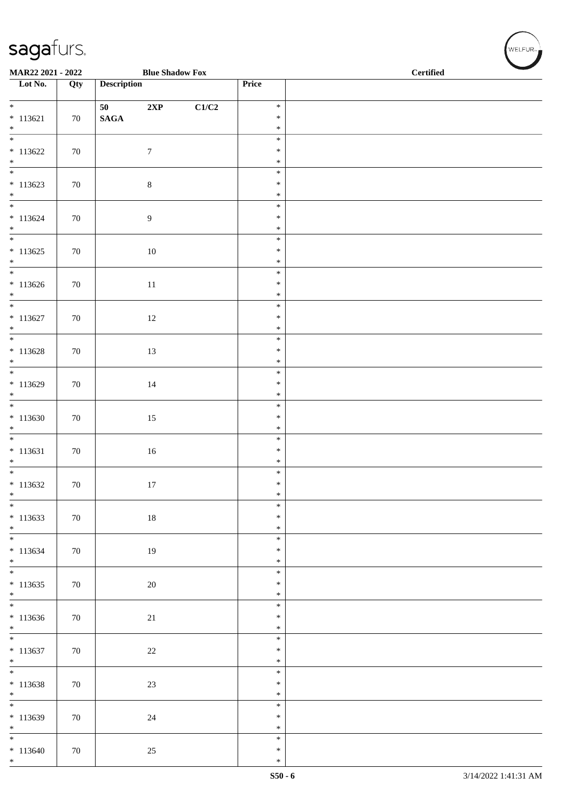| MAR22 2021 - 2022                      |        |                    | <b>Blue Shadow Fox</b> |       | <b>Certified</b> |  |  |  |
|----------------------------------------|--------|--------------------|------------------------|-------|------------------|--|--|--|
| Lot No.                                | Qty    | <b>Description</b> |                        |       | Price            |  |  |  |
| $*$                                    |        | 50                 | 2XP                    | C1/C2 | $\ast$           |  |  |  |
| $* 113621$<br>$*$                      | 70     | $\mathbf{SAGA}$    |                        |       | $\ast$<br>$\ast$ |  |  |  |
|                                        |        |                    |                        |       | $\ast$           |  |  |  |
| $* 113622$<br>$*$                      | $70\,$ |                    | $\boldsymbol{7}$       |       | $\ast$<br>$\ast$ |  |  |  |
| $\overline{\phantom{0}}$               |        |                    |                        |       | $\ast$           |  |  |  |
| $* 113623$<br>$\ast$                   | $70\,$ |                    | $8\,$                  |       | $\ast$<br>$\ast$ |  |  |  |
| $\overline{\mathbf{r}}$                |        |                    |                        |       | $\ast$           |  |  |  |
| $* 113624$<br>$*$                      | 70     |                    | $\overline{9}$         |       | $\ast$<br>$\ast$ |  |  |  |
|                                        |        |                    |                        |       | $\ast$           |  |  |  |
| $* 113625$<br>$*$                      | $70\,$ |                    | 10                     |       | $\ast$<br>$\ast$ |  |  |  |
| $\overline{\phantom{0}}$               |        |                    |                        |       | $\ast$           |  |  |  |
| $*113626$<br>$*$                       | $70\,$ |                    | $11\,$                 |       | $\ast$<br>$\ast$ |  |  |  |
| $*$                                    |        |                    |                        |       | $\ast$<br>$\ast$ |  |  |  |
| $* 113627$<br>$*$                      | 70     |                    | 12                     |       | $\ast$           |  |  |  |
| $* 113628$                             |        |                    |                        |       | $\ast$<br>$\ast$ |  |  |  |
| $*$                                    | $70\,$ |                    | 13                     |       | $\ast$           |  |  |  |
| $*113629$                              | $70\,$ |                    | 14                     |       | $\ast$<br>$\ast$ |  |  |  |
| $*$<br>$*$                             |        |                    |                        |       | $\ast$           |  |  |  |
| $*113630$                              | $70\,$ |                    | 15                     |       | $\ast$<br>$\ast$ |  |  |  |
| $\ast$                                 |        |                    |                        |       | $\ast$           |  |  |  |
| $* 113631$                             | $70\,$ |                    | 16                     |       | $\ast$<br>$\ast$ |  |  |  |
| $\ast$<br>$\overline{\phantom{0}}$     |        |                    |                        |       | $\ast$<br>$\ast$ |  |  |  |
| $* 113632$                             | $70\,$ |                    | 17                     |       | $\ast$           |  |  |  |
| $\ast$<br>$*$                          |        |                    |                        |       | $\ast$<br>$\ast$ |  |  |  |
| $* 113633$                             | 70     |                    | $18\,$                 |       | $\ast$           |  |  |  |
| $*$<br>$\overline{\ }$                 |        |                    |                        |       | $\ast$<br>$\ast$ |  |  |  |
| $* 113634$<br>$*$                      | 70     |                    | 19                     |       | $\ast$<br>$\ast$ |  |  |  |
| $*$                                    |        |                    |                        |       | $\ast$           |  |  |  |
| $* 113635$<br>$*$                      | 70     |                    | $20\,$                 |       | $\ast$<br>$\ast$ |  |  |  |
| $\overline{\phantom{0}}$               |        |                    |                        |       | $\ast$           |  |  |  |
| $* 113636$<br>$*$                      | 70     |                    | 21                     |       | $\ast$<br>$\ast$ |  |  |  |
| $\overline{\phantom{0}}$<br>$* 113637$ | 70     |                    | $22\,$                 |       | $\ast$<br>$\ast$ |  |  |  |
| $*$                                    |        |                    |                        |       | $\ast$           |  |  |  |
| $\overline{\phantom{0}}$<br>$* 113638$ | 70     |                    | $23\,$                 |       | $\ast$<br>$\ast$ |  |  |  |
| $*$<br>$\overline{\phantom{0}}$        |        |                    |                        |       | $\ast$           |  |  |  |
| $*113639$                              | 70     |                    | $24\,$                 |       | $\ast$<br>$\ast$ |  |  |  |
| $*$<br>$*$                             |        |                    |                        |       | $\ast$<br>$\ast$ |  |  |  |
| $* 113640$                             | 70     |                    | $25\,$                 |       | $\ast$           |  |  |  |
| $*$                                    |        |                    |                        |       | $\ast$           |  |  |  |

WELFUR<sub><sup>12</sup></sub>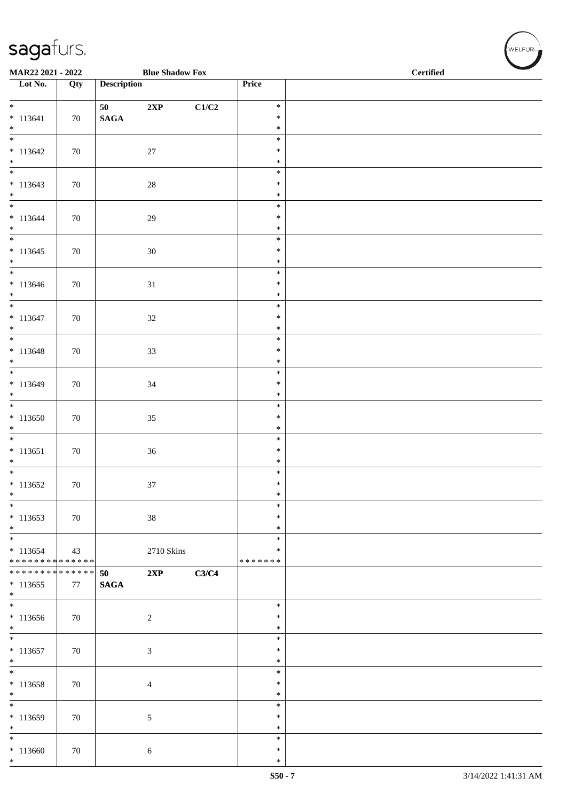| MAR22 2021 - 2022                             |     |                    | <b>Blue Shadow Fox</b> |       |                            | <b>Certified</b> |  |  |  |  |
|-----------------------------------------------|-----|--------------------|------------------------|-------|----------------------------|------------------|--|--|--|--|
| $\overline{\phantom{1}}$ Lot No.              | Qty | <b>Description</b> |                        |       | Price                      |                  |  |  |  |  |
| $*$                                           |     | 50                 | $2{\bf XP}$            | C1/C2 | $\ast$                     |                  |  |  |  |  |
| $* 113641$                                    | 70  | $\mathbf{SAGA}$    |                        |       | $\ast$                     |                  |  |  |  |  |
| $*$<br>$\overline{\phantom{0}}$               |     |                    |                        |       | $\ast$<br>$\ast$           |                  |  |  |  |  |
| $* 113642$                                    | 70  |                    | $27\,$                 |       | $\ast$                     |                  |  |  |  |  |
| $\ast$<br>$\overline{\phantom{0}}$            |     |                    |                        |       | $\ast$<br>$\ast$           |                  |  |  |  |  |
| $* 113643$<br>$\ast$                          | 70  |                    | $28\,$                 |       | $\ast$<br>$\ast$           |                  |  |  |  |  |
| $\overline{\ }$<br>$* 113644$<br>$*$          | 70  |                    | $29\,$                 |       | $\ast$<br>$\ast$<br>$\ast$ |                  |  |  |  |  |
| $\overline{\phantom{0}}$<br>$* 113645$        | 70  |                    | 30                     |       | $\ast$<br>$\ast$           |                  |  |  |  |  |
| $*$                                           |     |                    |                        |       | $\ast$                     |                  |  |  |  |  |
| $\overline{\phantom{0}}$<br>$* 113646$<br>$*$ | 70  |                    | $31\,$                 |       | $\ast$<br>$\ast$<br>$\ast$ |                  |  |  |  |  |
| $\ast$                                        |     |                    |                        |       | $\ast$                     |                  |  |  |  |  |
| $* 113647$<br>$*$                             | 70  |                    | $32\,$                 |       | $\ast$<br>$\ast$           |                  |  |  |  |  |
| $\overline{\phantom{0}}$                      |     |                    |                        |       | $\ast$                     |                  |  |  |  |  |
| $* 113648$<br>$*$                             | 70  |                    | 33                     |       | $\ast$<br>$\ast$           |                  |  |  |  |  |
| $\overline{\phantom{0}}$                      |     |                    |                        |       | $\ast$                     |                  |  |  |  |  |
| $* 113649$<br>$\ast$                          | 70  |                    | $34\,$                 |       | $\ast$<br>$\ast$           |                  |  |  |  |  |
| $\overline{\phantom{0}}$                      |     |                    |                        |       | $\ast$                     |                  |  |  |  |  |
| $*113650$<br>$\ast$                           | 70  |                    | $35\,$                 |       | $\ast$<br>$\ast$           |                  |  |  |  |  |
| $\overline{\phantom{0}}$                      |     |                    |                        |       | $\ast$                     |                  |  |  |  |  |
| $* 113651$<br>$\ast$                          | 70  |                    | $36\,$                 |       | $\ast$<br>$\ast$           |                  |  |  |  |  |
| $\overline{\phantom{0}}$                      |     |                    |                        |       | $\ast$                     |                  |  |  |  |  |
| $* 113652$<br>$\ast$                          | 70  |                    | 37                     |       | $\ast$<br>$\ast$           |                  |  |  |  |  |
| $\ast$                                        |     |                    |                        |       | $\ast$                     |                  |  |  |  |  |
| $*113653$<br>$*$                              | 70  |                    | $38\,$                 |       | $\ast$<br>$\ast$           |                  |  |  |  |  |
| $\overline{\ast}$                             |     |                    |                        |       | $\ast$                     |                  |  |  |  |  |
| $* 113654$<br>******** <mark>******</mark>    | 43  |                    | 2710 Skins             |       | $\ast$<br>* * * * * * *    |                  |  |  |  |  |
| ******** <mark>******</mark>                  |     | 50                 | 2XP                    | C3/C4 |                            |                  |  |  |  |  |
| $*113655$<br>$*$                              | 77  | <b>SAGA</b>        |                        |       |                            |                  |  |  |  |  |
| $\overline{\phantom{0}}$                      |     |                    |                        |       | $\ast$                     |                  |  |  |  |  |
| $*113656$<br>$*$                              | 70  |                    | $\overline{c}$         |       | ∗<br>$\ast$                |                  |  |  |  |  |
| $\overline{\phantom{0}}$                      |     |                    |                        |       | $\ast$                     |                  |  |  |  |  |
| $* 113657$<br>$*$                             | 70  |                    | $\mathfrak{Z}$         |       | $\ast$<br>$\ast$           |                  |  |  |  |  |
| $\overline{\phantom{a}^*}$                    |     |                    |                        |       | $\ast$                     |                  |  |  |  |  |
| $*113658$<br>$\ast$                           | 70  |                    | $\overline{4}$         |       | $\ast$<br>$\ast$           |                  |  |  |  |  |
| $\ast$                                        |     |                    |                        |       | $\ast$                     |                  |  |  |  |  |
| $* 113659$<br>$\ast$                          | 70  |                    | 5                      |       | $\ast$<br>$\ast$           |                  |  |  |  |  |
| $\ast$                                        |     |                    |                        |       | $\ast$                     |                  |  |  |  |  |
| $*113660$<br>$\ast$                           | 70  |                    | 6                      |       | $\ast$<br>∗                |                  |  |  |  |  |

WELFUR<sub><sup>12</sup></sub>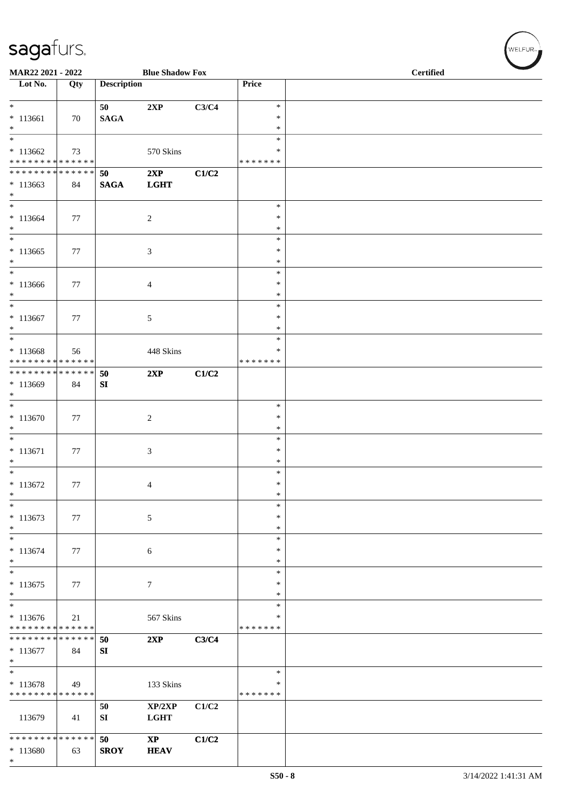\*

| MAR22 2021 - 2022                                                                         |     |                    | <b>Blue Shadow Fox</b>                |       |                                      | <b>Certified</b> |  |  |  |
|-------------------------------------------------------------------------------------------|-----|--------------------|---------------------------------------|-------|--------------------------------------|------------------|--|--|--|
| Lot No.                                                                                   | Qty | <b>Description</b> |                                       |       | Price                                |                  |  |  |  |
| $\overline{\ast}$<br>$* 113661$<br>$*$                                                    | 70  | 50<br><b>SAGA</b>  | 2XP                                   | C3/C4 | $\ast$<br>$\ast$<br>$\ast$           |                  |  |  |  |
| $*$<br>$*113662$<br>* * * * * * * * <mark>* * * * * * *</mark>                            | 73  |                    | 570 Skins                             |       | $\ast$<br>∗<br>* * * * * * *         |                  |  |  |  |
| * * * * * * * * * * * * * * *<br>$*113663$<br>$*$                                         | 84  | 50<br><b>SAGA</b>  | 2XP<br><b>LGHT</b>                    | C1/C2 |                                      |                  |  |  |  |
| $*$<br>$* 113664$<br>$*$                                                                  | 77  |                    | 2                                     |       | $\ast$<br>$\ast$<br>$\ast$<br>$\ast$ |                  |  |  |  |
| $*113665$<br>$\ast$<br>$*$                                                                | 77  |                    | 3                                     |       | $\ast$<br>$\ast$<br>$\ast$           |                  |  |  |  |
| $*113666$<br>$*$<br>$*$                                                                   | 77  |                    | 4                                     |       | $\ast$<br>$\ast$<br>$\ast$           |                  |  |  |  |
| $* 113667$<br>$\ast$<br>$*$                                                               | 77  |                    | 5                                     |       | $\ast$<br>$\ast$<br>$\ast$           |                  |  |  |  |
| $* 113668$<br>* * * * * * * * <mark>* * * * * * *</mark><br>* * * * * * * * * * * * * * * | 56  | 50                 | 448 Skins<br>2XP                      | C1/C2 | *<br>* * * * * * *                   |                  |  |  |  |
| $*113669$<br>$*$<br>$\overline{\ast}$                                                     | 84  | SI                 |                                       |       | $\ast$                               |                  |  |  |  |
| $*113670$<br>$\ast$<br>$*$                                                                | 77  |                    | $\sqrt{2}$                            |       | $\ast$<br>$\ast$<br>$\ast$           |                  |  |  |  |
| $* 113671$<br>$\ast$<br>$*$                                                               | 77  |                    | 3                                     |       | $\ast$<br>$\ast$<br>$\ast$           |                  |  |  |  |
| $* 113672$<br>$\ast$<br>$\overline{\phantom{0}}$                                          | 77  |                    | $\overline{4}$                        |       | $\ast$<br>$\ast$<br>$\ast$           |                  |  |  |  |
| $* 113673$<br>$*$<br>$*$                                                                  | 77  |                    | $\sqrt{5}$                            |       | $\ast$<br>$\ast$<br>$\ast$           |                  |  |  |  |
| $* 113674$<br>$*$<br>$*$                                                                  | 77  |                    | 6                                     |       | $\ast$<br>$\ast$<br>$\ast$           |                  |  |  |  |
| $* 113675$<br>$*$<br>$\overline{\ast}$                                                    | 77  |                    | $\tau$                                |       | $\ast$<br>$\ast$<br>$\ast$           |                  |  |  |  |
| $* 113676$<br>* * * * * * * * * * * * * *<br>* * * * * * * * <mark>* * * * * * *</mark>   | 21  | 50                 | 567 Skins<br>2XP                      | C3/C4 | ∗<br>* * * * * * *                   |                  |  |  |  |
| $* 113677$<br>$\ast$<br>$*$                                                               | 84  | SI                 |                                       |       | $\ast$                               |                  |  |  |  |
| $* 113678$<br>* * * * * * * * * * * * * *                                                 | 49  | 50                 | 133 Skins<br>XP/2XP                   | C1/C2 | $\ast$<br>* * * * * * *              |                  |  |  |  |
| 113679<br>* * * * * * * * * * * * * * *                                                   | 41  | SI                 | <b>LGHT</b>                           |       |                                      |                  |  |  |  |
| * 113680                                                                                  | 63  | 50<br><b>SROY</b>  | $\mathbf{X}\mathbf{P}$<br><b>HEAV</b> | C1/C2 |                                      |                  |  |  |  |

 $(\sqrt{\text{WELFUR}_{\text{max}}})$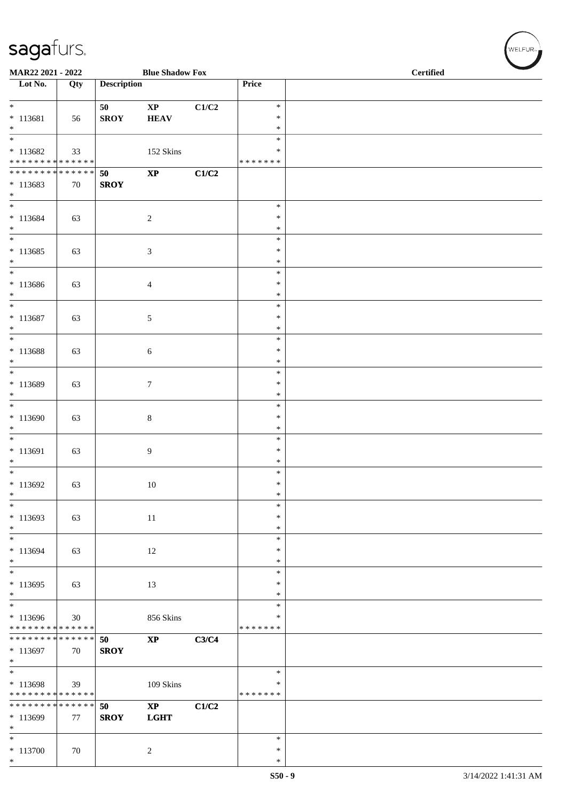\*

| MAR22 2021 - 2022                                                      |     |                    | <b>Blue Shadow Fox</b>       |       | <b>Certified</b>                  |  |  |  |
|------------------------------------------------------------------------|-----|--------------------|------------------------------|-------|-----------------------------------|--|--|--|
| Lot No.                                                                | Qty | <b>Description</b> |                              |       | Price                             |  |  |  |
| $*$<br>* 113681<br>$\ast$                                              | 56  | 50<br><b>SROY</b>  | $\bold{XP}$<br><b>HEAV</b>   | C1/C2 | $\ast$<br>∗<br>$\ast$             |  |  |  |
| $\overline{\phantom{0}}$<br>$* 113682$<br>******** <mark>******</mark> | 33  |                    | 152 Skins                    |       | $\ast$<br>∗<br>* * * * * * *      |  |  |  |
| ******** <mark>******</mark><br>$*113683$<br>$*$                       | 70  | 50<br><b>SROY</b>  | $\mathbf{X}\mathbf{P}$       | C1/C2 |                                   |  |  |  |
| $*$<br>$* 113684$<br>$*$                                               | 63  |                    | $\sqrt{2}$                   |       | $\ast$<br>$\ast$<br>$\ast$        |  |  |  |
| $*$<br>$* 113685$<br>$*$                                               | 63  |                    | 3                            |       | $\ast$<br>$\ast$<br>$\ast$        |  |  |  |
| $\ast$<br>$* 113686$<br>$\ast$                                         | 63  |                    | 4                            |       | $\ast$<br>$\ast$<br>$\ast$        |  |  |  |
| $\overline{\phantom{0}}$<br>$* 113687$<br>$\ast$                       | 63  |                    | 5                            |       | $\ast$<br>$\ast$<br>$\ast$        |  |  |  |
| $\overline{\ }$<br>$* 113688$<br>$*$                                   | 63  |                    | 6                            |       | $\ast$<br>$\ast$<br>$\ast$        |  |  |  |
| $*$<br>$* 113689$<br>$*$                                               | 63  |                    | $\tau$                       |       | $\ast$<br>$\ast$<br>$\ast$        |  |  |  |
| $*$<br>$*113690$<br>$*$                                                | 63  |                    | 8                            |       | $\ast$<br>$\ast$<br>$\ast$        |  |  |  |
| $*$<br>$* 113691$<br>$*$                                               | 63  |                    | 9                            |       | $\ast$<br>$\ast$<br>$\ast$        |  |  |  |
| $\overline{\phantom{0}}$<br>$* 113692$<br>$\ast$                       | 63  |                    | 10                           |       | $\ast$<br>$\ast$<br>$\ast$        |  |  |  |
| $\ast$<br>$* 113693$<br>$\ast$                                         | 63  |                    | 11                           |       | $\ast$<br>$\ast$<br>*             |  |  |  |
| * 113694<br>$*$                                                        | 63  |                    | 12                           |       | $\ast$<br>$\ast$<br>$\ast$        |  |  |  |
| $*$<br>$*113695$<br>$*$                                                | 63  |                    | 13                           |       | $\ast$<br>$\ast$<br>$\ast$        |  |  |  |
| $*$<br>$*113696$<br>* * * * * * * * * * * * * *                        | 30  |                    | 856 Skins                    |       | $\ast$<br>$\ast$<br>* * * * * * * |  |  |  |
| * * * * * * * * * * * * * * *<br>* 113697<br>$*$                       | 70  | 50<br><b>SROY</b>  | $\bold{XP}$                  | C3/C4 |                                   |  |  |  |
| $\ast$<br>* 113698<br>* * * * * * * * * * * * * *                      | 39  |                    | 109 Skins                    |       | $\ast$<br>∗<br>* * * * * * *      |  |  |  |
| * * * * * * * * * * * * * * *<br>* 113699<br>$\ast$                    | 77  | 50<br><b>SROY</b>  | $\mathbf{XP}$<br><b>LGHT</b> | C1/C2 |                                   |  |  |  |
| $*$<br>$* 113700$                                                      | 70  |                    | $\sqrt{2}$                   |       | $\ast$<br>$\ast$                  |  |  |  |

 $(w$ ELFUR<sub>m</sub>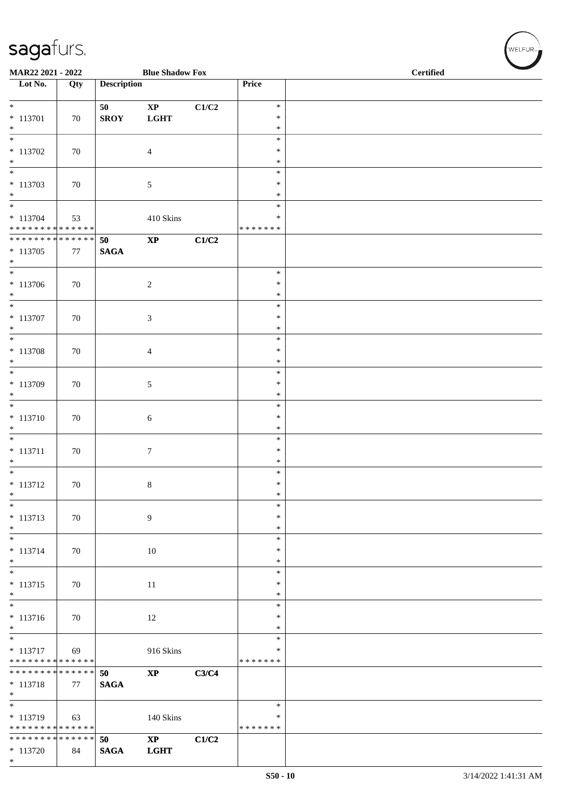\*

| MAR22 2021 - 2022                                                |     |                    | <b>Blue Shadow Fox</b>                |       |                                      | <b>Certified</b> |
|------------------------------------------------------------------|-----|--------------------|---------------------------------------|-------|--------------------------------------|------------------|
| Lot No.                                                          | Qty | <b>Description</b> |                                       |       | Price                                |                  |
| $*$<br>* 113701<br>$*$                                           | 70  | 50<br><b>SROY</b>  | $\bold{XP}$<br><b>LGHT</b>            | C1/C2 | $\ast$<br>$\ast$<br>$\ast$           |                  |
| $* 113702$<br>$*$                                                | 70  |                    | $\overline{4}$                        |       | $\ast$<br>$\ast$<br>$\ast$           |                  |
| $\overline{\phantom{0}}$<br>$* 113703$<br>$*$<br>$*$             | 70  |                    | $\sqrt{5}$                            |       | $\ast$<br>$\ast$<br>$\ast$<br>$\ast$ |                  |
| $* 113704$<br>******** <mark>******</mark>                       | 53  |                    | 410 Skins                             |       | $\ast$<br>* * * * * * *              |                  |
| **************<br>$*113705$<br>$*$                               | 77  | 50<br><b>SAGA</b>  | $\bold{XP}$                           | C1/C2 |                                      |                  |
| $\overline{\ast}$<br>$* 113706$<br>$*$                           | 70  |                    | $\overline{2}$                        |       | $\ast$<br>$\ast$<br>$\ast$           |                  |
| * 113707<br>$*$                                                  | 70  |                    | $\mathfrak{Z}$                        |       | $\ast$<br>$\ast$<br>$\ast$           |                  |
| $*$<br>* 113708<br>$*$                                           | 70  |                    | $\overline{4}$                        |       | $\ast$<br>$\ast$<br>$\ast$           |                  |
| $\overline{\phantom{0}}$<br>* 113709<br>$*$                      | 70  |                    | $\mathfrak{S}$                        |       | $\ast$<br>$\ast$<br>$\ast$           |                  |
| $\overline{\ast}$<br>$* 113710$<br>$\ast$                        | 70  |                    | 6                                     |       | $\ast$<br>$\ast$<br>$\ast$           |                  |
| $*$<br>* 113711<br>$*$                                           | 70  |                    | $\tau$                                |       | $\ast$<br>$\ast$<br>$\ast$           |                  |
| $* 113712$<br>$\ast$                                             | 70  |                    | 8                                     |       | $\ast$<br>$\ast$<br>$\ast$           |                  |
| $*$<br>* 113713<br>$*$                                           | 70  |                    | $\overline{9}$                        |       | $\ast$<br>$\ast$<br>$\ast$           |                  |
| $*$<br>$* 113714$<br>$*$                                         | 70  |                    | 10                                    |       | $\ast$<br>$\ast$<br>$\ast$           |                  |
| $*$<br>$* 113715$<br>$*$                                         | 70  |                    | 11                                    |       | $\ast$<br>$\ast$<br>$\ast$           |                  |
| $* 113716$<br>$*$                                                | 70  |                    | 12                                    |       | $\ast$<br>$\ast$<br>$\ast$           |                  |
| $\overline{\ast}$<br>$* 113717$<br>* * * * * * * * * * * * * * * | 69  |                    | 916 Skins                             |       | $\ast$<br>$\ast$<br>* * * * * * *    |                  |
| * * * * * * * * <mark>* * * * * * *</mark><br>$* 113718$<br>$*$  | 77  | 50<br><b>SAGA</b>  | $\mathbf{XP}$                         | C3/C4 |                                      |                  |
| * 113719<br>******** <mark>******</mark>                         | 63  |                    | 140 Skins                             |       | $\ast$<br>$\ast$<br>* * * * * * *    |                  |
| * * * * * * * * <mark>* * * * * * *</mark><br>$* 113720$         | 84  | 50<br><b>SAGA</b>  | $\mathbf{X}\mathbf{P}$<br><b>LGHT</b> | C1/C2 |                                      |                  |

 $(\forall ELFUR_{\approx})$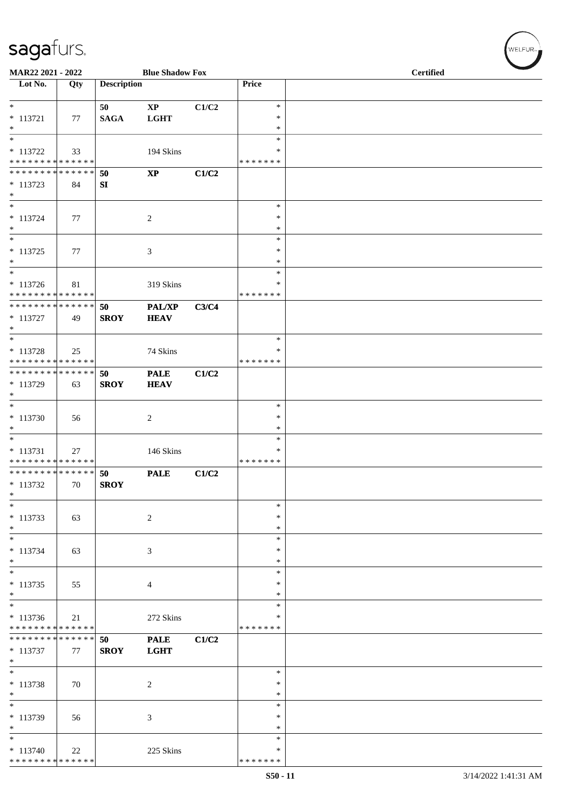| MAR22 2021 - 2022                             |     |                    | <b>Blue Shadow Fox</b>       |       |                         | <b>Certified</b> |
|-----------------------------------------------|-----|--------------------|------------------------------|-------|-------------------------|------------------|
| Lot No.                                       | Qty | <b>Description</b> |                              |       | Price                   |                  |
| $*$                                           |     |                    |                              |       | $\ast$                  |                  |
| $* 113721$                                    | 77  | 50<br><b>SAGA</b>  | $\mathbf{XP}$<br><b>LGHT</b> | C1/C2 | $\ast$                  |                  |
| $\ast$                                        |     |                    |                              |       | $\ast$                  |                  |
| $\ast$                                        |     |                    |                              |       | $\ast$                  |                  |
| $* 113722$                                    | 33  |                    | 194 Skins                    |       | $\ast$                  |                  |
| * * * * * * * * * * * * * *<br>************** |     |                    |                              |       | * * * * * * *           |                  |
| $* 113723$                                    | 84  | 50<br>SI           | $\bold{XP}$                  | C1/C2 |                         |                  |
| $\ast$                                        |     |                    |                              |       |                         |                  |
| $\ast$                                        |     |                    |                              |       | $\ast$                  |                  |
| $* 113724$                                    | 77  |                    | $\overline{2}$               |       | ∗                       |                  |
| $\ast$<br>$\ast$                              |     |                    |                              |       | $\ast$                  |                  |
| $* 113725$                                    | 77  |                    |                              |       | $\ast$<br>$\ast$        |                  |
| $\ast$                                        |     |                    | 3                            |       | $\ast$                  |                  |
| $\ast$                                        |     |                    |                              |       | $\ast$                  |                  |
| $* 113726$                                    | 81  |                    | 319 Skins                    |       | ∗                       |                  |
| * * * * * * * * * * * * * *                   |     |                    |                              |       | * * * * * * *           |                  |
| **************                                | 49  | 50<br><b>SROY</b>  | PAL/XP<br><b>HEAV</b>        | C3/C4 |                         |                  |
| $* 113727$<br>$\ast$                          |     |                    |                              |       |                         |                  |
| $_{\ast}^{-}$                                 |     |                    |                              |       | $\ast$                  |                  |
| $* 113728$                                    | 25  |                    | 74 Skins                     |       | ∗                       |                  |
| * * * * * * * * * * * * * *                   |     |                    |                              |       | * * * * * * *           |                  |
| * * * * * * * * * * * * * *                   |     | 50                 | <b>PALE</b>                  | C1/C2 |                         |                  |
| * 113729<br>$\ast$                            | 63  | <b>SROY</b>        | <b>HEAV</b>                  |       |                         |                  |
| $\ast$                                        |     |                    |                              |       | $\ast$                  |                  |
| $* 113730$                                    | 56  |                    | $\overline{c}$               |       | ∗                       |                  |
| $\ast$                                        |     |                    |                              |       | ∗                       |                  |
| $\ast$                                        |     |                    |                              |       | $\ast$                  |                  |
| $* 113731$<br>* * * * * * * * * * * * * *     | 27  |                    | 146 Skins                    |       | $\ast$<br>* * * * * * * |                  |
| **************                                |     | 50                 | <b>PALE</b>                  | C1/C2 |                         |                  |
| $* 113732$                                    | 70  | <b>SROY</b>        |                              |       |                         |                  |
| $\ast$                                        |     |                    |                              |       |                         |                  |
| $\ast$                                        |     |                    |                              |       | $\ast$<br>∗             |                  |
| $* 113733$<br>$*$                             | 63  |                    | $\sqrt{2}$                   |       | ∗                       |                  |
| $\overline{\phantom{0}}$                      |     |                    |                              |       | $\ast$                  |                  |
| $* 113734$                                    | 63  |                    | 3                            |       | $\ast$                  |                  |
| $*$                                           |     |                    |                              |       | $\ast$                  |                  |
| $\ast$                                        |     |                    |                              |       | $\ast$                  |                  |
| $* 113735$<br>$\ast$                          | 55  |                    | 4                            |       | $\ast$<br>$\ast$        |                  |
| $\overline{\phantom{a}^*}$                    |     |                    |                              |       | $\ast$                  |                  |
| $* 113736$                                    | 21  |                    | 272 Skins                    |       | $\ast$                  |                  |
| * * * * * * * * * * * * * *                   |     |                    |                              |       | * * * * * * *           |                  |
| ******** <mark>******</mark>                  |     | 50                 | <b>PALE</b>                  | C1/C2 |                         |                  |
| $* 113737$<br>$\ast$                          | 77  | <b>SROY</b>        | <b>LGHT</b>                  |       |                         |                  |
| $\ast$                                        |     |                    |                              |       | ∗                       |                  |
| * 113738                                      | 70  |                    | $\overline{2}$               |       | $\ast$                  |                  |
| $\ast$                                        |     |                    |                              |       | $\ast$                  |                  |
| $\overline{\phantom{a}^*}$                    |     |                    |                              |       | $\ast$                  |                  |
| * 113739<br>$\ast$                            | 56  |                    | $\mathfrak{Z}$               |       | $\ast$<br>∗             |                  |
| $\overline{\ast}$                             |     |                    |                              |       | $\ast$                  |                  |
| $* 113740$                                    | 22  |                    | 225 Skins                    |       | ∗                       |                  |
| ******** <mark>******</mark>                  |     |                    |                              |       | * * * * * * *           |                  |

 $w$ ELFUR-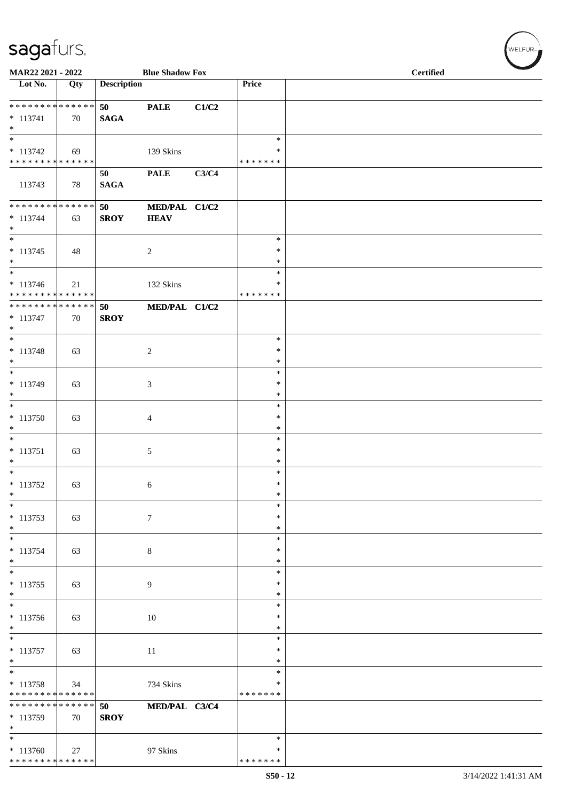| MAR22 2021 - 2022                                                       |     |                    | <b>Blue Shadow Fox</b>       |       |                                   | <b>Certified</b> |
|-------------------------------------------------------------------------|-----|--------------------|------------------------------|-------|-----------------------------------|------------------|
| Lot No.                                                                 | Qty | <b>Description</b> |                              |       | Price                             |                  |
| ******** <mark>******</mark><br>$* 113741$<br>$\ast$                    | 70  | 50<br><b>SAGA</b>  | <b>PALE</b>                  | C1/C2 |                                   |                  |
| $\overline{\phantom{1}}$<br>$* 113742$<br>* * * * * * * * * * * * * * * | 69  |                    | 139 Skins                    |       | $\ast$<br>$\ast$<br>* * * * * * * |                  |
| 113743                                                                  | 78  | 50<br><b>SAGA</b>  | <b>PALE</b>                  | C3/C4 |                                   |                  |
| **************<br>$* 113744$<br>$\ast$<br>$_{\ast}^{-}$                 | 63  | 50<br><b>SROY</b>  | MED/PAL C1/C2<br><b>HEAV</b> |       |                                   |                  |
| $* 113745$<br>$\ast$<br>$*$                                             | 48  |                    | $\overline{2}$               |       | $\ast$<br>*<br>$\ast$<br>$\ast$   |                  |
| $* 113746$<br>******** <mark>******</mark>                              | 21  |                    | 132 Skins                    |       | *<br>* * * * * * *                |                  |
| **************<br>$* 113747$<br>$\ast$                                  | 70  | 50<br><b>SROY</b>  | MED/PAL C1/C2                |       |                                   |                  |
| $_{\ast}^{-}$<br>$* 113748$<br>$*$                                      | 63  |                    | $\sqrt{2}$                   |       | $\ast$<br>∗<br>$\ast$             |                  |
| $\ast$<br>$* 113749$<br>$\ast$                                          | 63  |                    | $\mathfrak{Z}$               |       | $\ast$<br>$\ast$<br>$\ast$        |                  |
| $\ast$<br>$* 113750$<br>$\ast$                                          | 63  |                    | $\overline{4}$               |       | $\ast$<br>$\ast$<br>$\ast$        |                  |
| $\overline{\phantom{0}}$<br>$* 113751$<br>$\ast$                        | 63  |                    | 5                            |       | $\ast$<br>*<br>$\ast$             |                  |
| $\ast$<br>* 113752<br>$\ast$                                            | 63  |                    | 6                            |       | $\ast$<br>$\ast$<br>$\ast$        |                  |
| $\ast$<br>$* 113753$<br>$\ast$                                          | 63  |                    | $\tau$                       |       | $\ast$<br>∗<br>$\ast$             |                  |
| $\frac{1}{1}$<br>$* 113754$<br>$*$                                      | 63  |                    | $\,8\,$                      |       | $\ast$<br>*<br>$\ast$             |                  |
| $\ast$<br>$* 113755$<br>$*$                                             | 63  |                    | 9                            |       | $\ast$<br>$\ast$<br>$\ast$        |                  |
| $\ast$<br>$* 113756$<br>$\ast$                                          | 63  |                    | 10                           |       | $\ast$<br>$\ast$<br>$\ast$        |                  |
| $_{\ast}^{-}$<br>$* 113757$<br>$\ast$                                   | 63  |                    | 11                           |       | $\ast$<br>*<br>$\ast$             |                  |
| $\ast$<br>$* 113758$<br>* * * * * * * * * * * * * * *                   | 34  |                    | 734 Skins                    |       | $\ast$<br>*<br>* * * * * * *      |                  |
| * * * * * * * * * * * * * *<br>* 113759<br>$\ast$                       | 70  | 50<br><b>SROY</b>  | MED/PAL C3/C4                |       |                                   |                  |
| $\overline{\phantom{a}^*}$<br>$*113760$<br>******** <mark>******</mark> | 27  |                    | 97 Skins                     |       | $\ast$<br>∗<br>* * * * * * *      |                  |

 $w$ ELFUR<sub><sup>n</sub></sub></sub></sup>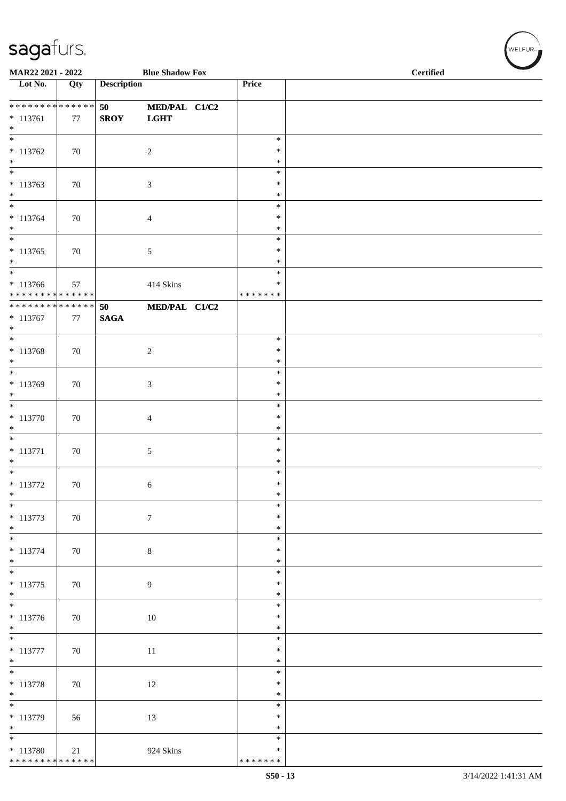| MAR22 2021 - 2022                                                                  |     |                       | <b>Blue Shadow Fox</b>       |                                      | <b>Certified</b> |  |  |  |  |  |
|------------------------------------------------------------------------------------|-----|-----------------------|------------------------------|--------------------------------------|------------------|--|--|--|--|--|
| Lot No.                                                                            | Qty | <b>Description</b>    |                              | Price                                |                  |  |  |  |  |  |
| **************<br>$* 113761$<br>$\ast$                                             | 77  | 50<br><b>SROY</b>     | MED/PAL C1/C2<br><b>LGHT</b> |                                      |                  |  |  |  |  |  |
| $\overline{\phantom{a}^*}$<br>$*113762$<br>$\ast$                                  | 70  |                       | $\overline{c}$               | $\ast$<br>$\ast$<br>$\ast$           |                  |  |  |  |  |  |
| $\ast$<br>$* 113763$<br>$\ast$<br>$\frac{1}{*}$                                    | 70  |                       | $\mathfrak{Z}$               | $\ast$<br>$\ast$<br>$\ast$           |                  |  |  |  |  |  |
| $* 113764$<br>$\ast$                                                               | 70  |                       | $\overline{4}$               | $\ast$<br>$\ast$<br>$\ast$           |                  |  |  |  |  |  |
| $\overline{\ast}$<br>$* 113765$<br>$\ast$                                          | 70  |                       | $\sqrt{5}$                   | $\ast$<br>$\ast$<br>$\ast$           |                  |  |  |  |  |  |
| $\ast$<br>$* 113766$<br>* * * * * * * * * * * * * *                                | 57  |                       | 414 Skins                    | $\ast$<br>$\ast$<br>* * * * * * *    |                  |  |  |  |  |  |
| ******** <mark>******</mark><br>$* 113767$<br>$\ast$<br>$\overline{\phantom{a}^*}$ | 77  | 50<br>$\mathbf{SAGA}$ | MED/PAL C1/C2                |                                      |                  |  |  |  |  |  |
| $* 113768$<br>$*$<br>$*$                                                           | 70  |                       | $\sqrt{2}$                   | $\ast$<br>$\ast$<br>$\ast$           |                  |  |  |  |  |  |
| $* 113769$<br>$*$<br>$\overline{\phantom{0}}$                                      | 70  |                       | $\mathfrak{Z}$               | $\ast$<br>$\ast$<br>$\ast$           |                  |  |  |  |  |  |
| $* 113770$<br>$\ast$<br>$\overline{\phantom{0}}$                                   | 70  |                       | $\overline{4}$               | $\ast$<br>$\ast$<br>$\ast$           |                  |  |  |  |  |  |
| $* 113771$<br>$\ast$<br>$\ast$                                                     | 70  |                       | $\sqrt{5}$                   | $\ast$<br>$\ast$<br>$\ast$           |                  |  |  |  |  |  |
| $* 113772$<br>$\ast$<br>$\frac{1}{\ast}$                                           | 70  |                       | 6                            | $\ast$<br>$\ast$<br>$\ast$<br>$\ast$ |                  |  |  |  |  |  |
| $* 113773$<br>$*$<br>$_{\ast}^{-}$                                                 | 70  |                       | $\boldsymbol{7}$             | $\ast$<br>$\ast$                     |                  |  |  |  |  |  |
| $* 113774$<br>$*$<br>$*$                                                           | 70  |                       | $\,8\,$                      | $\ast$<br>$\ast$<br>$\ast$           |                  |  |  |  |  |  |
| $* 113775$<br>$*$<br>$\frac{1}{*}$                                                 | 70  |                       | $\overline{9}$               | $\ast$<br>$\ast$<br>$\ast$           |                  |  |  |  |  |  |
| $* 113776$<br>$\ast$<br>$\overline{\phantom{a}^*}$                                 | 70  |                       | 10                           | $\ast$<br>$\ast$<br>$\ast$           |                  |  |  |  |  |  |
| $* 113777$<br>$\ast$<br>$\overline{\phantom{0}}$                                   | 70  |                       | 11                           | $\ast$<br>$\ast$<br>$\ast$           |                  |  |  |  |  |  |
| $* 113778$<br>$\ast$<br>$\overline{\phantom{0}}$                                   | 70  |                       | 12                           | $\ast$<br>$\ast$<br>$\ast$           |                  |  |  |  |  |  |
| * 113779<br>$\ast$                                                                 | 56  |                       | 13                           | $\ast$<br>$\ast$<br>$\ast$           |                  |  |  |  |  |  |
| $_{\ast}^{-}$<br>$*113780$<br>* * * * * * * * * * * * * *                          | 21  |                       | 924 Skins                    | $\ast$<br>$\ast$<br>* * * * * * *    |                  |  |  |  |  |  |

 $(\forall ELFUR_{\approx})$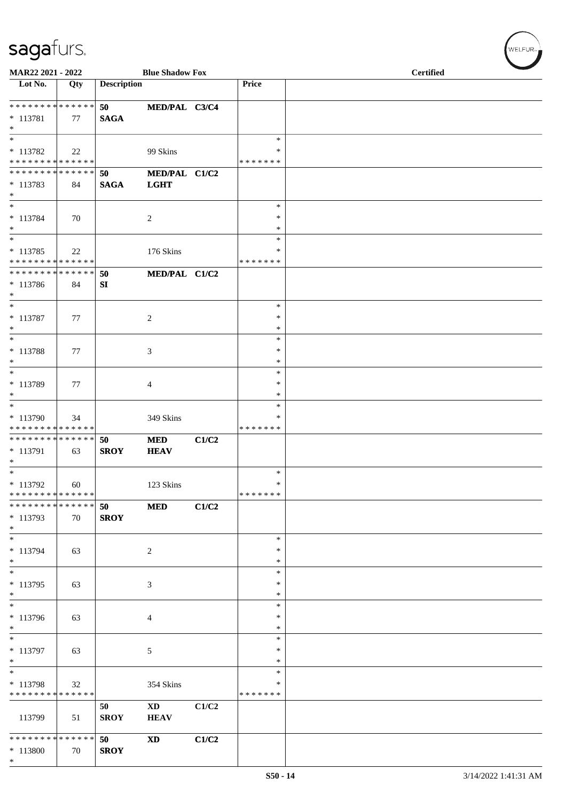| MAR22 2021 - 2022                                                      |                   |                    | <b>Blue Shadow Fox</b>       |       |                                      | <b>Certified</b> |  |  |  |  |
|------------------------------------------------------------------------|-------------------|--------------------|------------------------------|-------|--------------------------------------|------------------|--|--|--|--|
| Lot No.                                                                | Qty               | <b>Description</b> |                              |       | Price                                |                  |  |  |  |  |
| ******** <mark>******</mark><br>* 113781                               | 77                | 50<br><b>SAGA</b>  | MED/PAL C3/C4                |       |                                      |                  |  |  |  |  |
| $*$<br>$\ast$<br>* 113782<br>* * * * * * * * * * * * * *               | 22                |                    | 99 Skins                     |       | $\ast$<br>*<br>* * * * * * *         |                  |  |  |  |  |
| * * * * * * * * * * * * * *<br>$*113783$<br>$\ast$                     | 84                | 50<br><b>SAGA</b>  | MED/PAL C1/C2<br><b>LGHT</b> |       |                                      |                  |  |  |  |  |
| $\ast$<br>* 113784<br>$\ast$                                           | 70                |                    | 2                            |       | $\ast$<br>*<br>$\ast$                |                  |  |  |  |  |
| $\ast$<br>$* 113785$<br>* * * * * * * * * * * * * *                    | 22                |                    | 176 Skins                    |       | $\ast$<br>∗<br>* * * * * * *         |                  |  |  |  |  |
| * * * * * * * * * * * * * *<br>* 113786<br>$\ast$                      | 84                | 50<br>SI           | MED/PAL C1/C2                |       |                                      |                  |  |  |  |  |
| $\ast$<br>$* 113787$<br>$*$                                            | 77                |                    | $\boldsymbol{2}$             |       | $\ast$<br>*<br>$\ast$                |                  |  |  |  |  |
| $\ast$<br>* 113788<br>$*$                                              | 77                |                    | 3                            |       | $\ast$<br>$\ast$<br>$\ast$           |                  |  |  |  |  |
| $\ast$<br>$* 113789$<br>$*$<br>$*$                                     | 77                |                    | 4                            |       | $\ast$<br>$\ast$<br>$\ast$<br>$\ast$ |                  |  |  |  |  |
| * 113790<br>* * * * * * * * * * * * * *<br>* * * * * * * * * * * * * * | 34                | 50                 | 349 Skins<br><b>MED</b>      | C1/C2 | ∗<br>* * * * * * *                   |                  |  |  |  |  |
| * 113791<br>$\ast$<br>$\ast$                                           | 63                | <b>SROY</b>        | <b>HEAV</b>                  |       | $\ast$                               |                  |  |  |  |  |
| $* 113792$<br>* * * * * * * * * * * * * *<br>* * * * * * * *           | 60<br>* * * * * * | 50                 | 123 Skins<br><b>MED</b>      | C1/C2 | $\ast$<br>* * * * * * *              |                  |  |  |  |  |
| * 113793<br>$*$<br>$\overline{\phantom{0}}$                            | 70                | <b>SROY</b>        |                              |       | $\ast$                               |                  |  |  |  |  |
| * 113794<br>$*$<br>$*$                                                 | 63                |                    | $\sqrt{2}$                   |       | $\ast$<br>$\ast$<br>$\ast$           |                  |  |  |  |  |
| * 113795<br>$*$<br>$*$                                                 | 63                |                    | 3                            |       | $\ast$<br>$\ast$<br>$\ast$           |                  |  |  |  |  |
| * 113796<br>$\ast$<br>$\overline{\phantom{0}}$                         | 63                |                    | $\overline{4}$               |       | $\ast$<br>*<br>$\ast$                |                  |  |  |  |  |
| * 113797<br>$*$<br>$\ast$                                              | 63                |                    | 5                            |       | ∗<br>$\ast$<br>*                     |                  |  |  |  |  |
| * 113798<br>* * * * * * * * * * * * * *                                | 32                | 50                 | 354 Skins<br><b>XD</b>       | C1/C2 | *<br>* * * * * * *                   |                  |  |  |  |  |
| 113799<br>* * * * * * * * * * * * * *                                  | 51                | <b>SROY</b>        | <b>HEAV</b>                  |       |                                      |                  |  |  |  |  |
| $* 113800$<br>$*$                                                      | 70                | 50<br><b>SROY</b>  | $\mathbf{X}\mathbf{D}$       | C1/C2 |                                      |                  |  |  |  |  |

 $(w$ ELFUR-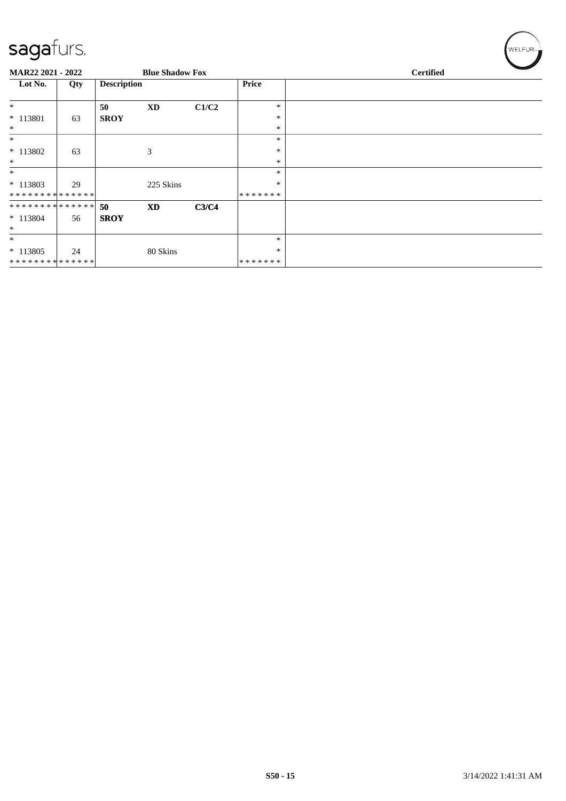| sagafurs.                    |     |                    |                        |       |                  | WELFUR <sub>™</sub> |
|------------------------------|-----|--------------------|------------------------|-------|------------------|---------------------|
| MAR22 2021 - 2022            |     |                    | <b>Blue Shadow Fox</b> |       |                  | <b>Certified</b>    |
| Lot No.                      | Qty | <b>Description</b> |                        |       | Price            |                     |
| $\ast$                       |     | 50                 | <b>XD</b>              | C1/C2 | $\ast$           |                     |
| $* 113801$<br>$\ast$         | 63  | <b>SROY</b>        |                        |       | ∗<br>$\ast$      |                     |
| $\ast$                       |     |                    |                        |       | $\ast$           |                     |
| * 113802                     | 63  |                    | 3                      |       | ∗                |                     |
| $\ast$<br>$\ast$             |     |                    |                        |       | $\ast$<br>$\ast$ |                     |
| $* 113803$<br>************** | 29  |                    | 225 Skins              |       | ∗<br>*******     |                     |
| **************               |     | 50                 | <b>XD</b>              | C3/C4 |                  |                     |
| $* 113804$<br>$\ast$         | 56  | <b>SROY</b>        |                        |       |                  |                     |
| $\ast$                       |     |                    |                        |       | $\ast$           |                     |
| $*113805$<br>**************  | 24  |                    | 80 Skins               |       | ∗<br>*******     |                     |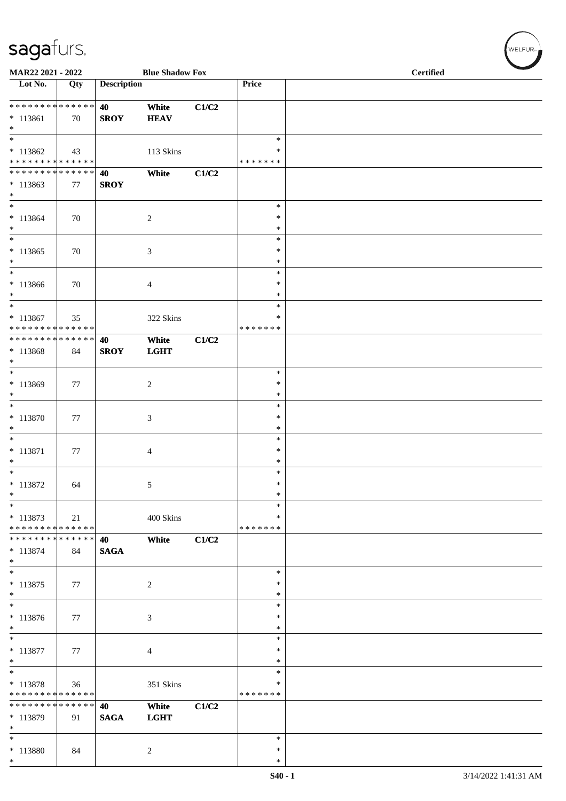| MAR22 2021 - 2022                                                                       |     |                    | <b>Blue Shadow Fox</b> |       |                                      | <b>Certified</b> |  |  |  |  |
|-----------------------------------------------------------------------------------------|-----|--------------------|------------------------|-------|--------------------------------------|------------------|--|--|--|--|
| Lot No.                                                                                 | Qty | <b>Description</b> |                        |       | Price                                |                  |  |  |  |  |
| ******** <mark>******</mark><br>$* 113861$<br>$*$                                       | 70  | 40<br><b>SROY</b>  | White<br><b>HEAV</b>   | C1/C2 |                                      |                  |  |  |  |  |
| $*$<br>$*113862$<br>* * * * * * * * * * * * * *                                         | 43  |                    | 113 Skins              |       | $\ast$<br>$\ast$<br>* * * * * * *    |                  |  |  |  |  |
| ******** <mark>******</mark><br>$* 113863$<br>$*$                                       | 77  | 40<br><b>SROY</b>  | White                  | C1/C2 |                                      |                  |  |  |  |  |
| $\overline{\ast}$<br>$* 113864$<br>$*$<br>$\overline{\ast}$                             | 70  |                    | $\boldsymbol{2}$       |       | $\ast$<br>$\ast$<br>$\ast$           |                  |  |  |  |  |
| $* 113865$<br>$*$<br>$*$                                                                | 70  |                    | 3                      |       | $\ast$<br>∗<br>$\ast$                |                  |  |  |  |  |
| $*113866$<br>$*$<br>$*$                                                                 | 70  |                    | 4                      |       | $\ast$<br>$\ast$<br>$\ast$<br>$\ast$ |                  |  |  |  |  |
| * 113867<br>* * * * * * * * * * * * * *<br>******** <mark>******</mark>                 | 35  |                    | 322 Skins              |       | $\ast$<br>* * * * * * *              |                  |  |  |  |  |
| * 113868<br>$*$<br>$\ast$                                                               | 84  | 40<br><b>SROY</b>  | White<br><b>LGHT</b>   | C1/C2 |                                      |                  |  |  |  |  |
| $* 113869$<br>$*$<br>$*$                                                                | 77  |                    | $\boldsymbol{2}$       |       | $\ast$<br>$\ast$<br>$\ast$<br>$\ast$ |                  |  |  |  |  |
| $* 113870$<br>$\ast$<br>$*$                                                             | 77  |                    | 3                      |       | $\ast$<br>$\ast$<br>$\ast$           |                  |  |  |  |  |
| $* 113871$<br>$\ast$<br>$*$                                                             | 77  |                    | 4                      |       | ∗<br>$\ast$<br>$\ast$                |                  |  |  |  |  |
| * 113872<br>$\ast$<br>$\ast$                                                            | 64  |                    | 5                      |       | $\ast$<br>$\ast$<br>∗                |                  |  |  |  |  |
| * 113873<br>* * * * * * * * <mark>* * * * * * *</mark><br>* * * * * * * * * * * * * * * | 21  |                    | 400 Skins              |       | $\ast$<br>* * * * * * *              |                  |  |  |  |  |
| $* 113874$<br>$*$<br>$*$                                                                | 84  | 40<br><b>SAGA</b>  | White                  | C1/C2 | $\ast$                               |                  |  |  |  |  |
| * 113875<br>$*$<br>$*$                                                                  | 77  |                    | $\boldsymbol{2}$       |       | $\ast$<br>$\ast$<br>$\ast$           |                  |  |  |  |  |
| $* 113876$<br>$*$<br>$\overline{\phantom{0}}$                                           | 77  |                    | 3                      |       | $\ast$<br>$\ast$<br>*                |                  |  |  |  |  |
| $* 113877$<br>$*$<br>$*$                                                                | 77  |                    | 4                      |       | ∗<br>$\ast$<br>$\ast$                |                  |  |  |  |  |
| * 113878<br>* * * * * * * * * * * * * *<br>* * * * * * * * * * * * * * *                | 36  |                    | 351 Skins              |       | *<br>* * * * * * *                   |                  |  |  |  |  |
| * 113879<br>$\ast$                                                                      | 91  | 40<br><b>SAGA</b>  | White<br><b>LGHT</b>   | C1/C2 |                                      |                  |  |  |  |  |
| * 113880<br>$*$                                                                         | 84  |                    | $\overline{c}$         |       | $\ast$<br>$\ast$<br>$\ast$           |                  |  |  |  |  |

 $(\sqrt{\text{WELFUR}_{n}})$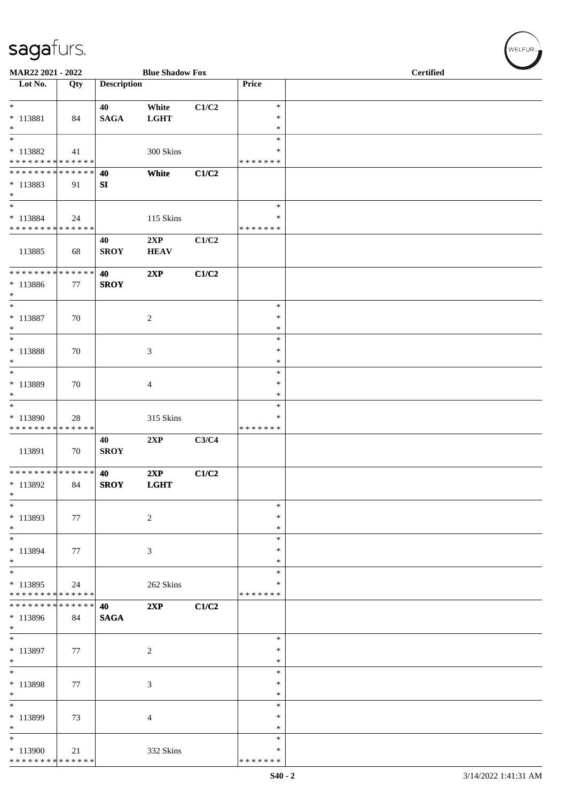| MAR22 2021 - 2022                                               |              |                    | <b>Blue Shadow Fox</b> |       |                                   | <b>Certified</b> |  |  |  |  |  |
|-----------------------------------------------------------------|--------------|--------------------|------------------------|-------|-----------------------------------|------------------|--|--|--|--|--|
| Lot No.                                                         | Qty          | <b>Description</b> |                        |       | Price                             |                  |  |  |  |  |  |
| $*$<br>* 113881<br>$*$                                          | 84           | 40<br><b>SAGA</b>  | White<br><b>LGHT</b>   | C1/C2 | $\ast$<br>$\ast$<br>$\ast$        |                  |  |  |  |  |  |
| $\overline{\ast}$<br>* 113882<br>* * * * * * * * * * * * * *    | 41           |                    | 300 Skins              |       | $\ast$<br>∗<br>* * * * * * *      |                  |  |  |  |  |  |
| * * * * * * * * * * * * * *<br>* 113883<br>$*$<br>$*$           | 91           | 40<br>SI           | White                  | C1/C2 | $\ast$                            |                  |  |  |  |  |  |
| * 113884<br>* * * * * * * * * * * * * *                         | 24           |                    | 115 Skins              |       | $\ast$<br>* * * * * * *           |                  |  |  |  |  |  |
| 113885                                                          | 68           | 40<br><b>SROY</b>  | 2XP<br><b>HEAV</b>     | C1/C2 |                                   |                  |  |  |  |  |  |
| * * * * * * * * <mark>* * * * * * *</mark><br>$* 113886$<br>$*$ | 77           | 40<br><b>SROY</b>  | 2XP                    | C1/C2 |                                   |                  |  |  |  |  |  |
| $*$<br>* 113887<br>$*$<br>$\overline{\ast}$                     | 70           |                    | $\overline{c}$         |       | $\ast$<br>$\ast$<br>$\ast$        |                  |  |  |  |  |  |
| $* 113888$<br>$*$                                               | 70           |                    | 3                      |       | $\ast$<br>$\ast$<br>$\ast$        |                  |  |  |  |  |  |
| $\ast$<br>* 113889<br>$*$                                       | 70           |                    | 4                      |       | $\ast$<br>$\ast$<br>$\ast$        |                  |  |  |  |  |  |
| $*$<br>$* 113890$<br>* * * * * * * * * * * * * *                | 28           |                    | 315 Skins              |       | $\ast$<br>$\ast$<br>* * * * * * * |                  |  |  |  |  |  |
| 113891                                                          | 70           | 40<br><b>SROY</b>  | 2XP                    | C3/C4 |                                   |                  |  |  |  |  |  |
| ******** <mark>******</mark><br>* 113892<br>$\ast$              | 84           | 40<br><b>SROY</b>  | 2XP<br><b>LGHT</b>     | C1/C2 |                                   |                  |  |  |  |  |  |
| $\ast$<br>* 113893<br>$*$                                       | 77           |                    | $\overline{c}$         |       | $\ast$<br>∗<br>$\ast$             |                  |  |  |  |  |  |
| $\ast$<br>* 113894<br>$*$                                       | 77           |                    | 3                      |       | $\ast$<br>∗<br>$\ast$             |                  |  |  |  |  |  |
| $*$<br>$* 113895$<br>* * * * * * * * * * * * * *                | 24           |                    | 262 Skins              |       | $\ast$<br>∗<br>*******            |                  |  |  |  |  |  |
| * * * * * * * *<br>* 113896<br>$*$                              | ******<br>84 | 40<br><b>SAGA</b>  | 2XP                    | C1/C2 |                                   |                  |  |  |  |  |  |
| $\ast$<br>* 113897<br>$*$                                       | 77           |                    | 2                      |       | $\ast$<br>∗<br>$\ast$             |                  |  |  |  |  |  |
| $*$<br>* 113898<br>$*$                                          | 77           |                    | 3                      |       | $\ast$<br>∗<br>∗                  |                  |  |  |  |  |  |
| $*$<br>* 113899<br>$\ast$                                       | 73           |                    | 4                      |       | $\ast$<br>$\ast$<br>$\ast$        |                  |  |  |  |  |  |
| $\overline{\ast}$<br>$*113900$<br>* * * * * * * * * * * * * *   | 21           |                    | 332 Skins              |       | *<br>∗<br>* * * * * * *           |                  |  |  |  |  |  |

 $w$ ELFUR<sub>m</sub>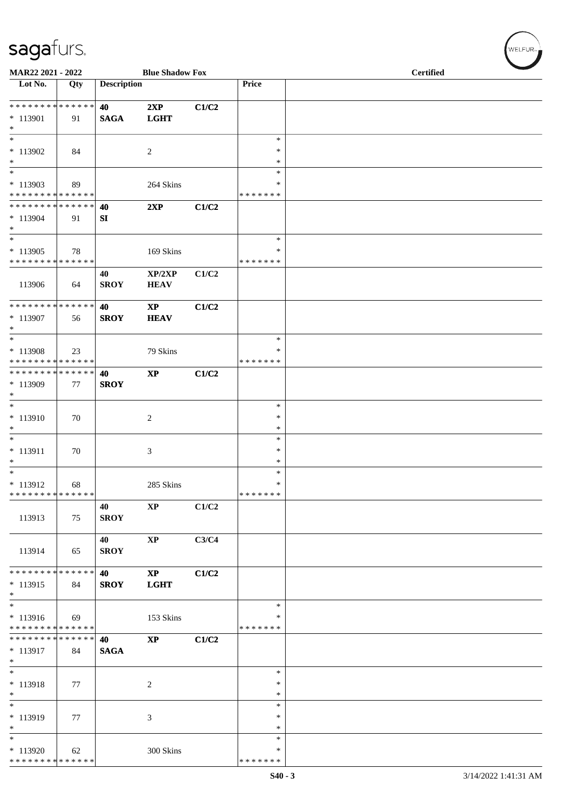| MAR22 2021 - 2022                                                                      |     |                    | <b>Blue Shadow Fox</b>                |       |                                   | <b>Certified</b> |
|----------------------------------------------------------------------------------------|-----|--------------------|---------------------------------------|-------|-----------------------------------|------------------|
| Lot No.                                                                                | Qty | <b>Description</b> |                                       |       | Price                             |                  |
| ******** <mark>******</mark><br>* 113901<br>$\ast$                                     | 91  | 40<br><b>SAGA</b>  | 2XP<br><b>LGHT</b>                    | C1/C2 |                                   |                  |
| $\overline{\ast}$<br>$*113902$<br>$\ast$                                               | 84  |                    | $\sqrt{2}$                            |       | $\ast$<br>$\ast$<br>$\ast$        |                  |
| $\ast$<br>$*113903$<br>* * * * * * * * * * * * * *                                     | 89  |                    | 264 Skins                             |       | $\ast$<br>∗<br>* * * * * * *      |                  |
| **************<br>$* 113904$<br>$\ast$                                                 | 91  | 40<br>SI           | 2XP                                   | C1/C2 |                                   |                  |
| $\ast$<br>$*113905$<br>* * * * * * * * * * * * * *                                     | 78  |                    | 169 Skins                             |       | $\ast$<br>$\ast$<br>* * * * * * * |                  |
| 113906                                                                                 | 64  | 40<br><b>SROY</b>  | XP/2XP<br><b>HEAV</b>                 | C1/C2 |                                   |                  |
| **************<br>* 113907<br>$\ast$                                                   | 56  | 40<br><b>SROY</b>  | $\mathbf{X}\mathbf{P}$<br><b>HEAV</b> | C1/C2 |                                   |                  |
| $\ast$<br>* 113908<br>* * * * * * * * * * * * * *                                      | 23  |                    | 79 Skins                              |       | $\ast$<br>∗<br>* * * * * * *      |                  |
| * * * * * * * * * * * * * *<br>* 113909<br>$\ast$                                      | 77  | 40<br><b>SROY</b>  | $\bold{XP}$                           | C1/C2 |                                   |                  |
| $\ast$<br>$* 113910$<br>$\ast$                                                         | 70  |                    | $\sqrt{2}$                            |       | $\ast$<br>$\ast$<br>$\ast$        |                  |
| $\ast$<br>$* 113911$<br>$\ast$                                                         | 70  |                    | 3                                     |       | $\ast$<br>$\ast$<br>$\ast$        |                  |
| $\ast$<br>$* 113912$<br>* * * * * * * * * * * * * *                                    | 68  |                    | 285 Skins                             |       | ∗<br>$\ast$<br>* * * * * * *      |                  |
| 113913                                                                                 | 75  | 40<br><b>SROY</b>  | $\bold{XP}$                           | C1/C2 |                                   |                  |
| 113914                                                                                 | 65  | 40<br><b>SROY</b>  | $\mathbf{XP}$                         | C3/C4 |                                   |                  |
| * * * * * * * * * * * * * *<br>$* 113915$<br>$*$                                       | 84  | 40<br><b>SROY</b>  | $\bold{XP}$<br><b>LGHT</b>            | C1/C2 |                                   |                  |
| $\overline{\phantom{a}^*}$<br>$* 113916$<br>* * * * * * * * <mark>* * * * * * *</mark> | 69  |                    | 153 Skins                             |       | $\ast$<br>$\ast$<br>* * * * * * * |                  |
| * * * * * * * * * * * * * *<br>* 113917<br>$*$                                         | 84  | 40<br><b>SAGA</b>  | $\bold{XP}$                           | C1/C2 |                                   |                  |
| $\overline{\phantom{a}^*}$<br>* 113918<br>$\ast$                                       | 77  |                    | $\overline{2}$                        |       | $\ast$<br>$\ast$<br>$\ast$        |                  |
| $\overline{\phantom{a}^*}$<br>* 113919<br>$\ast$                                       | 77  |                    | 3                                     |       | $\ast$<br>$\ast$<br>$\ast$        |                  |
| $_{\ast}$<br>$*113920$<br>**************                                               | 62  |                    | 300 Skins                             |       | $\ast$<br>$\ast$<br>* * * * * * * |                  |

 $(w$ ELFUR<sub><sup>N</sup></sub>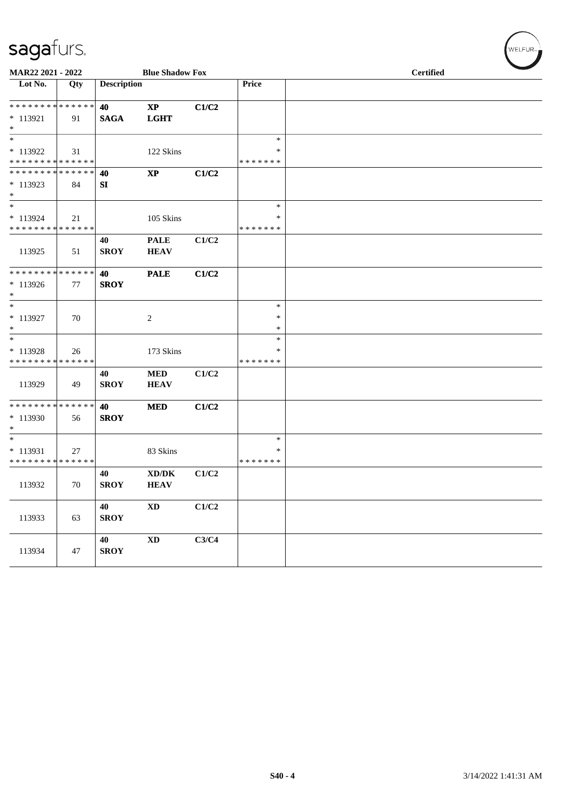| MAR22 2021 - 2022                                                     |     |                    | <b>Blue Shadow Fox</b>                             |       |                              | <b>Certified</b> |
|-----------------------------------------------------------------------|-----|--------------------|----------------------------------------------------|-------|------------------------------|------------------|
| Lot No.                                                               | Qty | <b>Description</b> |                                                    |       | Price                        |                  |
| * * * * * * * * * * * * * *<br>$* 113921$<br>$\ast$                   | 91  | 40<br><b>SAGA</b>  | $\mathbf{X}\mathbf{P}$<br><b>LGHT</b>              | C1/C2 |                              |                  |
| $\overline{\phantom{0}}$<br>$* 113922$<br>* * * * * * * * * * * * * * | 31  |                    | 122 Skins                                          |       | $\ast$<br>∗<br>* * * * * * * |                  |
| * * * * * * * * * * * * * *<br>$*113923$<br>$\ast$                    | 84  | 40<br>SI           | $\bold{XP}$                                        | C1/C2 |                              |                  |
| $\ast$<br>$* 113924$<br>* * * * * * * * * * * * * *                   | 21  |                    | 105 Skins                                          |       | $\ast$<br>$\ast$<br>*******  |                  |
| 113925                                                                | 51  | 40<br><b>SROY</b>  | <b>PALE</b><br><b>HEAV</b>                         | C1/C2 |                              |                  |
| **************<br>* 113926<br>$\ast$                                  | 77  | 40<br><b>SROY</b>  | <b>PALE</b>                                        | C1/C2 |                              |                  |
| $\ast$<br>$* 113927$<br>$\ast$                                        | 70  |                    | 2                                                  |       | $\ast$<br>$\ast$<br>$\ast$   |                  |
| $\ast$<br>* 113928<br>* * * * * * * * * * * * * *                     | 26  |                    | 173 Skins                                          |       | $\ast$<br>∗<br>* * * * * * * |                  |
| 113929                                                                | 49  | 40<br><b>SROY</b>  | $\bf MED$<br><b>HEAV</b>                           | C1/C2 |                              |                  |
| * * * * * * * * * * * * * *<br>* 113930<br>$\ast$                     | 56  | 40<br><b>SROY</b>  | <b>MED</b>                                         | C1/C2 |                              |                  |
| $\ast$<br>$* 113931$<br>* * * * * * * * * * * * * *                   | 27  |                    | 83 Skins                                           |       | $\ast$<br>*<br>* * * * * * * |                  |
| 113932                                                                | 70  | 40<br><b>SROY</b>  | $\bold{X}\bold{D}/\bold{D}\bold{K}$<br><b>HEAV</b> | C1/C2 |                              |                  |
| 113933                                                                | 63  | 40<br><b>SROY</b>  | $\mathbf{X}\mathbf{D}$                             | C1/C2 |                              |                  |
| 113934                                                                | 47  | 40<br><b>SROY</b>  | $\mathbf{X}\mathbf{D}$                             | C3/C4 |                              |                  |

 $w$ ELFUR<sub><sup>n</sub></sub></sub></sup>